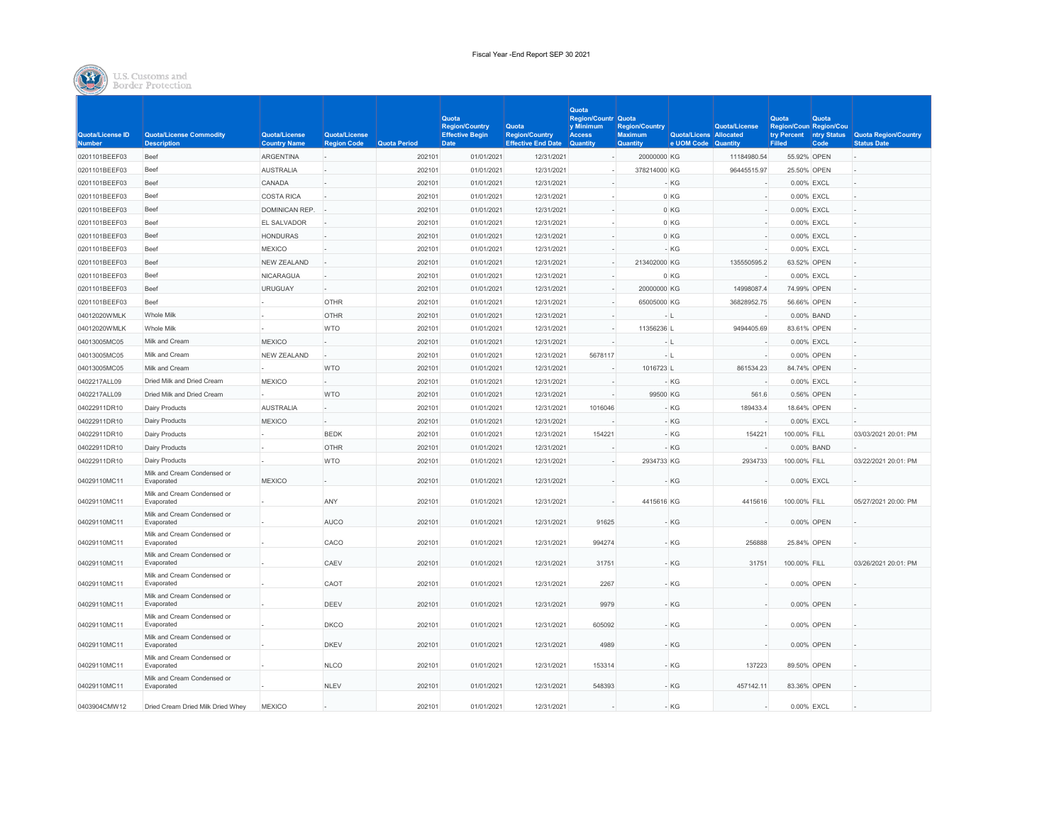Fiscal Year -End Report SEP 30 2021



|                                   |                                                      |                                      |                                     |                     | Quota                                                          |                                                                    | Quota<br><b>Region/Countr Quota</b>           |                                                            |                                               |               | Quota                            | <b>Quota</b> |                                                                        |
|-----------------------------------|------------------------------------------------------|--------------------------------------|-------------------------------------|---------------------|----------------------------------------------------------------|--------------------------------------------------------------------|-----------------------------------------------|------------------------------------------------------------|-----------------------------------------------|---------------|----------------------------------|--------------|------------------------------------------------------------------------|
| Quota/License ID<br><b>Number</b> | <b>Quota/License Commodity</b><br><b>Description</b> | Quota/License<br><b>Country Name</b> | Quota/License<br><b>Region Code</b> | <b>Quota Period</b> | <b>Region/Country</b><br><b>Effective Begin</b><br><b>Date</b> | <b>Quota</b><br><b>Region/Country</b><br><b>Effective End Date</b> | y Minimum<br><b>Access</b><br><b>Quantity</b> | <b>Region/Country</b><br><b>Maximum</b><br><b>Quantity</b> | Quota/Licens Allocated<br>e UOM Code Quantity | Quota/License | Region/Coun Region/Cou<br>Filled | Code         | try Percent   ntry Status   Quota Region/Country<br><b>Status Date</b> |
| 0201101BEEF03                     | Beef                                                 | <b>ARGENTINA</b>                     |                                     | 202101              | 01/01/2021                                                     | 12/31/2021                                                         |                                               | 20000000 KG                                                |                                               | 11184980.54   | 55.92% OPEN                      |              |                                                                        |
| 0201101BEEF03                     | Beef                                                 | <b>AUSTRALIA</b>                     |                                     | 202101              | 01/01/2021                                                     | 12/31/2021                                                         |                                               | 378214000 KG                                               |                                               | 96445515.97   | 25.50% OPEN                      |              |                                                                        |
| 0201101BEEF03                     | Beef                                                 | CANADA                               |                                     | 202101              | 01/01/2021                                                     | 12/31/2021                                                         |                                               |                                                            | $-KG$                                         |               |                                  | 0.00% EXCL   |                                                                        |
| 0201101BEEF03                     | Beef                                                 | <b>COSTA RICA</b>                    |                                     | 202101              | 01/01/2021                                                     | 12/31/2021                                                         |                                               |                                                            | 0 KG                                          |               |                                  | 0.00% EXCL   |                                                                        |
| 0201101BEEF03                     | Beef                                                 | DOMINICAN REP.                       |                                     | 202101              | 01/01/2021                                                     | 12/31/2021                                                         |                                               |                                                            | 0 KG                                          |               |                                  | 0.00% EXCL   |                                                                        |
| 0201101BEEF03                     | Beef                                                 | EL SALVADOR                          |                                     | 202101              | 01/01/2021                                                     | 12/31/2021                                                         |                                               |                                                            | 0 KG                                          |               |                                  | 0.00% EXCL   |                                                                        |
| 0201101BEEF03                     | Beef                                                 | <b>HONDURAS</b>                      |                                     | 202101              | 01/01/2021                                                     | 12/31/2021                                                         |                                               |                                                            | 0 KG                                          |               |                                  | 0.00% EXCL   |                                                                        |
| 0201101BEEF03                     | Beef                                                 | <b>MEXICO</b>                        |                                     | 202101              | 01/01/2021                                                     | 12/31/2021                                                         |                                               |                                                            | - KG                                          |               |                                  | 0.00% EXCL   |                                                                        |
| 0201101BEEF03                     | Beef                                                 | NEW ZEALAND                          |                                     | 202101              | 01/01/2021                                                     | 12/31/2021                                                         |                                               | 213402000 KG                                               |                                               | 135550595.2   |                                  | 63.52% OPEN  |                                                                        |
| 0201101BEEF03                     | <b>Beef</b>                                          | <b>NICARAGUA</b>                     |                                     | 202101              | 01/01/2021                                                     | 12/31/2021                                                         |                                               |                                                            | 0 KG                                          |               |                                  | 0.00% EXCL   |                                                                        |
| 0201101BEEF03                     | Beef                                                 | <b>URUGUAY</b>                       |                                     | 202101              | 01/01/2021                                                     | 12/31/2021                                                         |                                               | 20000000 KG                                                |                                               | 14998087.4    | 74.99% OPEN                      |              |                                                                        |
| 0201101BEEF03                     | Beef                                                 |                                      | <b>OTHR</b>                         | 202101              | 01/01/2021                                                     | 12/31/2021                                                         |                                               | 65005000 KG                                                |                                               | 36828952.75   |                                  | 56.66% OPEN  |                                                                        |
| 04012020WMLK                      | Whole Milk                                           |                                      | <b>OTHR</b>                         | 202101              | 01/01/2021                                                     | 12/31/2021                                                         |                                               |                                                            | - 11                                          |               |                                  | 0.00% BAND   |                                                                        |
| 04012020WMLK                      | Whole Milk                                           |                                      | <b>WTO</b>                          | 202101              | 01/01/2021                                                     | 12/31/2021                                                         |                                               | 11356236 L                                                 |                                               | 9494405.69    |                                  | 83.61% OPEN  |                                                                        |
| 04013005MC05                      | Milk and Cream                                       | <b>MEXICO</b>                        |                                     | 202101              | 01/01/2021                                                     | 12/31/2021                                                         |                                               |                                                            | - 11                                          |               |                                  | 0.00% EXCL   |                                                                        |
| 04013005MC05                      | Milk and Cream                                       | <b>NEW ZEALAND</b>                   |                                     | 202101              | 01/01/2021                                                     | 12/31/2021                                                         | 5678117                                       |                                                            |                                               |               |                                  | 0.00% OPEN   |                                                                        |
| 04013005MC05                      | Milk and Cream                                       |                                      | <b>WTO</b>                          | 202101              | 01/01/2021                                                     | 12/31/2021                                                         |                                               | 1016723 L                                                  |                                               | 861534.23     | 84.74% OPEN                      |              |                                                                        |
| 0402217ALL09                      | Dried Milk and Dried Cream                           | <b>MEXICO</b>                        |                                     | 202101              | 01/01/2021                                                     | 12/31/2021                                                         |                                               |                                                            | - KG                                          |               |                                  | 0.00% EXCL   |                                                                        |
| 0402217ALL09                      | Dried Milk and Dried Cream                           |                                      | <b>WTO</b>                          | 202101              | 01/01/2021                                                     | 12/31/2021                                                         |                                               | 99500 KG                                                   |                                               | 561.6         |                                  | 0.56% OPEN   |                                                                        |
| 04022911DR10                      | Dairy Products                                       | <b>AUSTRALIA</b>                     |                                     | 202101              | 01/01/2021                                                     | 12/31/2021                                                         | 1016046                                       |                                                            | - KG                                          | 189433.4      |                                  | 18.64% OPEN  |                                                                        |
| 04022911DR10                      | <b>Dairy Products</b>                                | <b>MEXICO</b>                        |                                     | 202101              | 01/01/2021                                                     | 12/31/2021                                                         |                                               |                                                            | $-KG$                                         |               |                                  | 0.00% EXCL   |                                                                        |
| 04022911DR10                      | Dairy Products                                       |                                      | <b>BEDK</b>                         | 202101              | 01/01/2021                                                     | 12/31/2021                                                         | 154221                                        |                                                            | - KG                                          | 154221        | 100.00% FILL                     |              | 03/03/2021 20:01: PM                                                   |
| 04022911DR10                      | Dairy Products                                       |                                      | <b>OTHR</b>                         | 202101              | 01/01/2021                                                     | 12/31/2021                                                         |                                               |                                                            | - KG                                          |               |                                  | 0.00% BAND   |                                                                        |
| 04022911DR10                      | Dairy Products                                       |                                      | <b>WTO</b>                          | 202101              | 01/01/2021                                                     | 12/31/2021                                                         |                                               | 2934733 KG                                                 |                                               | 2934733       | 100.00% FILL                     |              | 03/22/2021 20:01: PM                                                   |
| 04029110MC11                      | Milk and Cream Condensed or<br>Evaporated            | <b>MEXICO</b>                        |                                     | 202101              | 01/01/2021                                                     | 12/31/2021                                                         |                                               |                                                            | - KG                                          |               |                                  | 0.00% EXCL   |                                                                        |
| 04029110MC11                      | Milk and Cream Condensed or<br>Evaporated            |                                      | ANY                                 | 202101              | 01/01/2021                                                     | 12/31/2021                                                         |                                               | 4415616 KG                                                 |                                               | 4415616       | 100.00% FILL                     |              | 05/27/2021 20:00: PM                                                   |
| 04029110MC11                      | Milk and Cream Condensed or<br>Evaporated            |                                      | <b>AUCO</b>                         | 202101              | 01/01/2021                                                     | 12/31/2021                                                         | 91625                                         |                                                            | - KG                                          |               |                                  | 0.00% OPEN   |                                                                        |
| 04029110MC11                      | Milk and Cream Condensed or<br>Evaporated            |                                      | CACO                                | 202101              | 01/01/2021                                                     | 12/31/2021                                                         | 994274                                        |                                                            | - KG                                          | 256888        | 25.84% OPEN                      |              |                                                                        |
| 04029110MC11                      | Milk and Cream Condensed or<br>Evaporated            |                                      | CAEV                                | 202101              | 01/01/2021                                                     | 12/31/2021                                                         | 31751                                         |                                                            | - KG                                          | 31751         | 100.00% FILL                     |              | 03/26/2021 20:01: PM                                                   |
| 04029110MC11                      | Milk and Cream Condensed or<br>Evaporated            |                                      | CAOT                                | 202101              | 01/01/2021                                                     | 12/31/2021                                                         | 2267                                          |                                                            | - KG                                          |               |                                  | 0.00% OPEN   |                                                                        |
| 04029110MC11                      | Milk and Cream Condensed or<br>Evaporated            |                                      | DEEV                                | 202101              | 01/01/2021                                                     | 12/31/2021                                                         | 9979                                          |                                                            | - KG                                          |               |                                  | 0.00% OPEN   |                                                                        |
| 04029110MC11                      | Milk and Cream Condensed or<br>Evaporated            |                                      | <b>DKCO</b>                         | 202101              | 01/01/2021                                                     | 12/31/2021                                                         | 605092                                        |                                                            | - KG                                          |               |                                  | 0.00% OPEN   |                                                                        |
| 04029110MC11                      | Milk and Cream Condensed or<br>Evaporated            |                                      | <b>DKEV</b>                         | 202101              | 01/01/2021                                                     | 12/31/2021                                                         | 4989                                          |                                                            | - KG                                          |               |                                  | 0.00% OPEN   |                                                                        |
| 04029110MC11                      | Milk and Cream Condensed or<br>Evaporated            |                                      | <b>NLCO</b>                         | 202101              | 01/01/2021                                                     | 12/31/2021                                                         | 153314                                        |                                                            | - KG                                          | 137223        |                                  | 89.50% OPEN  |                                                                        |
| 04029110MC11                      | Milk and Cream Condensed or<br>Evaporated            |                                      | NLEV                                | 202101              | 01/01/2021                                                     | 12/31/2021                                                         | 548393                                        |                                                            | - KG                                          | 457142.11     | 83.36% OPEN                      |              |                                                                        |
| 0403904CMW12                      | Dried Cream Dried Milk Dried Whev                    | <b>MEXICO</b>                        |                                     | 202101              | 01/01/2021                                                     | 12/31/2021                                                         |                                               |                                                            | - KG                                          |               |                                  | 0.00% EXCL   |                                                                        |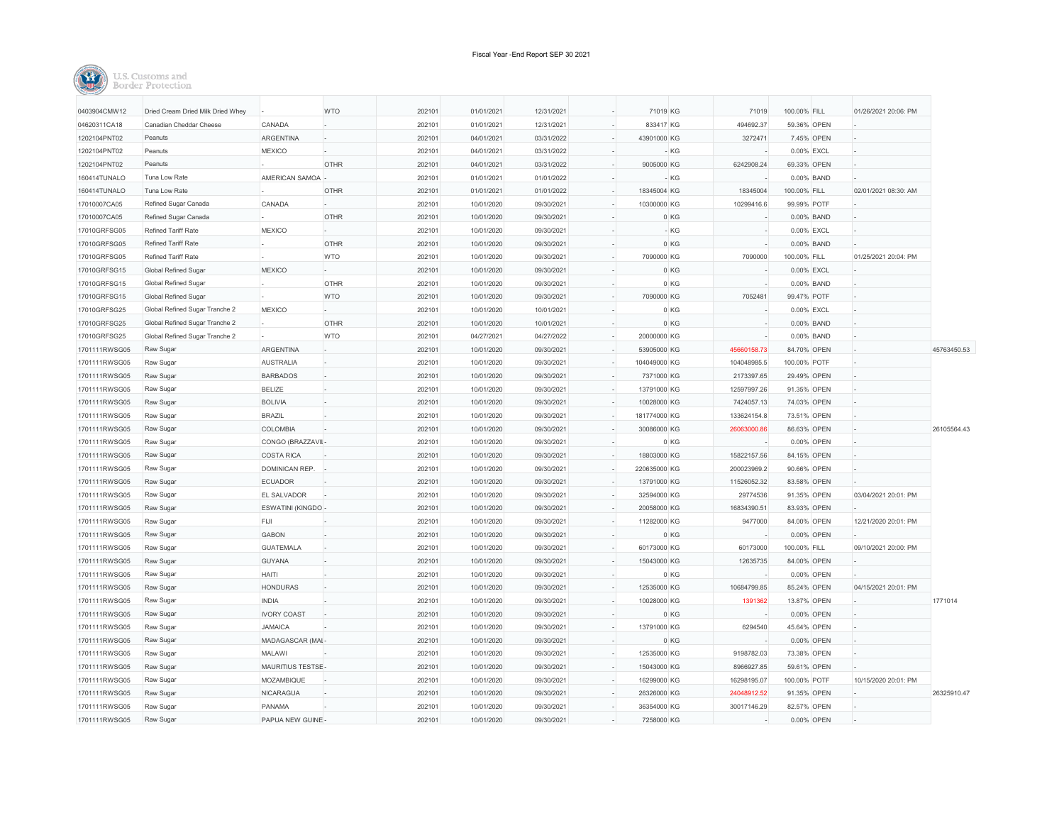| 0403904CMW12  | Dried Cream Dried Milk Dried Whey |                    | <b>WTO</b>  | 202101 | 01/01/2021 | 12/31/2021 | 71019 KG     | 71019       | 100.00% FILL | 01/26/2021 20:06: PM |             |
|---------------|-----------------------------------|--------------------|-------------|--------|------------|------------|--------------|-------------|--------------|----------------------|-------------|
| 04620311CA18  | Canadian Cheddar Cheese           | CANADA             |             | 202101 | 01/01/2021 | 12/31/2021 | 833417 KG    | 494692.37   | 59.36% OPEN  |                      |             |
| 1202104PNT02  | Peanuts                           | ARGENTINA          |             | 202101 | 04/01/2021 | 03/31/2022 | 43901000 KG  | 3272471     | 7.45% OPEN   |                      |             |
| 1202104PNT02  | Peanuts                           | <b>MEXICO</b>      |             | 202101 | 04/01/2021 | 03/31/2022 | - KG         |             | 0.00% EXCL   |                      |             |
| 1202104PNT02  | Peanuts                           |                    | <b>OTHR</b> | 202101 | 04/01/2021 | 03/31/2022 | 9005000 KG   | 6242908.24  | 69.33% OPEN  |                      |             |
| 160414TUNALO  | Tuna Low Rate                     | AMERICAN SAMOA -   |             | 202101 | 01/01/2021 | 01/01/2022 | - KG         |             | 0.00% BAND   |                      |             |
| 160414TUNALO  | Tuna Low Rate                     |                    | <b>OTHR</b> | 202101 | 01/01/2021 | 01/01/2022 | 18345004 KG  | 18345004    | 100.00% FILL | 02/01/2021 08:30: AM |             |
| 17010007CA05  | Refined Sugar Canada              | CANADA             |             | 202101 | 10/01/2020 | 09/30/2021 | 10300000 KG  | 10299416.6  | 99.99% POTF  |                      |             |
| 17010007CA05  | Refined Sugar Canada              |                    | <b>OTHR</b> | 202101 | 10/01/2020 | 09/30/2021 | 0 KG         |             | 0.00% BAND   |                      |             |
| 17010GRFSG05  | Refined Tariff Rate               | <b>MEXICO</b>      |             | 202101 | 10/01/2020 | 09/30/2021 | - KG         |             | 0.00% EXCL   |                      |             |
| 17010GRFSG05  | Refined Tariff Rate               |                    | <b>OTHR</b> | 202101 | 10/01/2020 | 09/30/2021 | 0 KG         |             | 0.00% BAND   |                      |             |
| 17010GRFSG05  | Refined Tariff Rate               |                    | <b>WTO</b>  | 202101 | 10/01/2020 | 09/30/2021 | 7090000 KG   | 7090000     | 100.00% FILL | 01/25/2021 20:04: PM |             |
| 17010GRFSG15  | Global Refined Sugar              | <b>MEXICO</b>      |             | 202101 | 10/01/2020 | 09/30/2021 | 0 KG         |             | 0.00% EXCL   |                      |             |
| 17010GRFSG15  | Global Refined Sugar              |                    | <b>OTHR</b> | 202101 | 10/01/2020 | 09/30/2021 | $0$ KG       |             | 0.00% BAND   |                      |             |
| 17010GRFSG15  | Global Refined Sugar              |                    | <b>WTO</b>  | 202101 | 10/01/2020 | 09/30/2021 | 7090000 KG   | 7052481     | 99.47% POTF  |                      |             |
| 17010GRFSG25  | Global Refined Sugar Tranche 2    | <b>MEXICO</b>      |             | 202101 | 10/01/2020 | 10/01/2021 | $0$ KG       |             | 0.00% EXCL   |                      |             |
| 17010GRFSG25  | Global Refined Sugar Tranche 2    |                    | <b>OTHR</b> | 202101 | 10/01/2020 | 10/01/2021 | 0 KG         |             | 0.00% BAND   |                      |             |
| 17010GRFSG25  | Global Refined Sugar Tranche 2    |                    | <b>WTO</b>  | 202101 | 04/27/2021 | 04/27/2022 | 20000000 KG  |             | 0.00% BAND   |                      |             |
| 1701111RWSG05 | Raw Sugar                         | <b>ARGENTINA</b>   |             | 202101 | 10/01/2020 | 09/30/2021 | 53905000 KG  | 45660158.73 | 84.70% OPEN  |                      | 45763450.53 |
| 1701111RWSG05 | Raw Sugar                         | <b>AUSTRALIA</b>   |             | 202101 | 10/01/2020 | 09/30/2021 | 104049000 KG | 104048985.5 | 100.00% POTF |                      |             |
| 1701111RWSG05 | Raw Sugar                         | <b>BARBADOS</b>    |             | 202101 | 10/01/2020 | 09/30/2021 | 7371000 KG   | 2173397.65  | 29.49% OPEN  |                      |             |
| 1701111RWSG05 | Raw Sugar                         | <b>BELIZE</b>      | L.          | 202101 | 10/01/2020 | 09/30/2021 | 13791000 KG  | 12597997.26 | 91.35% OPEN  |                      |             |
| 1701111RWSG05 | Raw Sugar                         | <b>BOLIVIA</b>     |             | 202101 | 10/01/2020 | 09/30/2021 | 10028000 KG  | 7424057.13  | 74.03% OPEN  |                      |             |
| 1701111RWSG05 | Raw Sugar                         | <b>BRAZIL</b>      |             | 202101 | 10/01/2020 | 09/30/2021 | 181774000 KG | 133624154.8 | 73.51% OPEN  |                      |             |
| 1701111RWSG05 | Raw Sugar                         | COLOMBIA           |             | 202101 | 10/01/2020 | 09/30/2021 | 30086000 KG  | 26063000.86 | 86.63% OPEN  |                      | 26105564.43 |
| 1701111RWSG05 | Raw Sugar                         | CONGO (BRAZZAVII-  |             | 202101 | 10/01/2020 | 09/30/2021 | 0 KG         |             | 0.00% OPEN   |                      |             |
| 1701111RWSG05 | Raw Sugar                         | <b>COSTA RICA</b>  |             | 202101 | 10/01/2020 | 09/30/2021 | 18803000 KG  | 15822157.56 | 84.15% OPEN  |                      |             |
| 1701111RWSG05 | Raw Sugar                         | DOMINICAN REP.     |             | 202101 | 10/01/2020 | 09/30/2021 | 220635000 KG | 200023969.2 | 90.66% OPEN  |                      |             |
| 1701111RWSG05 | Raw Sugar                         | <b>ECUADOR</b>     |             | 202101 | 10/01/2020 | 09/30/2021 | 13791000 KG  | 11526052.32 | 83.58% OPEN  |                      |             |
| 1701111RWSG05 | Raw Sugar                         | EL SALVADOR        | ı.          | 202101 | 10/01/2020 | 09/30/2021 | 32594000 KG  | 29774536    | 91.35% OPEN  | 03/04/2021 20:01: PM |             |
| 1701111RWSG05 | Raw Sugar                         | ESWATINI (KINGDO-  |             | 202101 | 10/01/2020 | 09/30/2021 | 20058000 KG  | 16834390.51 | 83.93% OPEN  |                      |             |
| 1701111RWSG05 | Raw Sugar                         | FIJI               |             | 202101 | 10/01/2020 | 09/30/2021 | 11282000 KG  | 9477000     | 84.00% OPEN  | 12/21/2020 20:01: PM |             |
| 1701111RWSG05 | Raw Sugar                         | <b>GABON</b>       |             | 202101 | 10/01/2020 | 09/30/2021 | 0 KG         |             | 0.00% OPEN   |                      |             |
| 1701111RWSG05 | Raw Sugar                         | <b>GUATEMALA</b>   |             | 202101 | 10/01/2020 | 09/30/2021 | 60173000 KG  | 60173000    | 100.00% FILL | 09/10/2021 20:00: PM |             |
| 1701111RWSG05 | Raw Sugar                         | <b>GUYANA</b>      |             | 202101 | 10/01/2020 | 09/30/2021 | 15043000 KG  | 12635735    | 84.00% OPEN  |                      |             |
| 1701111RWSG05 | Raw Sugar                         | HAITI              |             | 202101 | 10/01/2020 | 09/30/2021 | 0 KG         |             | 0.00% OPEN   |                      |             |
| 1701111RWSG05 | Raw Sugar                         | <b>HONDURAS</b>    |             | 202101 | 10/01/2020 | 09/30/2021 | 12535000 KG  | 10684799.85 | 85.24% OPEN  | 04/15/2021 20:01: PM |             |
| 1701111RWSG05 | Raw Sugar                         | <b>INDIA</b>       |             | 202101 | 10/01/2020 | 09/30/2021 | 10028000 KG  | 1391362     | 13.87% OPEN  |                      | 1771014     |
| 1701111RWSG05 | Raw Sugar                         | <b>IVORY COAST</b> |             | 202101 | 10/01/2020 | 09/30/2021 | 0 KG         |             | 0.00% OPEN   |                      |             |
| 1701111RWSG05 | Raw Sugar                         | <b>JAMAICA</b>     |             | 202101 | 10/01/2020 | 09/30/2021 | 13791000 KG  | 6294540     | 45.64% OPEN  |                      |             |
| 1701111RWSG05 | Raw Sugar                         | MADAGASCAR (MAI-   |             | 202101 | 10/01/2020 | 09/30/2021 | 0 KG         |             | 0.00% OPEN   |                      |             |
| 1701111RWSG05 | Raw Sugar                         | MALAWI             |             | 202101 | 10/01/2020 | 09/30/2021 | 12535000 KG  | 9198782.03  | 73.38% OPEN  |                      |             |
| 1701111RWSG05 | Raw Sugar                         | MAURITIUS TESTSE-  |             | 202101 | 10/01/2020 | 09/30/2021 | 15043000 KG  | 8966927.85  | 59.61% OPEN  |                      |             |
| 1701111RWSG05 | Raw Sugar                         | MOZAMBIQUE         |             | 202101 | 10/01/2020 | 09/30/2021 | 16299000 KG  | 16298195.07 | 100.00% POTF | 10/15/2020 20:01: PM |             |
| 1701111RWSG05 | Raw Sugar                         | <b>NICARAGUA</b>   |             | 202101 | 10/01/2020 | 09/30/2021 | 26326000 KG  | 24048912.52 | 91.35% OPEN  |                      | 26325910.47 |
| 1701111RWSG05 | Raw Sugar                         | PANAMA             |             | 202101 | 10/01/2020 | 09/30/2021 | 36354000 KG  | 30017146.29 | 82.57% OPEN  |                      |             |
| 1701111RWSG05 | Raw Sugar                         | PAPUA NEW GUINE -  |             | 202101 | 10/01/2020 | 09/30/2021 | 7258000 KG   |             | 0.00% OPEN   |                      |             |
|               |                                   |                    |             |        |            |            |              |             |              |                      |             |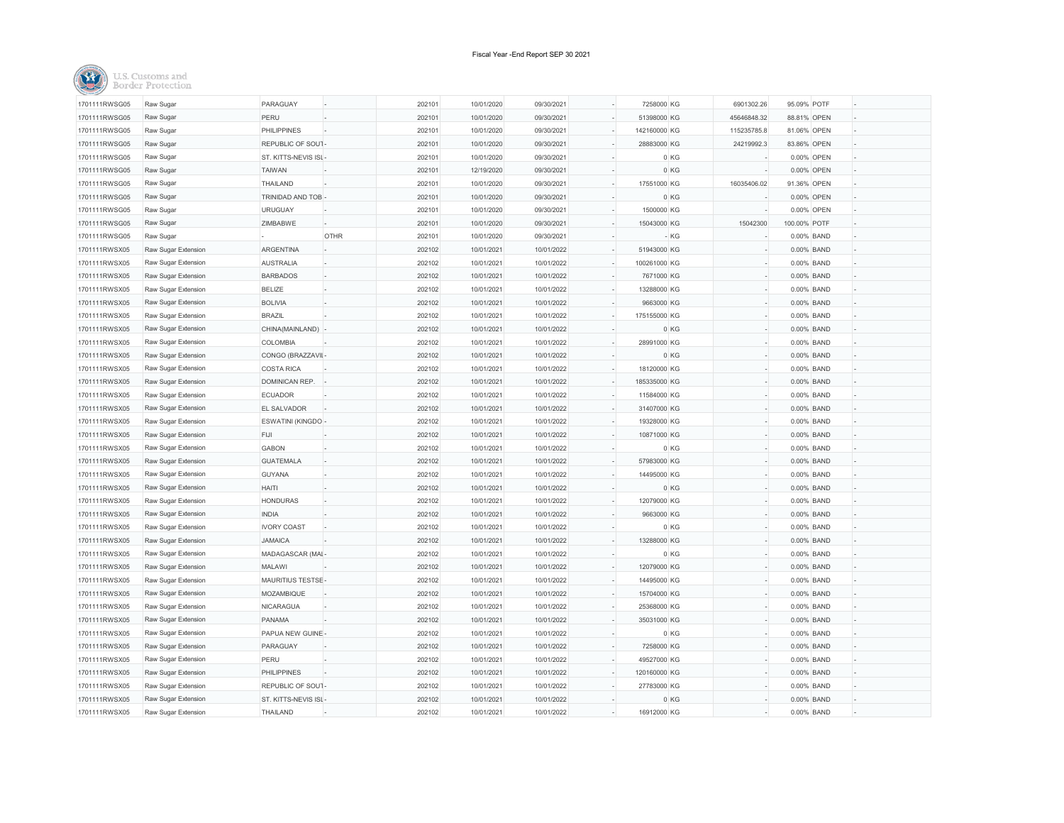| 1701111RWSG05 | Raw Sugar           | PARAGUAY            |      | 202101 | 10/01/2020 | 09/30/2021 | 7258000 KG   | 6901302.26  | 95.09% POTF  |  |
|---------------|---------------------|---------------------|------|--------|------------|------------|--------------|-------------|--------------|--|
| 1701111RWSG05 | Raw Sugar           | PERU                |      | 202101 | 10/01/2020 | 09/30/2021 | 51398000 KG  | 45646848.32 | 88.81% OPEN  |  |
| 1701111RWSG05 | Raw Sugar           | <b>PHILIPPINES</b>  |      | 202101 | 10/01/2020 | 09/30/2021 | 142160000 KG | 115235785.8 | 81.06% OPEN  |  |
| 1701111RWSG05 | Raw Sugar           | REPUBLIC OF SOUT-   |      | 202101 | 10/01/2020 | 09/30/2021 | 28883000 KG  | 24219992.3  | 83.86% OPEN  |  |
| 1701111RWSG05 | Raw Sugar           | ST. KITTS-NEVIS ISL |      | 202101 | 10/01/2020 | 09/30/2021 |              | 0 KG        | 0.00% OPEN   |  |
| 1701111RWSG05 | Raw Sugar           | <b>TAIWAN</b>       |      | 202101 | 12/19/2020 | 09/30/2021 |              | 0 KG        | 0.00% OPEN   |  |
| 1701111RWSG05 | Raw Sugar           | THAILAND            |      | 202101 | 10/01/2020 | 09/30/2021 | 17551000 KG  | 16035406.02 | 91.36% OPEN  |  |
| 1701111RWSG05 | Raw Sugar           | TRINIDAD AND TOB    |      | 202101 | 10/01/2020 | 09/30/2021 |              | 0 KG        | 0.00% OPEN   |  |
| 1701111RWSG05 | Raw Sugar           | <b>URUGUAY</b>      |      | 202101 | 10/01/2020 | 09/30/2021 | 1500000 KG   |             | 0.00% OPEN   |  |
| 1701111RWSG05 | Raw Sugar           | ZIMBABWE            |      | 202101 | 10/01/2020 | 09/30/2021 | 15043000 KG  | 15042300    | 100.00% POTF |  |
| 1701111RWSG05 | Raw Sugar           |                     | OTHR | 202101 | 10/01/2020 | 09/30/2021 |              | - KG        | 0.00% BAND   |  |
| 1701111RWSX05 | Raw Sugar Extension | ARGENTINA           |      | 202102 | 10/01/2021 | 10/01/2022 | 51943000 KG  |             | 0.00% BAND   |  |
| 1701111RWSX05 | Raw Sugar Extension | <b>AUSTRALIA</b>    |      | 202102 | 10/01/2021 | 10/01/2022 | 100261000 KG |             | 0.00% BAND   |  |
| 1701111RWSX05 | Raw Sugar Extension | <b>BARBADOS</b>     |      | 202102 | 10/01/2021 | 10/01/2022 | 7671000 KG   |             | 0.00% BAND   |  |
| 1701111RWSX05 | Raw Sugar Extension | <b>BELIZE</b>       |      | 202102 | 10/01/2021 | 10/01/2022 | 13288000 KG  |             | 0.00% BAND   |  |
| 1701111RWSX05 | Raw Sugar Extension | <b>BOLIVIA</b>      |      | 202102 | 10/01/2021 | 10/01/2022 | 9663000 KG   |             | 0.00% BAND   |  |
| 1701111RWSX05 | Raw Sugar Extension | <b>BRAZIL</b>       |      | 202102 | 10/01/2021 | 10/01/2022 | 175155000 KG |             | 0.00% BAND   |  |
| 1701111RWSX05 | Raw Sugar Extension | CHINA(MAINLAND)     |      | 202102 | 10/01/2021 | 10/01/2022 |              | 0 KG        | 0.00% BAND   |  |
| 1701111RWSX05 | Raw Sugar Extension | COLOMBIA            |      | 202102 | 10/01/2021 | 10/01/2022 | 28991000 KG  |             | 0.00% BAND   |  |
| 1701111RWSX05 | Raw Sugar Extension | CONGO (BRAZZAVII-   |      | 202102 | 10/01/2021 | 10/01/2022 |              | 0 KG        | 0.00% BAND   |  |
| 1701111RWSX05 | Raw Sugar Extension | <b>COSTA RICA</b>   |      | 202102 | 10/01/2021 | 10/01/2022 | 18120000 KG  |             | 0.00% BAND   |  |
| 1701111RWSX05 | Raw Sugar Extension | DOMINICAN REP.      |      | 202102 | 10/01/2021 | 10/01/2022 | 185335000 KG |             | 0.00% BAND   |  |
| 1701111RWSX05 | Raw Sugar Extension | <b>ECUADOR</b>      |      | 202102 | 10/01/2021 | 10/01/2022 | 11584000 KG  |             | 0.00% BAND   |  |
| 1701111RWSX05 | Raw Sugar Extension | EL SALVADOR         |      | 202102 | 10/01/2021 | 10/01/2022 | 31407000 KG  |             | 0.00% BAND   |  |
| 1701111RWSX05 | Raw Sugar Extension | ESWATINI (KINGDO    |      | 202102 | 10/01/2021 | 10/01/2022 | 19328000 KG  |             | 0.00% BAND   |  |
| 1701111RWSX05 | Raw Sugar Extension | FIJI                |      | 202102 | 10/01/2021 | 10/01/2022 | 10871000 KG  |             | 0.00% BAND   |  |
| 1701111RWSX05 | Raw Sugar Extension | <b>GABON</b>        |      | 202102 | 10/01/2021 | 10/01/2022 |              | 0 KG        | 0.00% BAND   |  |
| 1701111RWSX05 | Raw Sugar Extension | <b>GUATEMALA</b>    |      | 202102 | 10/01/2021 | 10/01/2022 | 57983000 KG  |             | 0.00% BAND   |  |
| 1701111RWSX05 | Raw Sugar Extension | GUYANA              |      | 202102 | 10/01/2021 | 10/01/2022 | 14495000 KG  |             | 0.00% BAND   |  |
| 1701111RWSX05 | Raw Sugar Extension | HAITI               |      | 202102 | 10/01/2021 | 10/01/2022 |              | 0 KG        | 0.00% BAND   |  |
| 1701111RWSX05 | Raw Sugar Extension | <b>HONDURAS</b>     |      | 202102 | 10/01/2021 | 10/01/2022 | 12079000 KG  |             | 0.00% BAND   |  |
| 1701111RWSX05 | Raw Sugar Extension | <b>INDIA</b>        |      | 202102 | 10/01/2021 | 10/01/2022 | 9663000 KG   |             | 0.00% BAND   |  |
| 1701111RWSX05 | Raw Sugar Extension | <b>IVORY COAST</b>  |      | 202102 | 10/01/2021 | 10/01/2022 |              | 0 KG        | 0.00% BAND   |  |
| 1701111RWSX05 | Raw Sugar Extension | <b>JAMAICA</b>      |      | 202102 | 10/01/2021 | 10/01/2022 | 13288000 KG  |             | 0.00% BAND   |  |
| 1701111RWSX05 | Raw Sugar Extension | MADAGASCAR (MAI     |      | 202102 | 10/01/2021 | 10/01/2022 |              | 0 KG        | 0.00% BAND   |  |
| 1701111RWSX05 | Raw Sugar Extension | <b>MALAWI</b>       |      | 202102 | 10/01/2021 | 10/01/2022 | 12079000 KG  |             | 0.00% BAND   |  |
| 1701111RWSX05 | Raw Sugar Extension | MAURITIUS TESTSE-   |      | 202102 | 10/01/2021 | 10/01/2022 | 14495000 KG  |             | 0.00% BAND   |  |
| 1701111RWSX05 | Raw Sugar Extension | MOZAMBIQUE          |      | 202102 | 10/01/2021 | 10/01/2022 | 15704000 KG  |             | 0.00% BAND   |  |
| 1701111RWSX05 | Raw Sugar Extension | <b>NICARAGUA</b>    |      | 202102 | 10/01/2021 | 10/01/2022 | 25368000 KG  |             | 0.00% BAND   |  |
| 1701111RWSX05 | Raw Sugar Extension | PANAMA              |      | 202102 | 10/01/2021 | 10/01/2022 | 35031000 KG  |             | 0.00% BAND   |  |
| 1701111RWSX05 | Raw Sugar Extension | PAPUA NEW GUINE     |      | 202102 | 10/01/2021 | 10/01/2022 |              | 0 KG        | 0.00% BAND   |  |
| 1701111RWSX05 | Raw Sugar Extension | PARAGUAY            |      | 202102 | 10/01/2021 | 10/01/2022 | 7258000 KG   |             | 0.00% BAND   |  |
| 1701111RWSX05 | Raw Sugar Extension | PERU                |      | 202102 | 10/01/2021 | 10/01/2022 | 49527000 KG  |             | 0.00% BAND   |  |
| 1701111RWSX05 | Raw Sugar Extension | <b>PHILIPPINES</b>  |      | 202102 | 10/01/2021 | 10/01/2022 | 120160000 KG |             | 0.00% BAND   |  |
| 1701111RWSX05 | Raw Sugar Extension | REPUBLIC OF SOUT-   |      | 202102 | 10/01/2021 | 10/01/2022 | 27783000 KG  |             | 0.00% BAND   |  |
| 1701111RWSX05 | Raw Sugar Extension | ST. KITTS-NEVIS ISL |      | 202102 | 10/01/2021 | 10/01/2022 |              | 0 KG        | 0.00% BAND   |  |
| 1701111RWSX05 | Raw Sugar Extension | THAILAND            |      | 202102 | 10/01/2021 | 10/01/2022 | 16912000 KG  |             | 0.00% BAND   |  |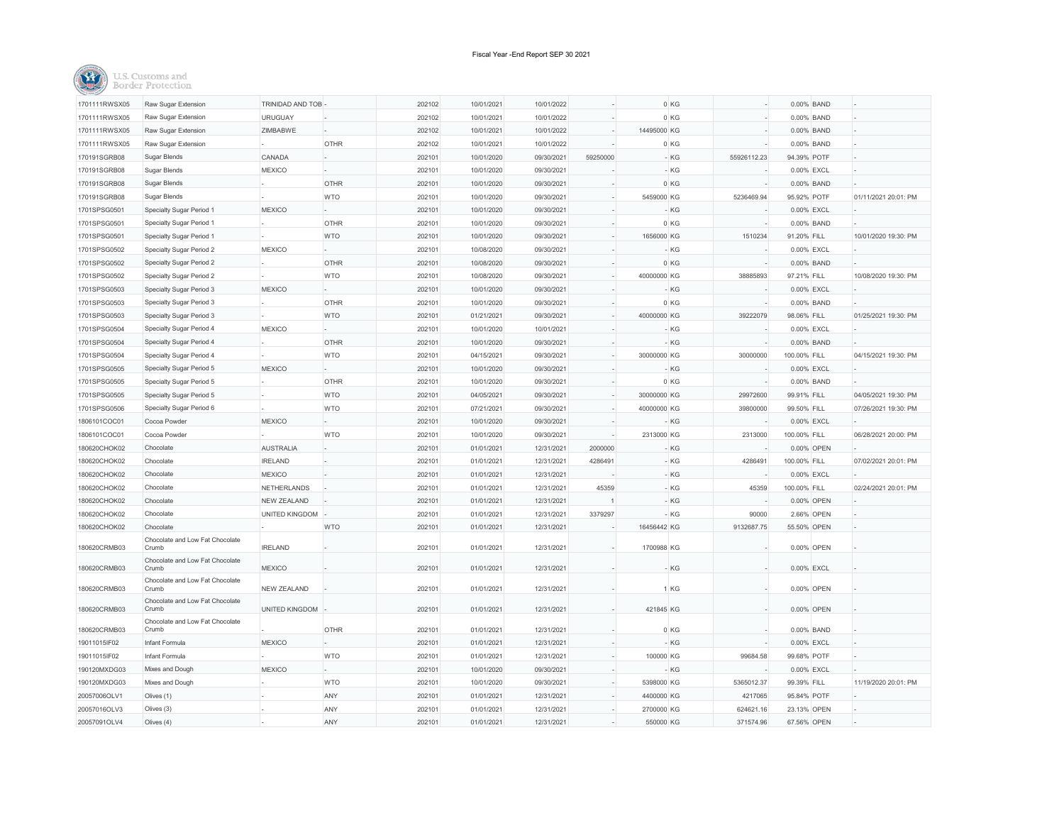

| 1701111RWSX05 | Raw Sugar Extension                      | TRINIDAD AND TOB   |             | 202102 | 10/01/2021 | 10/01/2022 |          |             | 0 KG  |             | 0.00% BAND   |                      |
|---------------|------------------------------------------|--------------------|-------------|--------|------------|------------|----------|-------------|-------|-------------|--------------|----------------------|
| 1701111RWSX05 | Raw Sugar Extension                      | <b>URUGUAY</b>     |             | 202102 | 10/01/2021 | 10/01/2022 |          |             | 0 KG  |             | 0.00% BAND   |                      |
| 1701111RWSX05 | Raw Sugar Extension                      | ZIMBABWE           |             | 202102 | 10/01/2021 | 10/01/2022 |          | 14495000 KG |       |             | 0.00% BAND   |                      |
| 1701111RWSX05 | Raw Sugar Extension                      |                    | <b>OTHR</b> | 202102 | 10/01/2021 | 10/01/2022 |          |             | 0 KG  |             | 0.00% BAND   |                      |
| 170191SGRB08  | Sugar Blends                             | CANADA             |             | 202101 | 10/01/2020 | 09/30/2021 | 59250000 |             | - KG  | 55926112.23 | 94.39% POTF  |                      |
| 170191SGRB08  | Sugar Blends                             | <b>MEXICO</b>      |             | 202101 | 10/01/2020 | 09/30/2021 |          |             | - KG  |             | 0.00% EXCL   |                      |
| 170191SGRB08  | Sugar Blends                             |                    | <b>OTHR</b> | 202101 | 10/01/2020 | 09/30/2021 |          |             | 0 KG  |             | 0.00% BAND   |                      |
| 170191SGRB08  | Sugar Blends                             |                    | <b>WTO</b>  | 202101 | 10/01/2020 | 09/30/2021 |          | 5459000 KG  |       | 5236469.94  | 95.92% POTF  | 01/11/2021 20:01: PM |
| 1701SPSG0501  | Specialty Sugar Period 1                 | <b>MEXICO</b>      |             | 202101 | 10/01/2020 | 09/30/2021 |          |             | - KG  |             | 0.00% EXCL   |                      |
| 1701SPSG0501  | Specialty Sugar Period 1                 |                    | <b>OTHR</b> | 202101 | 10/01/2020 | 09/30/2021 |          |             | 0 KG  |             | 0.00% BAND   |                      |
| 1701SPSG0501  | Specialty Sugar Period 1                 |                    | <b>WTO</b>  | 202101 | 10/01/2020 | 09/30/2021 |          | 1656000 KG  |       | 1510234     | 91.20% FILL  | 10/01/2020 19:30: PM |
| 1701SPSG0502  | Specialty Sugar Period 2                 | <b>MEXICO</b>      |             | 202101 | 10/08/2020 | 09/30/2021 |          |             | $-KG$ |             | 0.00% EXCL   |                      |
| 1701SPSG0502  | Specialty Sugar Period 2                 |                    | <b>OTHR</b> | 202101 | 10/08/2020 | 09/30/2021 |          |             | 0 KG  |             | 0.00% BAND   |                      |
| 1701SPSG0502  | Specialty Sugar Period 2                 |                    | <b>WTO</b>  | 202101 | 10/08/2020 | 09/30/2021 |          | 40000000 KG |       | 38885893    | 97.21% FILL  | 10/08/2020 19:30: PM |
| 1701SPSG0503  | Specialty Sugar Period 3                 | <b>MEXICO</b>      |             | 202101 | 10/01/2020 | 09/30/2021 |          |             | - KG  |             | 0.00% EXCL   |                      |
| 1701SPSG0503  | Specialty Sugar Period 3                 |                    | <b>OTHR</b> | 202101 | 10/01/2020 | 09/30/2021 |          |             | 0 KG  |             | 0.00% BAND   |                      |
| 1701SPSG0503  | Specialty Sugar Period 3                 |                    | <b>WTO</b>  | 202101 | 01/21/2021 | 09/30/2021 |          | 40000000 KG |       | 39222079    | 98.06% FILL  | 01/25/2021 19:30: PM |
| 1701SPSG0504  | Specialty Sugar Period 4                 | <b>MEXICO</b>      |             | 202101 | 10/01/2020 | 10/01/2021 |          |             | $-KG$ |             | 0.00% EXCL   |                      |
| 1701SPSG0504  | Specialty Sugar Period 4                 |                    | <b>OTHR</b> | 202101 | 10/01/2020 | 09/30/2021 |          |             | $-KG$ |             | 0.00% BAND   |                      |
| 1701SPSG0504  | Specialty Sugar Period 4                 |                    | <b>WTO</b>  | 202101 | 04/15/2021 | 09/30/2021 |          | 30000000 KG |       | 30000000    | 100.00% FILL | 04/15/2021 19:30: PM |
|               |                                          |                    |             |        |            |            |          |             |       |             |              |                      |
| 1701SPSG0505  | Specialty Sugar Period 5                 | <b>MEXICO</b>      | <b>OTHR</b> | 202101 | 10/01/2020 | 09/30/2021 |          |             | - KG  |             | 0.00% EXCL   |                      |
| 1701SPSG0505  | Specialty Sugar Period 5                 |                    |             | 202101 | 10/01/2020 | 09/30/2021 |          |             | 0 KG  |             | 0.00% BAND   |                      |
| 1701SPSG0505  | Specialty Sugar Period 5                 |                    | <b>WTO</b>  | 202101 | 04/05/2021 | 09/30/2021 |          | 30000000 KG |       | 29972600    | 99.91% FILL  | 04/05/2021 19:30: PM |
| 1701SPSG0506  | Specialty Sugar Period 6                 |                    | <b>WTO</b>  | 202101 | 07/21/2021 | 09/30/2021 |          | 40000000 KG |       | 39800000    | 99.50% FILL  | 07/26/2021 19:30: PM |
| 1806101COC01  | Cocoa Powder                             | <b>MEXICO</b>      |             | 202101 | 10/01/2020 | 09/30/2021 |          |             | - KG  |             | 0.00% EXCL   |                      |
| 1806101COC01  | Cocoa Powder                             |                    | <b>WTO</b>  | 202101 | 10/01/2020 | 09/30/2021 |          | 2313000 KG  |       | 2313000     | 100.00% FILL | 06/28/2021 20:00: PM |
| 180620CHOK02  | Chocolate                                | <b>AUSTRALIA</b>   |             | 202101 | 01/01/2021 | 12/31/2021 | 2000000  |             | $-KG$ |             | 0.00% OPEN   |                      |
| 180620CHOK02  | Chocolate                                | <b>IRELAND</b>     |             | 202101 | 01/01/2021 | 12/31/2021 | 4286491  |             | $-KG$ | 4286491     | 100.00% FILL | 07/02/2021 20:01: PM |
| 180620CHOK02  | Chocolate                                | <b>MEXICO</b>      |             | 202101 | 01/01/2021 | 12/31/2021 |          |             | - KG  |             | 0.00% EXCL   |                      |
| 180620CHOK02  | Chocolate                                | NETHERLANDS        |             | 202101 | 01/01/2021 | 12/31/2021 | 45359    |             | - KG  | 45359       | 100.00% FILL | 02/24/2021 20:01: PM |
| 180620CHOK02  | Chocolate                                | <b>NEW ZEALAND</b> |             | 202101 | 01/01/2021 | 12/31/2021 |          |             | - KG  |             | 0.00% OPEN   |                      |
| 180620CHOK02  | Chocolate                                | UNITED KINGDOM     |             | 202101 | 01/01/2021 | 12/31/2021 | 3379297  |             | - KG  | 90000       | 2.66% OPEN   |                      |
| 180620CHOK02  | Chocolate                                |                    | <b>WTO</b>  | 202101 | 01/01/2021 | 12/31/2021 |          | 16456442 KG |       | 9132687.75  | 55.50% OPEN  |                      |
| 180620CRMB03  | Chocolate and Low Fat Chocolate<br>Crumb | <b>IRELAND</b>     |             | 202101 | 01/01/2021 | 12/31/2021 |          | 1700988 KG  |       |             | 0.00% OPEN   |                      |
| 180620CRMB03  | Chocolate and Low Fat Chocolate<br>Crumb | <b>MEXICO</b>      |             | 202101 | 01/01/2021 | 12/31/2021 |          |             | - KG  |             | 0.00% EXCL   |                      |
| 180620CRMB03  | Chocolate and Low Fat Chocolate<br>Crumb | <b>NEW ZEALAND</b> |             | 202101 | 01/01/2021 | 12/31/2021 |          |             | 1 KG  |             | 0.00% OPEN   |                      |
| 180620CRMB03  | Chocolate and Low Fat Chocolate<br>Crumb | UNITED KINGDOM     |             | 202101 | 01/01/2021 | 12/31/2021 |          | 421845 KG   |       |             | 0.00% OPEN   |                      |
| 180620CRMB03  | Chocolate and Low Fat Chocolate<br>Crumb |                    | <b>OTHR</b> | 202101 | 01/01/2021 | 12/31/2021 |          |             | 0 KG  |             | 0.00% BAND   |                      |
| 19011015lF02  | Infant Formula                           | <b>MEXICO</b>      |             | 202101 | 01/01/2021 | 12/31/2021 |          |             | - KG  |             | 0.00% EXCL   |                      |
| 19011015IF02  | Infant Formula                           |                    | <b>WTO</b>  | 202101 | 01/01/2021 | 12/31/2021 | ÷,       | 100000 KG   |       | 99684.58    | 99.68% POTF  |                      |
| 190120MXDG03  | Mixes and Dough                          | <b>MEXICO</b>      |             | 202101 | 10/01/2020 | 09/30/2021 |          |             | $-KG$ |             | 0.00% EXCL   |                      |
| 190120MXDG03  | Mixes and Dough                          |                    | <b>WTO</b>  | 202101 | 10/01/2020 | 09/30/2021 |          | 5398000 KG  |       | 5365012.37  | 99.39% FILL  | 11/19/2020 20:01: PM |
| 20057006OLV1  | Olives (1)                               |                    | ANY         | 202101 |            | 12/31/2021 |          | 4400000 KG  |       | 4217065     |              |                      |
|               |                                          |                    |             |        | 01/01/2021 |            |          |             |       |             | 95.84% POTF  |                      |
| 20057016OLV3  | Olives (3)                               |                    | ANY         | 202101 | 01/01/2021 | 12/31/2021 |          | 2700000 KG  |       | 624621.16   | 23.13% OPEN  |                      |
| 20057091OLV4  | Olives (4)                               |                    | ANY         | 202101 | 01/01/2021 | 12/31/2021 |          | 550000 KG   |       | 371574.96   | 67.56% OPEN  |                      |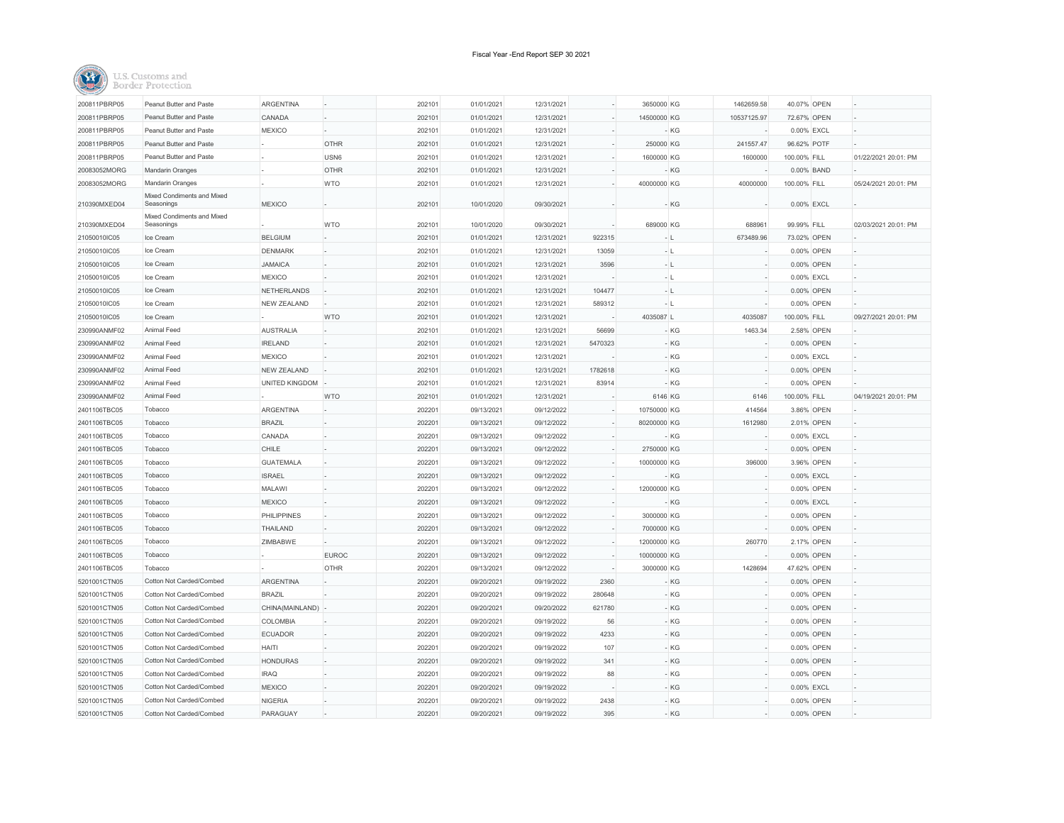| 200811PBRP05 | Peanut Butter and Paste                  | <b>ARGENTINA</b>   |                  | 202101 | 01/01/2021 | 12/31/2021 |         | 3650000 KG  |       | 1462659.58  | 40.07% OPEN  |                      |
|--------------|------------------------------------------|--------------------|------------------|--------|------------|------------|---------|-------------|-------|-------------|--------------|----------------------|
| 200811PBRP05 | Peanut Butter and Paste                  | CANADA             |                  | 202101 | 01/01/2021 | 12/31/2021 |         | 14500000 KG |       | 10537125.97 | 72.67% OPEN  |                      |
| 200811PBRP05 | Peanut Butter and Paste                  | <b>MEXICO</b>      |                  | 202101 | 01/01/2021 | 12/31/2021 |         |             | - KG  |             | 0.00% EXCL   |                      |
| 200811PBRP05 | Peanut Butter and Paste                  |                    | <b>OTHR</b>      | 202101 | 01/01/2021 | 12/31/2021 |         | 250000 KG   |       | 241557.47   | 96.62% POTF  |                      |
| 200811PBRP05 | Peanut Butter and Paste                  |                    | USN <sub>6</sub> | 202101 | 01/01/2021 | 12/31/2021 |         | 1600000 KG  |       | 1600000     | 100.00% FILL | 01/22/2021 20:01: PM |
| 20083052MORG | Mandarin Oranges                         |                    | <b>OTHR</b>      | 202101 | 01/01/2021 | 12/31/2021 |         |             | - KG  |             | 0.00% BAND   |                      |
| 20083052MORG | Mandarin Oranges                         |                    | <b>WTO</b>       | 202101 | 01/01/2021 | 12/31/2021 |         | 40000000 KG |       | 40000000    | 100.00% FILL | 05/24/2021 20:01: PM |
| 210390MXED04 | Mixed Condiments and Mixed<br>Seasonings | <b>MEXICO</b>      |                  | 202101 | 10/01/2020 | 09/30/2021 |         |             | - KG  |             | 0.00% EXCL   |                      |
| 210390MXED04 | Mixed Condiments and Mixed<br>Seasonings |                    | <b>WTO</b>       | 202101 | 10/01/2020 | 09/30/2021 |         | 689000 KG   |       | 688961      | 99.99% FILL  | 02/03/2021 20:01: PM |
| 21050010IC05 | Ice Cream                                | <b>BELGIUM</b>     |                  | 202101 | 01/01/2021 | 12/31/2021 | 922315  | - 11        |       | 673489.96   | 73.02% OPEN  |                      |
| 21050010IC05 | Ice Cream                                | <b>DENMARK</b>     |                  | 202101 | 01/01/2021 | 12/31/2021 | 13059   |             | - L   |             | 0.00% OPEN   |                      |
| 21050010IC05 | Ice Cream                                | <b>JAMAICA</b>     |                  | 202101 | 01/01/2021 | 12/31/2021 | 3596    | - L         |       |             | 0.00% OPEN   |                      |
| 21050010IC05 | Ice Cream                                | <b>MEXICO</b>      |                  | 202101 | 01/01/2021 | 12/31/2021 |         | - 1.        |       |             | 0.00% EXCL   |                      |
| 21050010IC05 | Ice Cream                                | NETHERLANDS        |                  | 202101 | 01/01/2021 | 12/31/2021 | 104477  | - 11        |       |             | 0.00% OPEN   |                      |
| 21050010IC05 | Ice Cream                                | NEW ZEALAND        |                  | 202101 | 01/01/2021 | 12/31/2021 | 589312  | - L         |       |             | 0.00% OPEN   |                      |
| 21050010IC05 | Ice Cream                                |                    | <b>WTO</b>       | 202101 | 01/01/2021 | 12/31/2021 |         | 4035087 L   |       | 4035087     | 100.00% FILL | 09/27/2021 20:01: PM |
| 230990ANMF02 | Animal Feed                              | <b>AUSTRALIA</b>   |                  | 202101 | 01/01/2021 | 12/31/2021 | 56699   |             | - KG  | 1463.34     | 2.58% OPEN   |                      |
| 230990ANMF02 | Animal Feed                              | <b>IRELAND</b>     |                  | 202101 | 01/01/2021 | 12/31/2021 | 5470323 |             | - KG  |             | 0.00% OPEN   |                      |
| 230990ANMF02 | Animal Feed                              | <b>MEXICO</b>      |                  | 202101 | 01/01/2021 | 12/31/2021 |         |             | - KG  |             | 0.00% EXCL   |                      |
| 230990ANMF02 | Animal Feed                              | NEW ZEALAND        |                  | 202101 | 01/01/2021 | 12/31/2021 | 1782618 |             | - KG  |             | 0.00% OPEN   |                      |
| 230990ANMF02 | Animal Feed                              | UNITED KINGDOM     |                  | 202101 | 01/01/2021 | 12/31/2021 | 83914   |             | - KG  |             | 0.00% OPEN   |                      |
| 230990ANMF02 | Animal Feed                              |                    | <b>WTO</b>       | 202101 | 01/01/2021 | 12/31/2021 |         | 6146 KG     |       | 6146        | 100.00% FILL | 04/19/2021 20:01: PM |
| 2401106TBC05 | Tobacco                                  | ARGENTINA          |                  | 202201 | 09/13/2021 | 09/12/2022 |         | 10750000 KG |       | 414564      | 3.86% OPEN   |                      |
| 2401106TBC05 | Tobacco                                  | <b>BRAZIL</b>      |                  | 202201 | 09/13/2021 | 09/12/2022 |         | 80200000 KG |       | 1612980     | 2.01% OPEN   |                      |
| 2401106TBC05 | Tobacco                                  | CANADA             |                  | 202201 | 09/13/2021 | 09/12/2022 |         |             | - KG  |             | 0.00% EXCL   |                      |
| 2401106TBC05 | Tobacco                                  | CHILE              |                  | 202201 | 09/13/2021 | 09/12/2022 |         | 2750000 KG  |       |             | 0.00% OPEN   |                      |
| 2401106TBC05 | Tobacco                                  | <b>GUATEMALA</b>   |                  | 202201 | 09/13/2021 | 09/12/2022 |         | 10000000 KG |       | 396000      | 3.96% OPEN   |                      |
| 2401106TBC05 | Tobacco                                  | <b>ISRAEL</b>      |                  | 202201 | 09/13/2021 | 09/12/2022 |         |             | $-KG$ |             | 0.00% EXCL   |                      |
| 2401106TBC05 | Tobacco                                  | MALAWI             |                  | 202201 | 09/13/2021 | 09/12/2022 |         | 12000000 KG |       |             | 0.00% OPEN   |                      |
| 2401106TBC05 | Tobacco                                  | <b>MEXICO</b>      |                  | 202201 | 09/13/2021 | 09/12/2022 |         |             | - KG  |             | 0.00% EXCL   |                      |
| 2401106TBC05 | Tobacco                                  | <b>PHILIPPINES</b> |                  | 202201 | 09/13/2021 | 09/12/2022 |         | 3000000 KG  |       |             | 0.00% OPEN   |                      |
| 2401106TBC05 | Tobacco                                  | THAILAND           |                  | 202201 | 09/13/2021 | 09/12/2022 |         | 7000000 KG  |       |             | 0.00% OPEN   |                      |
| 2401106TBC05 | Tobacco                                  | ZIMBABWE           |                  | 202201 | 09/13/2021 | 09/12/2022 |         | 12000000 KG |       | 260770      | 2.17% OPEN   |                      |
| 2401106TBC05 | Tobacco                                  |                    | <b>EUROC</b>     | 202201 | 09/13/2021 | 09/12/2022 |         | 10000000 KG |       |             | 0.00% OPEN   |                      |
| 2401106TBC05 | Tobacco                                  |                    | <b>OTHR</b>      | 202201 | 09/13/2021 | 09/12/2022 |         | 3000000 KG  |       | 1428694     | 47.62% OPEN  |                      |
| 5201001CTN05 | Cotton Not Carded/Combed                 | ARGENTINA          |                  | 202201 | 09/20/2021 | 09/19/2022 | 2360    |             | - KG  |             | 0.00% OPEN   |                      |
| 5201001CTN05 | Cotton Not Carded/Combed                 | <b>BRAZIL</b>      |                  | 202201 | 09/20/2021 | 09/19/2022 | 280648  |             | - KG  |             | 0.00% OPEN   |                      |
| 5201001CTN05 | Cotton Not Carded/Combed                 | CHINA(MAINLAND)    |                  | 202201 | 09/20/2021 | 09/20/2022 | 621780  |             | $-KG$ |             | 0.00% OPEN   |                      |
| 5201001CTN05 | Cotton Not Carded/Combed                 | COLOMBIA           |                  | 202201 | 09/20/2021 | 09/19/2022 | 56      |             | $-KG$ |             | 0.00% OPEN   |                      |
| 5201001CTN05 | Cotton Not Carded/Combed                 | <b>ECUADOR</b>     |                  | 202201 | 09/20/2021 | 09/19/2022 | 4233    |             | - KG  |             | 0.00% OPEN   |                      |
| 5201001CTN05 | Cotton Not Carded/Combed                 | <b>HAITI</b>       |                  | 202201 | 09/20/2021 | 09/19/2022 | 107     |             | - KG  |             | 0.00% OPEN   |                      |
| 5201001CTN05 | Cotton Not Carded/Combed                 | <b>HONDURAS</b>    |                  | 202201 | 09/20/2021 | 09/19/2022 | 341     |             | - KG  |             | 0.00% OPEN   |                      |
| 5201001CTN05 | Cotton Not Carded/Combed                 | <b>IRAQ</b>        |                  | 202201 | 09/20/2021 | 09/19/2022 | 88      |             | - KG  |             | 0.00% OPEN   |                      |
| 5201001CTN05 | Cotton Not Carded/Combed                 | <b>MEXICO</b>      |                  | 202201 | 09/20/2021 | 09/19/2022 |         |             | $-KG$ |             | 0.00% EXCL   |                      |
| 5201001CTN05 | Cotton Not Carded/Combed                 | <b>NIGERIA</b>     |                  | 202201 | 09/20/2021 | 09/19/2022 | 2438    |             | $-KG$ |             | 0.00% OPEN   |                      |
| 5201001CTN05 | Cotton Not Carded/Combed                 | PARAGUAY           |                  | 202201 | 09/20/2021 | 09/19/2022 | 395     |             | $-KG$ |             | 0.00% OPEN   |                      |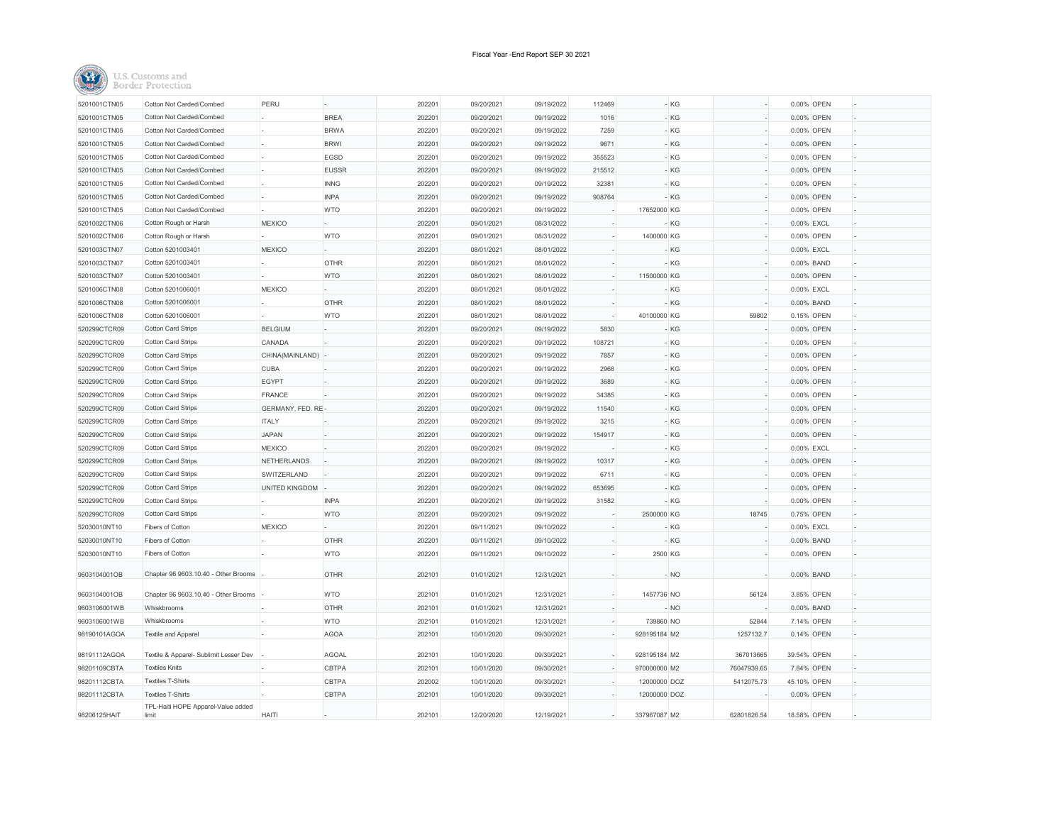

| 5201001CTN05 | Cotton Not Carded/Combed                    | PERU               |              | 202201 | 09/20/2021 | 09/19/2022 | 112469 |              | - KG  |             | 0.00% OPEN  |  |
|--------------|---------------------------------------------|--------------------|--------------|--------|------------|------------|--------|--------------|-------|-------------|-------------|--|
| 5201001CTN05 | Cotton Not Carded/Combed                    |                    | <b>BREA</b>  | 202201 | 09/20/2021 | 09/19/2022 | 1016   |              | $-KG$ |             | 0.00% OPEN  |  |
| 5201001CTN05 | Cotton Not Carded/Combed                    |                    | <b>BRWA</b>  | 202201 | 09/20/2021 | 09/19/2022 | 7259   |              | $-KG$ |             | 0.00% OPEN  |  |
| 5201001CTN05 | Cotton Not Carded/Combed                    |                    | <b>BRWI</b>  | 202201 | 09/20/2021 | 09/19/2022 | 9671   |              | $-KG$ |             | 0.00% OPEN  |  |
| 5201001CTN05 | Cotton Not Carded/Combed                    |                    | EGSD         | 202201 | 09/20/2021 | 09/19/2022 | 355523 |              | $-KG$ |             | 0.00% OPEN  |  |
| 5201001CTN05 | Cotton Not Carded/Combed                    |                    | <b>EUSSR</b> | 202201 | 09/20/2021 | 09/19/2022 | 215512 |              | $-KG$ |             | 0.00% OPEN  |  |
| 5201001CTN05 | Cotton Not Carded/Combed                    |                    | <b>INNG</b>  | 202201 | 09/20/2021 | 09/19/2022 | 32381  |              | - KG  |             | 0.00% OPEN  |  |
| 5201001CTN05 | Cotton Not Carded/Combed                    |                    | <b>INPA</b>  | 202201 | 09/20/2021 | 09/19/2022 | 908764 |              | - KG  |             | 0.00% OPEN  |  |
| 5201001CTN05 | Cotton Not Carded/Combed                    |                    | <b>WTO</b>   | 202201 | 09/20/2021 | 09/19/2022 |        | 17652000 KG  |       |             | 0.00% OPEN  |  |
| 5201002CTN06 | Cotton Rough or Harsh                       | <b>MEXICO</b>      |              | 202201 | 09/01/2021 | 08/31/2022 |        |              | - KG  |             | 0.00% EXCL  |  |
| 5201002CTN06 | Cotton Rough or Harsh                       |                    | <b>WTO</b>   | 202201 | 09/01/2021 | 08/31/2022 |        | 1400000 KG   |       |             | 0.00% OPEN  |  |
| 5201003CTN07 | Cotton 5201003401                           | <b>MEXICO</b>      |              | 202201 | 08/01/2021 | 08/01/2022 |        |              | - KG  |             | 0.00% EXCL  |  |
| 5201003CTN07 | Cotton 5201003401                           |                    | <b>OTHR</b>  | 202201 | 08/01/2021 | 08/01/2022 |        |              | - KG  |             | 0.00% BAND  |  |
| 5201003CTN07 | Cotton 5201003401                           |                    | <b>WTO</b>   | 202201 | 08/01/2021 | 08/01/2022 |        | 11500000 KG  |       |             | 0.00% OPEN  |  |
| 5201006CTN08 | Cotton 5201006001                           | <b>MEXICO</b>      |              | 202201 | 08/01/2021 | 08/01/2022 |        |              | - KG  |             | 0.00% EXCL  |  |
| 5201006CTN08 | Cotton 5201006001                           |                    | OTHR         | 202201 | 08/01/2021 | 08/01/2022 |        |              | - KG  |             | 0.00% BAND  |  |
| 5201006CTN08 | Cotton 5201006001                           |                    | <b>WTO</b>   | 202201 | 08/01/2021 | 08/01/2022 |        | 40100000 KG  |       | 59802       | 0.15% OPEN  |  |
| 520299CTCR09 | Cotton Card Strips                          | <b>BELGIUM</b>     |              | 202201 | 09/20/2021 | 09/19/2022 | 5830   |              | $-KG$ |             | 0.00% OPEN  |  |
| 520299CTCR09 | Cotton Card Strips                          | CANADA             |              | 202201 | 09/20/2021 | 09/19/2022 | 108721 |              | $-KG$ |             | 0.00% OPEN  |  |
| 520299CTCR09 | Cotton Card Strips                          | CHINA(MAINLAND)    |              | 202201 | 09/20/2021 | 09/19/2022 | 7857   |              | - KG  |             | 0.00% OPEN  |  |
| 520299CTCR09 | Cotton Card Strips                          | <b>CUBA</b>        |              | 202201 | 09/20/2021 | 09/19/2022 | 2968   |              | $-KG$ |             | 0.00% OPEN  |  |
| 520299CTCR09 | Cotton Card Strips                          | <b>EGYPT</b>       |              | 202201 | 09/20/2021 | 09/19/2022 | 3689   |              | $-KG$ |             | 0.00% OPEN  |  |
| 520299CTCR09 | Cotton Card Strips                          | <b>FRANCE</b>      |              | 202201 | 09/20/2021 | 09/19/2022 | 34385  |              | - KG  |             | 0.00% OPEN  |  |
| 520299CTCR09 | Cotton Card Strips                          | GERMANY, FED. RE   |              | 202201 | 09/20/2021 | 09/19/2022 | 11540  |              | $-KG$ |             | 0.00% OPEN  |  |
| 520299CTCR09 | Cotton Card Strips                          | <b>ITALY</b>       |              | 202201 | 09/20/2021 | 09/19/2022 | 3215   |              | $-KG$ |             | 0.00% OPEN  |  |
| 520299CTCR09 | <b>Cotton Card Strips</b>                   | <b>JAPAN</b>       |              | 202201 | 09/20/2021 | 09/19/2022 | 154917 |              | $-KG$ |             | 0.00% OPEN  |  |
| 520299CTCR09 | Cotton Card Strips                          | <b>MEXICO</b>      |              | 202201 | 09/20/2021 | 09/19/2022 |        |              | $-KG$ |             | 0.00% EXCL  |  |
| 520299CTCR09 | Cotton Card Strips                          | <b>NETHERLANDS</b> |              | 202201 | 09/20/2021 | 09/19/2022 | 10317  |              | - KG  |             | 0.00% OPEN  |  |
| 520299CTCR09 | Cotton Card Strips                          | SWITZERLAND        |              | 202201 | 09/20/2021 | 09/19/2022 | 6711   |              | $-KG$ |             | 0.00% OPEN  |  |
| 520299CTCR09 | Cotton Card Strips                          | UNITED KINGDOM     |              | 202201 | 09/20/2021 | 09/19/2022 | 653695 |              | - KG  |             | 0.00% OPEN  |  |
| 520299CTCR09 | <b>Cotton Card Strips</b>                   |                    | <b>INPA</b>  | 202201 | 09/20/2021 | 09/19/2022 | 31582  |              | - KG  |             | 0.00% OPEN  |  |
| 520299CTCR09 | Cotton Card Strips                          |                    | <b>WTO</b>   | 202201 | 09/20/2021 | 09/19/2022 |        | 2500000 KG   |       | 18745       | 0.75% OPEN  |  |
| 52030010NT10 | Fibers of Cotton                            | <b>MEXICO</b>      |              | 202201 | 09/11/2021 | 09/10/2022 |        |              | - KG  |             | 0.00% EXCL  |  |
| 52030010NT10 | Fibers of Cotton                            |                    | <b>OTHR</b>  | 202201 | 09/11/2021 | 09/10/2022 |        |              | $-KG$ |             | 0.00% BAND  |  |
| 52030010NT10 | Fibers of Cotton                            |                    | <b>WTO</b>   | 202201 | 09/11/2021 | 09/10/2022 |        | 2500 KG      |       |             | 0.00% OPEN  |  |
| 9603104001OB | Chapter 96 9603.10.40 - Other Brooms        |                    | <b>OTHR</b>  | 202101 | 01/01/2021 | 12/31/2021 |        |              | $-NO$ |             | 0.00% BAND  |  |
| 9603104001OB | Chapter 96 9603.10.40 - Other Brooms        |                    | <b>WTO</b>   | 202101 | 01/01/2021 | 12/31/2021 |        | 1457736 NO   |       | 56124       | 3.85% OPEN  |  |
| 9603106001WB | Whiskbrooms                                 |                    | <b>OTHR</b>  | 202101 | 01/01/2021 | 12/31/2021 |        |              | - NO  |             | 0.00% BAND  |  |
| 9603106001WB | Whiskbrooms                                 |                    | <b>WTO</b>   | 202101 | 01/01/2021 | 12/31/2021 |        | 739860 NO    |       | 52844       | 7.14% OPEN  |  |
| 98190101AGOA | Textile and Apparel                         |                    | <b>AGOA</b>  | 202101 | 10/01/2020 | 09/30/2021 |        | 928195184 M2 |       | 1257132.7   | 0.14% OPEN  |  |
| 98191112AGOA | Textile & Apparel- Sublimit Lesser Dev      |                    | <b>AGOAL</b> | 202101 | 10/01/2020 | 09/30/2021 |        | 928195184 M2 |       | 367013665   | 39.54% OPEN |  |
| 98201109CBTA | <b>Textiles Knits</b>                       |                    | CBTPA        | 202101 | 10/01/2020 | 09/30/2021 |        | 970000000 M2 |       | 76047939.65 | 7.84% OPEN  |  |
| 98201112CBTA | <b>Textiles T-Shirts</b>                    |                    | CBTPA        | 202002 | 10/01/2020 | 09/30/2021 |        | 12000000 DOZ |       | 5412075.73  | 45.10% OPEN |  |
| 98201112CBTA | <b>Textiles T-Shirts</b>                    |                    | <b>CBTPA</b> | 202101 | 10/01/2020 | 09/30/2021 |        | 12000000 DOZ |       |             | 0.00% OPEN  |  |
| 98206125HAIT | TPL-Haiti HOPE Apparel-Value added<br>limit | <b>HAITI</b>       |              | 202101 | 12/20/2020 | 12/19/2021 |        | 337967087 M2 |       | 62801826.54 | 18,58% OPEN |  |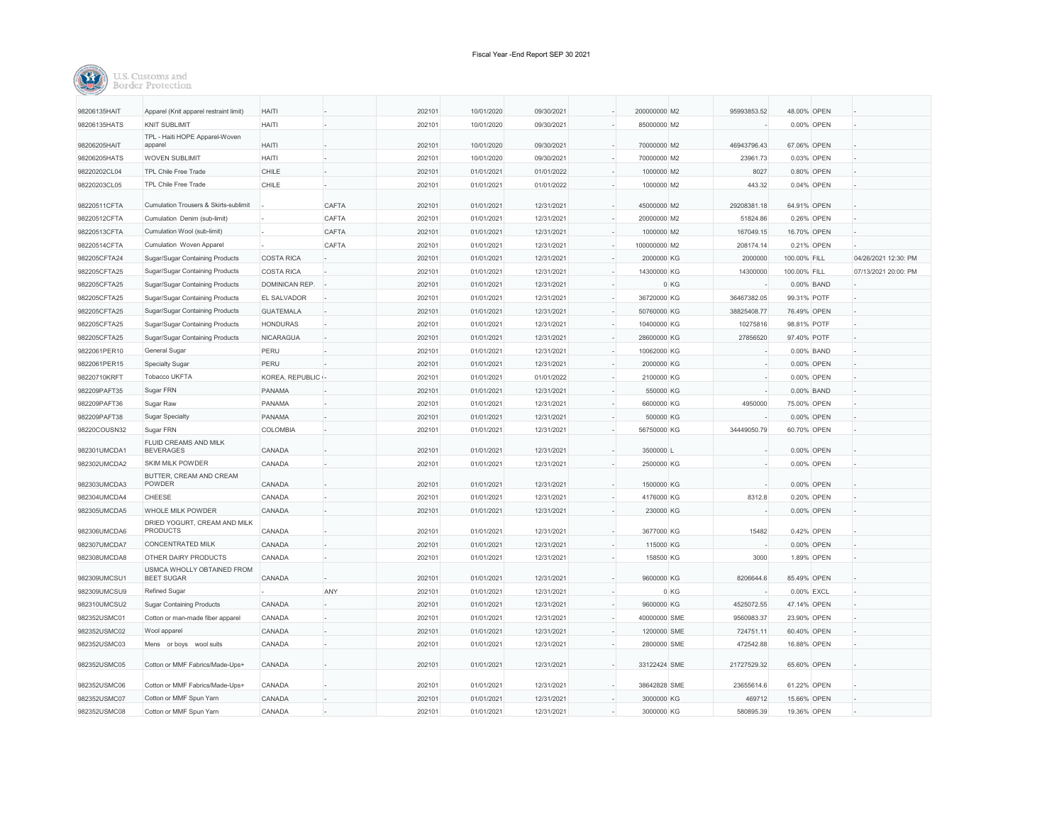

| 98206135HAIT | Apparel (Knit apparel restraint limit)          | HAITI                |       | 202101 | 10/01/2020 | 09/30/2021 | 200000000 M2 | 95993853.52 | 48.00% OPEN  |            |                      |
|--------------|-------------------------------------------------|----------------------|-------|--------|------------|------------|--------------|-------------|--------------|------------|----------------------|
| 98206135HATS | <b>KNIT SUBLIMIT</b>                            | <b>HAITI</b>         |       | 202101 | 10/01/2020 | 09/30/2021 | 85000000 M2  |             |              | 0.00% OPEN |                      |
|              | TPL - Haiti HOPE Apparel-Woven                  |                      |       |        |            |            |              |             |              |            |                      |
| 98206205HAIT | apparel                                         | <b>HAITI</b>         |       | 202101 | 10/01/2020 | 09/30/2021 | 70000000 M2  | 46943796.43 | 67.06% OPEN  |            |                      |
| 98206205HATS | <b>WOVEN SUBLIMIT</b>                           | <b>HAITI</b>         |       | 202101 | 10/01/2020 | 09/30/2021 | 70000000 M2  | 23961.73    |              | 0.03% OPEN |                      |
| 98220202CL04 | TPL Chile Free Trade                            | CHILE                |       | 202101 | 01/01/2021 | 01/01/2022 | 1000000 M2   | 8027        |              | 0.80% OPEN |                      |
| 98220203CL05 | TPL Chile Free Trade                            | CHILE                |       | 202101 | 01/01/2021 | 01/01/2022 | 1000000 M2   | 443.32      |              | 0.04% OPEN |                      |
| 98220511CFTA | Cumulation Trousers & Skirts-sublimit           |                      | CAFTA | 202101 | 01/01/2021 | 12/31/2021 | 45000000 M2  | 29208381.18 | 64.91% OPEN  |            |                      |
| 98220512CFTA | Cumulation Denim (sub-limit)                    |                      | CAFTA | 202101 | 01/01/2021 | 12/31/2021 | 20000000 M2  | 51824.86    |              | 0.26% OPEN |                      |
| 98220513CFTA | Cumulation Wool (sub-limit)                     |                      | CAFTA | 202101 | 01/01/2021 | 12/31/2021 | 1000000 M2   | 167049.15   | 16.70% OPEN  |            |                      |
| 98220514CFTA | Cumulation Woven Apparel                        |                      | CAFTA | 202101 | 01/01/2021 | 12/31/2021 | 100000000 M2 | 208174.14   |              | 0.21% OPEN |                      |
| 982205CFTA24 | Sugar/Sugar Containing Products                 | <b>COSTA RICA</b>    |       | 202101 | 01/01/2021 | 12/31/2021 | 2000000 KG   | 2000000     | 100.00% FILL |            | 04/26/2021 12:30: PM |
| 982205CFTA25 | Sugar/Sugar Containing Products                 | <b>COSTA RICA</b>    |       | 202101 | 01/01/2021 | 12/31/2021 | 14300000 KG  | 14300000    | 100.00% FILL |            | 07/13/2021 20:00: PM |
| 982205CFTA25 | Sugar/Sugar Containing Products                 | <b>DOMINICAN REP</b> |       | 202101 | 01/01/2021 | 12/31/2021 |              | 0 KG        | 0.00% BAND   |            |                      |
| 982205CFTA25 |                                                 |                      |       |        | 01/01/2021 |            |              | 36467382.05 |              |            |                      |
|              | Sugar/Sugar Containing Products                 | EL SALVADOR          |       | 202101 |            | 12/31/2021 | 36720000 KG  |             | 99.31% POTF  |            |                      |
| 982205CFTA25 | Sugar/Sugar Containing Products                 | <b>GUATEMALA</b>     |       | 202101 | 01/01/2021 | 12/31/2021 | 50760000 KG  | 38825408.77 | 76.49% OPEN  |            |                      |
| 982205CFTA25 | Sugar/Sugar Containing Products                 | <b>HONDURAS</b>      |       | 202101 | 01/01/2021 | 12/31/2021 | 10400000 KG  | 10275816    | 98.81% POTF  |            |                      |
| 982205CFTA25 | Sugar/Sugar Containing Products                 | NICARAGUA            |       | 202101 | 01/01/2021 | 12/31/2021 | 28600000 KG  | 27856520    | 97.40% POTF  |            |                      |
| 9822061PER10 | General Sugar                                   | PERU                 |       | 202101 | 01/01/2021 | 12/31/2021 | 10062000 KG  |             |              | 0.00% BAND |                      |
| 9822061PER15 | <b>Specialty Sugar</b>                          | PERU                 |       | 202101 | 01/01/2021 | 12/31/2021 | 2000000 KG   |             |              | 0.00% OPEN |                      |
| 98220710KRFT | Tobacco UKFTA                                   | KOREA, REPUBLIC      |       | 202101 | 01/01/2021 | 01/01/2022 | 2100000 KG   |             |              | 0.00% OPEN |                      |
| 982209PAFT35 | Sugar FRN                                       | PANAMA               |       | 202101 | 01/01/2021 | 12/31/2021 | 550000 KG    |             |              | 0.00% BAND |                      |
| 982209PAFT36 | Sugar Raw                                       | PANAMA               |       | 202101 | 01/01/2021 | 12/31/2021 | 6600000 KG   | 4950000     | 75.00% OPEN  |            |                      |
| 982209PAFT38 | Sugar Specialty                                 | PANAMA               |       | 202101 | 01/01/2021 | 12/31/2021 | 500000 KG    |             |              | 0.00% OPEN |                      |
| 98220COUSN32 | Sugar FRN                                       | COLOMBIA             |       | 202101 | 01/01/2021 | 12/31/2021 | 56750000 KG  | 34449050.79 | 60.70% OPEN  |            |                      |
| 982301UMCDA1 | FLUID CREAMS AND MILK<br><b>BEVERAGES</b>       | CANADA               |       | 202101 | 01/01/2021 | 12/31/2021 | 3500000 L    |             |              | 0.00% OPEN |                      |
| 982302UMCDA2 | SKIM MILK POWDER                                | CANADA               |       | 202101 | 01/01/2021 | 12/31/2021 | 2500000 KG   |             |              | 0.00% OPEN |                      |
| 982303UMCDA3 | BUTTER, CREAM AND CREAM<br>POWDER               | CANADA               |       | 202101 | 01/01/2021 | 12/31/2021 | 1500000 KG   |             |              | 0.00% OPEN |                      |
| 982304UMCDA4 | CHEESE                                          | CANADA               |       | 202101 | 01/01/2021 | 12/31/2021 | 4176000 KG   | 8312.8      |              | 0.20% OPEN |                      |
| 982305UMCDA5 | WHOLE MILK POWDER                               | CANADA               |       | 202101 | 01/01/2021 | 12/31/2021 | 230000 KG    |             |              | 0.00% OPEN |                      |
| 982306UMCDA6 | DRIED YOGURT, CREAM AND MILK<br>PRODUCTS        | CANADA               |       | 202101 | 01/01/2021 | 12/31/2021 | 3677000 KG   | 15482       |              | 0.42% OPEN |                      |
| 982307UMCDA7 | <b>CONCENTRATED MILK</b>                        | CANADA               |       | 202101 | 01/01/2021 | 12/31/2021 | 115000 KG    |             |              | 0.00% OPEN |                      |
| 982308UMCDA8 | OTHER DAIRY PRODUCTS                            | CANADA               |       | 202101 | 01/01/2021 | 12/31/2021 | 158500 KG    | 3000        |              | 1.89% OPEN |                      |
| 982309UMCSU1 | USMCA WHOLLY OBTAINED FROM<br><b>BEET SUGAR</b> | CANADA               |       | 202101 | 01/01/2021 | 12/31/2021 | 9600000 KG   | 8206644.6   | 85.49% OPEN  |            |                      |
| 982309UMCSU9 | Refined Sugar                                   |                      | ANY   | 202101 | 01/01/2021 | 12/31/2021 |              | 0 KG        | 0.00% EXCL   |            |                      |
| 982310UMCSU2 | <b>Sugar Containing Products</b>                | CANADA               |       | 202101 | 01/01/2021 | 12/31/2021 | 9600000 KG   | 4525072.55  | 47.14% OPEN  |            |                      |
| 982352USMC01 | Cotton or man-made fiber apparel                | CANADA               |       | 202101 | 01/01/2021 | 12/31/2021 | 40000000 SME | 9560983.37  | 23.90% OPEN  |            |                      |
| 982352USMC02 | Wool apparel                                    | CANADA               |       | 202101 | 01/01/2021 | 12/31/2021 | 1200000 SME  | 724751.11   | 60.40% OPEN  |            |                      |
| 982352USMC03 | Mens or boys wool suits                         | CANADA               |       | 202101 | 01/01/2021 | 12/31/2021 | 2800000 SME  | 472542.88   | 16.88% OPEN  |            |                      |
|              |                                                 |                      |       |        |            |            |              |             |              |            |                      |
| 982352USMC05 | Cotton or MMF Fabrics/Made-Ups+                 | CANADA               |       | 202101 | 01/01/2021 | 12/31/2021 | 33122424 SME | 21727529.32 | 65.60% OPEN  |            |                      |
| 982352USMC06 | Cotton or MMF Fabrics/Made-Ups+                 | CANADA               |       | 202101 | 01/01/2021 | 12/31/2021 | 38642828 SME | 23655614.6  | 61.22% OPEN  |            |                      |
| 982352USMC07 | Cotton or MMF Spun Yarn                         | CANADA               |       | 202101 | 01/01/2021 | 12/31/2021 | 3000000 KG   | 469712      | 15.66% OPEN  |            |                      |
| 982352USMC08 | Cotton or MMF Spun Yarn                         | CANADA               |       | 202101 | 01/01/2021 | 12/31/2021 | 3000000 KG   | 580895.39   | 19.36% OPEN  |            |                      |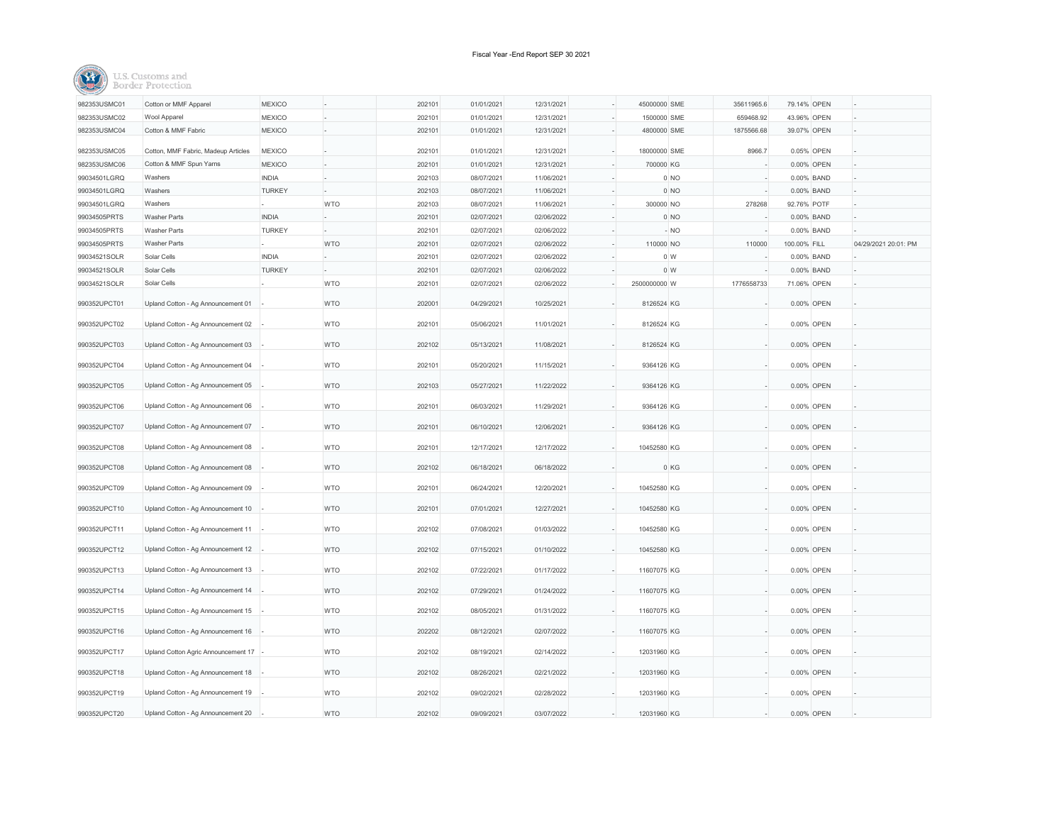| 982353USMC01 | Cotton or MMF Apparel                 | <b>MEXICO</b> |            | 202101 | 01/01/2021 | 12/31/2021 | 45000000 SME | 35611965.6     | 79.14% OPEN  |            |                      |
|--------------|---------------------------------------|---------------|------------|--------|------------|------------|--------------|----------------|--------------|------------|----------------------|
| 982353USMC02 | Wool Apparel                          | <b>MEXICO</b> |            | 202101 | 01/01/2021 | 12/31/2021 | 1500000 SME  | 659468.92      | 43.96% OPEN  |            |                      |
| 982353USMC04 | Cotton & MMF Fabric                   | <b>MEXICO</b> |            | 202101 | 01/01/2021 | 12/31/2021 | 4800000 SME  | 1875566.68     | 39.07% OPEN  |            |                      |
| 982353USMC05 | Cotton, MMF Fabric, Madeup Articles   | <b>MEXICO</b> |            | 202101 | 01/01/2021 | 12/31/2021 | 18000000 SME | 8966.7         |              | 0.05% OPEN |                      |
| 982353USMC06 | Cotton & MMF Spun Yarns               | <b>MEXICO</b> |            | 202101 | 01/01/2021 | 12/31/2021 | 700000 KG    |                |              | 0.00% OPEN |                      |
| 99034501LGRQ | Washers                               | <b>INDIA</b>  |            | 202103 | 08/07/2021 | 11/06/2021 |              | $0$ NO         |              | 0.00% BAND |                      |
| 99034501LGRQ | Washers                               | <b>TURKEY</b> |            | 202103 | 08/07/2021 | 11/06/2021 |              | $0$ NO         |              | 0.00% BAND |                      |
| 99034501LGRQ | Washers                               |               | <b>WTO</b> | 202103 | 08/07/2021 | 11/06/2021 | 300000 NO    | 278268         | 92.76% POTF  |            |                      |
| 99034505PRTS | Washer Parts                          | <b>INDIA</b>  |            | 202101 | 02/07/2021 | 02/06/2022 |              | $0$ NO         |              | 0.00% BAND |                      |
| 99034505PRTS | <b>Washer Parts</b>                   | <b>TURKEY</b> |            | 202101 | 02/07/2021 | 02/06/2022 |              | $-NO$          |              | 0.00% BAND |                      |
| 99034505PRTS | Washer Parts                          |               | <b>WTO</b> | 202101 | 02/07/2021 | 02/06/2022 | 110000 NO    | 110000         | 100.00% FILL |            | 04/29/2021 20:01: PM |
| 99034521SOLR | Solar Cells                           | <b>INDIA</b>  |            | 202101 | 02/07/2021 | 02/06/2022 |              | 0 <sub>W</sub> |              | 0.00% BAND |                      |
| 99034521SOLR | Solar Cells                           | <b>TURKEY</b> |            | 202101 | 02/07/2021 | 02/06/2022 |              | 0 <sub>W</sub> |              | 0.00% BAND |                      |
| 99034521SOLR | Solar Cells                           |               | <b>WTO</b> | 202101 | 02/07/2021 | 02/06/2022 | 2500000000 W | 1776558733     | 71.06% OPEN  |            |                      |
|              |                                       |               |            |        |            |            |              |                |              |            |                      |
| 990352UPCT01 | Upland Cotton - Ag Announcement 01    |               | <b>WTO</b> | 202001 | 04/29/2021 | 10/25/2021 | 8126524 KG   |                |              | 0.00% OPEN |                      |
|              |                                       |               |            |        |            |            |              |                |              |            |                      |
| 990352UPCT02 | Upland Cotton - Ag Announcement 02    |               | <b>WTO</b> | 202101 | 05/06/2021 | 11/01/2021 | 8126524 KG   |                |              | 0.00% OPEN |                      |
| 990352UPCT03 | Upland Cotton - Ag Announcement 03    |               | <b>WTO</b> | 202102 | 05/13/2021 | 11/08/2021 | 8126524 KG   |                |              | 0.00% OPEN |                      |
|              |                                       |               |            |        |            |            |              |                |              |            |                      |
| 990352UPCT04 | Upland Cotton - Ag Announcement 04    |               | <b>WTO</b> | 202101 | 05/20/2021 | 11/15/2021 | 9364126 KG   |                |              | 0.00% OPEN |                      |
| 990352UPCT05 | Upland Cotton - Ag Announcement 05    |               | <b>WTO</b> | 202103 | 05/27/2021 | 11/22/2022 | 9364126 KG   |                |              | 0.00% OPEN |                      |
|              |                                       |               |            |        |            |            |              |                |              |            |                      |
| 990352UPCT06 | Upland Cotton - Ag Announcement 06    |               | <b>WTO</b> | 202101 | 06/03/2021 | 11/29/2021 | 9364126 KG   |                |              | 0.00% OPEN |                      |
| 990352UPCT07 | Upland Cotton - Ag Announcement 07    |               | <b>WTO</b> | 202101 | 06/10/2021 | 12/06/2021 | 9364126 KG   |                |              | 0.00% OPEN |                      |
|              |                                       |               |            |        |            |            |              |                |              |            |                      |
| 990352UPCT08 | Upland Cotton - Ag Announcement 08    |               | <b>WTO</b> | 202101 | 12/17/2021 | 12/17/2022 | 10452580 KG  |                |              | 0.00% OPEN |                      |
| 990352UPCT08 | Upland Cotton - Ag Announcement 08    |               | <b>WTO</b> | 202102 | 06/18/2021 | 06/18/2022 |              | 0 KG           |              | 0.00% OPEN |                      |
|              |                                       |               |            |        |            |            |              |                |              |            |                      |
| 990352UPCT09 | Upland Cotton - Ag Announcement 09    |               | <b>WTO</b> | 202101 | 06/24/2021 | 12/20/2021 | 10452580 KG  |                |              | 0.00% OPEN |                      |
| 990352UPCT10 | Upland Cotton - Ag Announcement 10    |               | <b>WTO</b> | 202101 | 07/01/2021 | 12/27/2021 | 10452580 KG  |                |              | 0.00% OPEN |                      |
|              |                                       |               |            |        |            |            |              |                |              |            |                      |
| 990352UPCT11 | Upland Cotton - Ag Announcement 11    |               | <b>WTO</b> | 202102 | 07/08/2021 | 01/03/2022 | 10452580 KG  |                |              | 0.00% OPEN |                      |
| 990352UPCT12 | Upland Cotton - Ag Announcement 12    |               | <b>WTO</b> | 202102 | 07/15/2021 | 01/10/2022 | 10452580 KG  |                |              | 0.00% OPEN |                      |
|              |                                       |               |            |        |            |            |              |                |              |            |                      |
| 990352UPCT13 | Upland Cotton - Ag Announcement 13    |               | <b>WTO</b> | 202102 | 07/22/2021 | 01/17/2022 | 11607075 KG  |                |              | 0.00% OPEN |                      |
| 990352UPCT14 | Upland Cotton - Ag Announcement 14    |               | <b>WTO</b> | 202102 | 07/29/2021 | 01/24/2022 | 11607075 KG  |                |              | 0.00% OPEN |                      |
|              |                                       |               |            |        |            |            |              |                |              |            |                      |
| 990352UPCT15 | Upland Cotton - Ag Announcement 15    |               | <b>WTO</b> | 202102 | 08/05/2021 | 01/31/2022 | 11607075 KG  |                |              | 0.00% OPEN |                      |
| 990352UPCT16 | Upland Cotton - Ag Announcement 16    |               | <b>WTO</b> | 202202 | 08/12/2021 | 02/07/2022 | 11607075 KG  |                |              | 0.00% OPEN |                      |
|              |                                       |               |            |        |            |            |              |                |              |            |                      |
| 990352UPCT17 | Upland Cotton Agric Announcement 17 - |               | <b>WTO</b> | 202102 | 08/19/2021 | 02/14/2022 | 12031960 KG  |                |              | 0.00% OPEN |                      |
| 990352UPCT18 | Upland Cotton - Ag Announcement 18    |               | <b>WTO</b> | 202102 | 08/26/2021 | 02/21/2022 | 12031960 KG  |                |              | 0.00% OPEN |                      |
|              |                                       |               |            |        |            |            |              |                |              |            |                      |
| 990352UPCT19 | Upland Cotton - Ag Announcement 19    |               | <b>WTO</b> | 202102 | 09/02/2021 | 02/28/2022 | 12031960 KG  |                |              | 0.00% OPEN |                      |
|              |                                       |               |            |        |            |            |              |                |              |            |                      |
| 990352UPCT20 | Upland Cotton - Ag Announcement 20    |               | <b>WTO</b> | 202102 | 09/09/2021 | 03/07/2022 | 12031960 KG  |                |              | 0.00% OPEN |                      |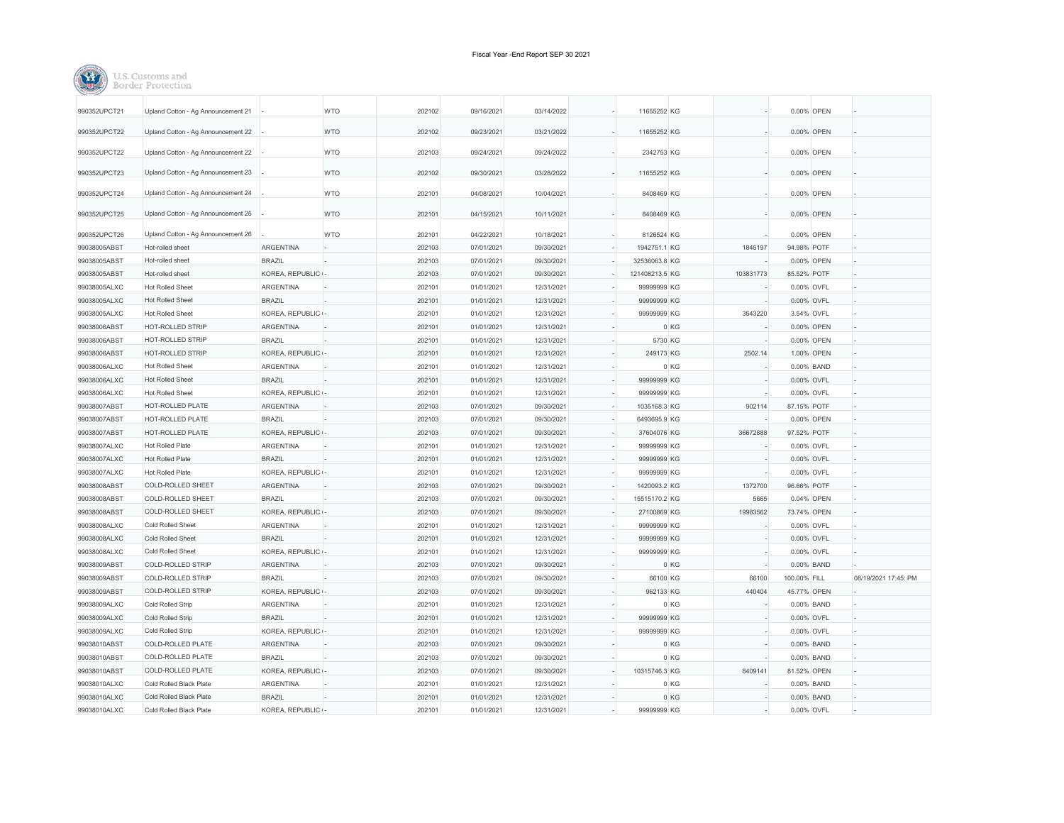| TT SL C<br>iefome ann |
|-----------------------|
|                       |

| 990352UPCT21 | Upland Cotton - Ag Announcement 21 |                  | <b>WTO</b> | 202102 | 09/16/2021 | 03/14/2022 | 11655252 KG    |           |              | 0.00% OPEN  |                      |
|--------------|------------------------------------|------------------|------------|--------|------------|------------|----------------|-----------|--------------|-------------|----------------------|
| 990352UPCT22 | Upland Cotton - Ag Announcement 22 |                  | <b>WTO</b> | 202102 | 09/23/2021 | 03/21/2022 | 11655252 KG    |           |              | 0.00% OPEN  |                      |
| 990352UPCT22 | Upland Cotton - Ag Announcement 22 |                  | <b>WTO</b> | 202103 | 09/24/2021 | 09/24/2022 | 2342753 KG     |           |              | 0.00% OPEN  |                      |
|              |                                    |                  |            |        |            |            |                |           |              |             |                      |
| 990352UPCT23 | Upland Cotton - Ag Announcement 23 |                  | <b>WTO</b> | 202102 | 09/30/2021 | 03/28/2022 | 11655252 KG    |           |              | 0.00% OPEN  |                      |
| 990352UPCT24 | Upland Cotton - Ag Announcement 24 |                  | <b>WTO</b> | 202101 | 04/08/2021 | 10/04/2021 | 8408469 KG     |           |              | 0.00% OPEN  |                      |
| 990352UPCT25 | Upland Cotton - Ag Announcement 25 |                  | <b>WTO</b> | 202101 | 04/15/2021 | 10/11/2021 | 8408469 KG     |           |              | 0.00% OPEN  |                      |
| 990352UPCT26 | Upland Cotton - Ag Announcement 26 |                  | <b>WTO</b> | 202101 | 04/22/2021 | 10/18/2021 | 8126524 KG     |           |              | 0.00% OPEN  |                      |
| 99038005ABST | Hot-rolled sheet                   | ARGENTINA        |            | 202103 | 07/01/2021 | 09/30/2021 | 1942751.1 KG   | 1845197   | 94.98% POTF  |             |                      |
| 99038005ABST | Hot-rolled sheet                   | <b>BRAZIL</b>    |            | 202103 | 07/01/2021 | 09/30/2021 | 32536063.8 KG  |           |              | 0.00% OPEN  |                      |
| 99038005ABST | Hot-rolled sheet                   | KOREA, REPUBLIC  |            | 202103 | 07/01/2021 | 09/30/2021 | 121408213.5 KG | 103831773 | 85.52% POTF  |             |                      |
| 99038005ALXC | <b>Hot Rolled Sheet</b>            | <b>ARGENTINA</b> |            | 202101 | 01/01/2021 | 12/31/2021 | 99999999 KG    |           |              | 0.00% OVFL  |                      |
| 99038005ALXC | <b>Hot Rolled Sheet</b>            | <b>BRAZIL</b>    |            | 202101 | 01/01/2021 | 12/31/2021 | 99999999 KG    |           |              | 0.00% OVFL  |                      |
| 99038005ALXC | <b>Hot Rolled Sheet</b>            | KOREA, REPUBLIC  |            | 202101 | 01/01/2021 | 12/31/2021 | 99999999 KG    | 3543220   |              | 3.54% OVFL  |                      |
| 99038006ABST | HOT-ROLLED STRIP                   | ARGENTINA        |            | 202101 | 01/01/2021 | 12/31/2021 |                | 0 KG      |              | 0.00% OPEN  |                      |
| 99038006ABST | HOT-ROLLED STRIP                   | <b>BRAZIL</b>    |            | 202101 | 01/01/2021 | 12/31/2021 | 5730 KG        |           |              | 0.00% OPEN  |                      |
| 99038006ABST | HOT-ROLLED STRIP                   | KOREA, REPUBLIC  |            | 202101 | 01/01/2021 | 12/31/2021 | 249173 KG      | 2502.14   |              | 1.00% OPEN  |                      |
| 99038006ALXC | <b>Hot Rolled Sheet</b>            | <b>ARGENTINA</b> |            | 202101 | 01/01/2021 | 12/31/2021 |                | 0 KG      |              | 0.00% BAND  |                      |
| 99038006ALXC | <b>Hot Rolled Sheet</b>            | <b>BRAZIL</b>    |            | 202101 | 01/01/2021 | 12/31/2021 | 99999999 KG    |           |              | 0.00% OVFL  |                      |
| 99038006ALXC | <b>Hot Rolled Sheet</b>            | KOREA, REPUBLIC  |            | 202101 | 01/01/2021 | 12/31/2021 | 99999999 KG    |           |              | 0.00% OVFL  |                      |
| 99038007ABST | HOT-ROLLED PLATE                   | <b>ARGENTINA</b> |            | 202103 | 07/01/2021 | 09/30/2021 | 1035168.3 KG   | 902114    | 87.15% POTF  |             |                      |
| 99038007ABST | HOT-ROLLED PLATE                   | <b>BRAZIL</b>    |            | 202103 | 07/01/2021 | 09/30/2021 | 6493695.9 KG   |           |              | 0.00% OPEN  |                      |
| 99038007ABST | HOT-ROLLED PLATE                   | KOREA, REPUBLIC  |            | 202103 | 07/01/2021 | 09/30/2021 | 37604076 KG    | 36672888  | 97.52% POTF  |             |                      |
| 99038007ALXC | <b>Hot Rolled Plate</b>            | <b>ARGENTINA</b> |            | 202101 | 01/01/2021 | 12/31/2021 | 99999999 KG    |           |              | 0.00% OVFL  |                      |
| 99038007ALXC | <b>Hot Rolled Plate</b>            | <b>BRAZIL</b>    |            | 202101 | 01/01/2021 | 12/31/2021 | 99999999 KG    |           |              | 0.00% OVFL  |                      |
| 99038007ALXC | <b>Hot Rolled Plate</b>            | KOREA, REPUBLIC  |            | 202101 | 01/01/2021 | 12/31/2021 | 99999999 KG    |           |              | 0.00% OVFL  |                      |
| 99038008ABST | COLD-ROLLED SHEET                  | <b>ARGENTINA</b> |            | 202103 | 07/01/2021 | 09/30/2021 | 1420093.2 KG   | 1372700   | 96.66% POTF  |             |                      |
| 99038008ABST | COLD-ROLLED SHEET                  | <b>BRAZIL</b>    |            | 202103 | 07/01/2021 | 09/30/2021 | 15515170.2 KG  | 5665      |              | 0.04% OPEN  |                      |
| 99038008ABST | COLD-ROLLED SHEET                  | KOREA, REPUBLIC  |            | 202103 | 07/01/2021 | 09/30/2021 | 27100869 KG    | 19983562  | 73.74% OPEN  |             |                      |
| 99038008ALXC | Cold Rolled Sheet                  | <b>ARGENTINA</b> |            | 202101 | 01/01/2021 | 12/31/2021 | 99999999 KG    |           |              | 0.00% OVFL  |                      |
| 99038008ALXC | Cold Rolled Sheet                  | <b>BRAZIL</b>    |            | 202101 | 01/01/2021 | 12/31/2021 | 99999999 KG    |           |              | 0.00% OVFL  |                      |
| 99038008ALXC | Cold Rolled Sheet                  | KOREA, REPUBLIC  |            | 202101 | 01/01/2021 | 12/31/2021 | 99999999 KG    |           |              | 0.00% OVFL  |                      |
| 99038009ABST | COLD-ROLLED STRIP                  | <b>ARGENTINA</b> |            | 202103 | 07/01/2021 | 09/30/2021 |                |           |              |             |                      |
|              | COLD-ROLLED STRIP                  |                  |            |        |            |            |                | 0 KG      |              | 0.00% BAND  |                      |
| 99038009ABST | COLD-ROLLED STRIP                  | <b>BRAZIL</b>    |            | 202103 | 07/01/2021 | 09/30/2021 | 66100 KG       | 66100     | 100.00% FILL |             | 08/19/2021 17:45: PM |
| 99038009ABST |                                    | KOREA, REPUBLIC  |            | 202103 | 07/01/2021 | 09/30/2021 | 962133 KG      | 440404    | 45.77% OPEN  |             |                      |
| 99038009ALXC | Cold Rolled Strip                  | <b>ARGENTINA</b> |            | 202101 | 01/01/2021 | 12/31/2021 |                | 0 KG      |              | 0.00% BAND  |                      |
| 99038009ALXC | Cold Rolled Strip                  | <b>BRAZIL</b>    |            | 202101 | 01/01/2021 | 12/31/2021 | 99999999 KG    |           |              | 0.00% OVFL  |                      |
| 99038009ALXC | Cold Rolled Strip                  | KOREA, REPUBLIC  |            | 202101 | 01/01/2021 | 12/31/2021 | 99999999 KG    |           |              | 0.00% OVFL  |                      |
| 99038010ABST | COLD-ROLLED PLATE                  | <b>ARGENTINA</b> |            | 202103 | 07/01/2021 | 09/30/2021 |                | 0 KG      |              | 0.00% BAND  |                      |
| 99038010ABST | COLD-ROLLED PLATE                  | <b>BRAZIL</b>    |            | 202103 | 07/01/2021 | 09/30/2021 |                | 0 KG      |              | 0.00% BAND  |                      |
| 99038010ABST | COLD-ROLLED PLATE                  | KOREA, REPUBLIC  |            | 202103 | 07/01/2021 | 09/30/2021 | 10315746.3 KG  | 8409141   |              | 81.52% OPEN |                      |
| 99038010ALXC | Cold Rolled Black Plate            | <b>ARGENTINA</b> |            | 202101 | 01/01/2021 | 12/31/2021 |                | 0 KG      |              | 0.00% BAND  |                      |
| 99038010ALXC | Cold Rolled Black Plate            | <b>BRAZIL</b>    |            | 202101 | 01/01/2021 | 12/31/2021 |                | 0 KG      |              | 0.00% BAND  |                      |
| 99038010ALXC | Cold Rolled Black Plate            | KOREA, REPUBLIC  |            | 202101 | 01/01/2021 | 12/31/2021 | 99999999 KG    |           |              | 0.00% OVFL  |                      |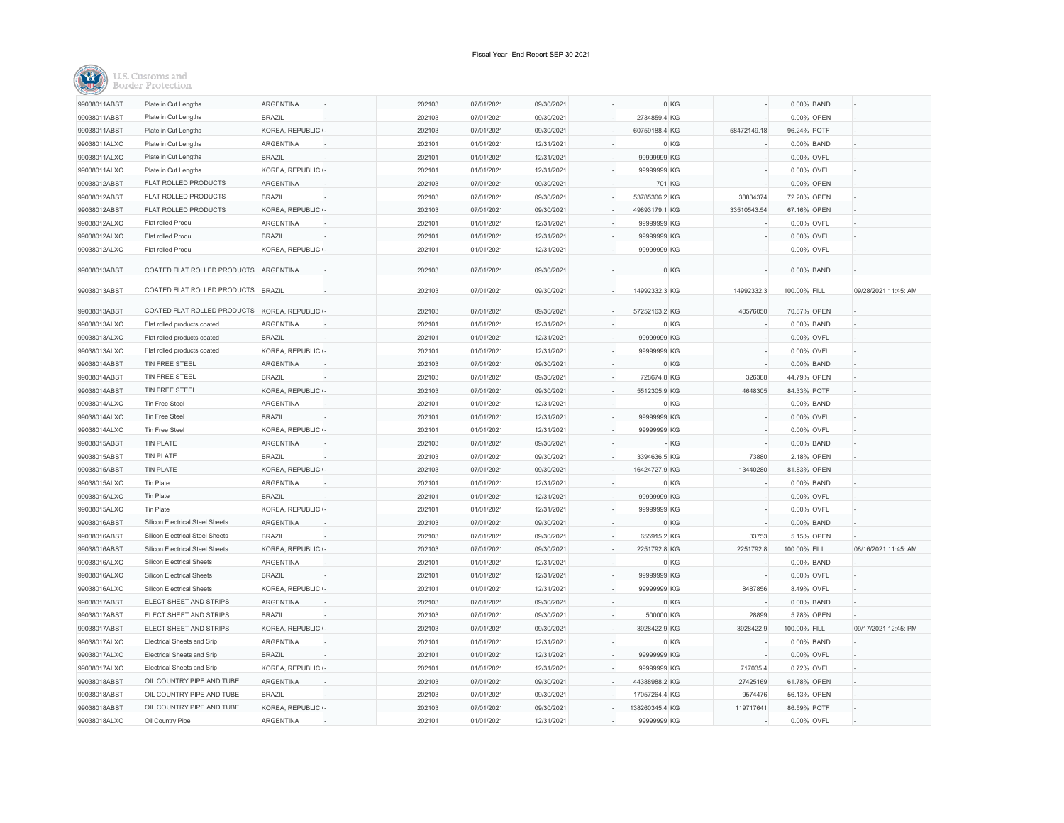| 99038011ABST | Plate in Cut Lengths                   | ARGENTINA         | 202103 | 07/01/2021 | 09/30/2021 |                | 0 KG        |              | 0.00% BAND |                      |
|--------------|----------------------------------------|-------------------|--------|------------|------------|----------------|-------------|--------------|------------|----------------------|
| 99038011ABST | Plate in Cut Lengths                   | <b>BRAZIL</b>     | 202103 | 07/01/2021 | 09/30/2021 | 2734859.4 KG   |             |              | 0.00% OPEN |                      |
| 99038011ABST | Plate in Cut Lengths                   | KOREA, REPUBLIC - | 202103 | 07/01/2021 | 09/30/2021 | 60759188.4 KG  | 58472149.18 | 96.24% POTF  |            |                      |
| 99038011ALXC | Plate in Cut Lengths                   | <b>ARGENTINA</b>  | 202101 | 01/01/2021 | 12/31/2021 |                | 0 KG        |              | 0.00% BAND |                      |
| 99038011ALXC | Plate in Cut Lengths                   | <b>BRAZIL</b>     | 202101 | 01/01/2021 | 12/31/2021 | 99999999 KG    |             | 0.00% OVFL   |            |                      |
| 99038011ALXC | Plate in Cut Lengths                   | KOREA, REPUBLIC - | 202101 | 01/01/2021 | 12/31/2021 | 99999999 KG    |             | 0.00% OVFL   |            |                      |
| 99038012ABST | FLAT ROLLED PRODUCTS                   | <b>ARGENTINA</b>  | 202103 | 07/01/2021 | 09/30/2021 | 701 KG         |             |              | 0.00% OPEN |                      |
| 99038012ABST | FLAT ROLLED PRODUCTS                   | <b>BRAZIL</b>     | 202103 | 07/01/2021 | 09/30/2021 | 53785306.2 KG  | 38834374    | 72.20% OPEN  |            |                      |
| 99038012ABST | FLAT ROLLED PRODUCTS                   | KOREA, REPUBLIC   | 202103 | 07/01/2021 | 09/30/2021 | 49893179.1 KG  | 33510543.54 | 67.16% OPEN  |            |                      |
| 99038012ALXC | Flat rolled Produ                      | <b>ARGENTINA</b>  | 202101 | 01/01/2021 | 12/31/2021 | 99999999 KG    |             | 0.00% OVFL   |            |                      |
| 99038012ALXC | Flat rolled Produ                      | <b>BRAZIL</b>     | 202101 | 01/01/2021 | 12/31/2021 | 99999999 KG    |             | 0.00% OVFL   |            |                      |
| 99038012ALXC | Flat rolled Produ                      | KOREA, REPUBLIC - | 202101 | 01/01/2021 | 12/31/2021 | 99999999 KG    |             | 0.00% OVFL   |            |                      |
|              |                                        |                   |        |            |            |                |             |              |            |                      |
| 99038013ABST | COATED FLAT ROLLED PRODUCTS ARGENTINA  |                   | 202103 | 07/01/2021 | 09/30/2021 |                | 0 KG        |              | 0.00% BAND |                      |
| 99038013ABST | COATED FLAT ROLLED PRODUCTS            | <b>BRAZIL</b>     | 202103 | 07/01/2021 | 09/30/2021 | 14992332.3 KG  | 14992332.3  | 100.00% FILL |            | 09/28/2021 11:45: AM |
|              |                                        |                   |        |            |            |                |             |              |            |                      |
| 99038013ABST | COATED FLAT ROLLED PRODUCTS            | KOREA, REPUBLIC   | 202103 | 07/01/2021 | 09/30/2021 | 57252163.2 KG  | 40576050    | 70.87% OPEN  |            |                      |
| 99038013ALXC | Flat rolled products coated            | ARGENTINA         | 202101 | 01/01/2021 | 12/31/2021 |                | 0 KG        |              | 0.00% BAND |                      |
| 99038013ALXC | Flat rolled products coated            | <b>BRAZIL</b>     | 202101 | 01/01/2021 | 12/31/2021 | 99999999 KG    |             | 0.00% OVFL   |            |                      |
| 99038013ALXC | Flat rolled products coated            | KOREA, REPUBLIC - | 202101 | 01/01/2021 | 12/31/2021 | 99999999 KG    |             | 0.00% OVFL   |            |                      |
| 99038014ABST | TIN FREE STEEL                         | <b>ARGENTINA</b>  | 202103 | 07/01/2021 | 09/30/2021 |                | 0 KG        |              | 0.00% BAND |                      |
| 99038014ABST | TIN FREE STEEL                         | <b>BRAZIL</b>     | 202103 | 07/01/2021 | 09/30/2021 | 728674.8 KG    | 326388      | 44.79% OPEN  |            |                      |
| 99038014ABST | TIN FREE STEEL                         | KOREA, REPUBLIC   | 202103 | 07/01/2021 | 09/30/2021 | 5512305.9 KG   | 4648305     | 84.33% POTF  |            |                      |
| 99038014ALXC | Tin Free Steel                         | ARGENTINA         | 202101 | 01/01/2021 | 12/31/2021 |                | 0 KG        |              | 0.00% BAND |                      |
| 99038014ALXC | <b>Tin Free Steel</b>                  | <b>BRAZIL</b>     | 202101 | 01/01/2021 | 12/31/2021 | 99999999 KG    |             | 0.00% OVFL   |            |                      |
| 99038014ALXC | <b>Tin Free Steel</b>                  | KOREA, REPUBLIC   | 202101 | 01/01/2021 | 12/31/2021 | 99999999 KG    |             | 0.00% OVFL   |            |                      |
| 99038015ABST | <b>TIN PLATE</b>                       | ARGENTINA         | 202103 | 07/01/2021 | 09/30/2021 |                | $-KG$       |              | 0.00% BAND |                      |
| 99038015ABST | <b>TIN PLATE</b>                       | <b>BRAZIL</b>     | 202103 | 07/01/2021 | 09/30/2021 | 3394636.5 KG   | 73880       |              | 2.18% OPEN |                      |
| 99038015ABST | <b>TIN PLATE</b>                       | KOREA, REPUBLIC - | 202103 | 07/01/2021 | 09/30/2021 | 16424727.9 KG  | 13440280    | 81.83% OPEN  |            |                      |
| 99038015ALXC | Tin Plate                              | <b>ARGENTINA</b>  | 202101 | 01/01/2021 | 12/31/2021 |                | 0 KG        |              | 0.00% BAND |                      |
| 99038015ALXC | Tin Plate                              | <b>BRAZIL</b>     | 202101 | 01/01/2021 | 12/31/2021 | 99999999 KG    |             | 0.00% OVFL   |            |                      |
| 99038015ALXC | Tin Plate                              | KOREA, REPUBLIC   | 202101 | 01/01/2021 | 12/31/2021 | 99999999 KG    |             | 0.00% OVFL   |            |                      |
| 99038016ABST | <b>Silicon Electrical Steel Sheets</b> | <b>ARGENTINA</b>  | 202103 | 07/01/2021 | 09/30/2021 |                | 0 KG        |              | 0.00% BAND |                      |
| 99038016ABST | <b>Silicon Electrical Steel Sheets</b> | <b>BRAZIL</b>     | 202103 | 07/01/2021 | 09/30/2021 | 655915.2 KG    | 33753       |              | 5.15% OPEN |                      |
| 99038016ABST | <b>Silicon Electrical Steel Sheets</b> | KOREA, REPUBLIC   | 202103 | 07/01/2021 | 09/30/2021 | 2251792.8 KG   | 2251792.8   | 100.00% FILL |            | 08/16/2021 11:45: AM |
| 99038016ALXC | Silicon Electrical Sheets              | <b>ARGENTINA</b>  | 202101 | 01/01/2021 | 12/31/2021 |                | 0 KG        |              | 0.00% BAND |                      |
| 99038016ALXC | <b>Silicon Electrical Sheets</b>       | <b>BRAZIL</b>     | 202101 | 01/01/2021 | 12/31/2021 | 99999999 KG    |             | 0.00% OVFL   |            |                      |
| 99038016ALXC | Silicon Electrical Sheets              | KOREA, REPUBLIC - | 202101 | 01/01/2021 | 12/31/2021 | 99999999 KG    | 8487856     | 8.49% OVFL   |            |                      |
| 99038017ABST | ELECT SHEET AND STRIPS                 | <b>ARGENTINA</b>  | 202103 | 07/01/2021 | 09/30/2021 |                | 0 KG        |              | 0.00% BAND |                      |
| 99038017ABST | ELECT SHEET AND STRIPS                 | <b>BRAZIL</b>     | 202103 | 07/01/2021 | 09/30/2021 | 500000 KG      | 28899       |              | 5.78% OPEN |                      |
| 99038017ABST | ELECT SHEET AND STRIPS                 | KOREA, REPUBLIC   | 202103 | 07/01/2021 | 09/30/2021 | 3928422.9 KG   | 3928422.9   | 100.00% FILL |            | 09/17/2021 12:45: PM |
| 99038017ALXC | Electrical Sheets and Srip             | <b>ARGENTINA</b>  | 202101 | 01/01/2021 | 12/31/2021 |                | 0 KG        |              | 0.00% BAND |                      |
| 99038017ALXC | Electrical Sheets and Srip             | <b>BRAZIL</b>     | 202101 | 01/01/2021 | 12/31/2021 | 99999999 KG    |             | 0.00% OVFL   |            |                      |
| 99038017ALXC | Electrical Sheets and Srip             | KOREA, REPUBLIC - | 202101 | 01/01/2021 | 12/31/2021 | 99999999 KG    | 717035.4    | 0.72% OVFL   |            |                      |
| 99038018ABST | OIL COUNTRY PIPE AND TUBE              | <b>ARGENTINA</b>  | 202103 | 07/01/2021 | 09/30/2021 | 44388988.2 KG  | 27425169    | 61.78% OPEN  |            |                      |
| 99038018ABST | OIL COUNTRY PIPE AND TUBE              | <b>BRAZIL</b>     | 202103 | 07/01/2021 | 09/30/2021 | 17057264.4 KG  | 9574476     | 56.13% OPEN  |            |                      |
| 99038018ABST | OIL COUNTRY PIPE AND TUBE              | KOREA, REPUBLIC - | 202103 | 07/01/2021 | 09/30/2021 | 138260345.4 KG | 119717641   | 86.59% POTF  |            |                      |
| 99038018ALXC | Oil Country Pipe                       | <b>ARGENTINA</b>  | 202101 | 01/01/2021 | 12/31/2021 | 99999999 KG    |             | 0.00% OVFL   |            |                      |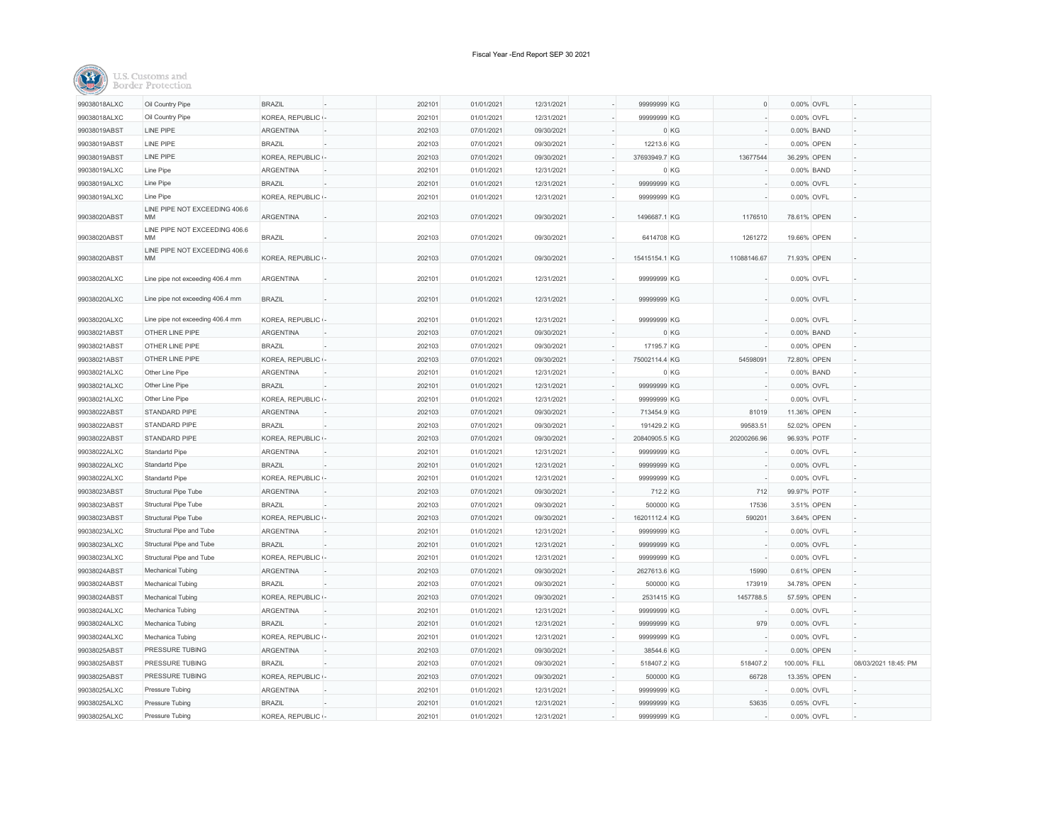|--|

| 99038018ALXC | Oil Country Pipe                    | <b>BRAZIL</b>    | 202101 | 01/01/2021 | 12/31/2021 | 99999999 KG   |          | $\circ$     | 0.00% OVFL   |                      |
|--------------|-------------------------------------|------------------|--------|------------|------------|---------------|----------|-------------|--------------|----------------------|
| 99038018ALXC | Oil Country Pipe                    | KOREA, REPUBLIC  | 202101 | 01/01/2021 | 12/31/2021 | 99999999 KG   |          |             | 0.00% OVFL   |                      |
| 99038019ABST | LINE PIPE                           | <b>ARGENTINA</b> | 202103 | 07/01/2021 | 09/30/2021 |               | 0 KG     |             | 0.00% BAND   |                      |
| 99038019ABST | <b>LINE PIPE</b>                    | <b>BRAZIL</b>    | 202103 | 07/01/2021 | 09/30/2021 | 12213.6 KG    |          |             | 0.00% OPEN   |                      |
| 99038019ABST | <b>LINE PIPE</b>                    | KOREA, REPUBLIC  | 202103 | 07/01/2021 | 09/30/2021 | 37693949.7 KG |          | 13677544    | 36.29% OPEN  |                      |
| 99038019ALXC | Line Pipe                           | <b>ARGENTINA</b> | 202101 | 01/01/2021 | 12/31/2021 |               | 0 KG     |             | 0.00% BAND   |                      |
| 99038019ALXC | Line Pipe                           | <b>BRAZIL</b>    | 202101 | 01/01/2021 | 12/31/2021 | 99999999 KG   |          |             | 0.00% OVFL   |                      |
| 99038019ALXC | Line Pipe                           | KOREA, REPUBLIC  | 202101 | 01/01/2021 | 12/31/2021 | 99999999 KG   |          |             | 0.00% OVFL   |                      |
| 99038020ABST | LINE PIPE NOT EXCEEDING 406.6<br>MM | ARGENTINA        | 202103 | 07/01/2021 | 09/30/2021 | 1496687.1 KG  |          | 1176510     | 78.61% OPEN  |                      |
| 99038020ABST | LINE PIPE NOT EXCEEDING 406.6<br>MM | <b>BRAZIL</b>    | 202103 | 07/01/2021 | 09/30/2021 | 6414708 KG    |          | 1261272     | 19.66% OPEN  |                      |
|              | LINE PIPE NOT EXCEEDING 406.6       |                  |        |            |            |               |          |             |              |                      |
| 99038020ABST | <b>MM</b>                           | KOREA, REPUBLIC  | 202103 | 07/01/2021 | 09/30/2021 | 15415154.1 KG |          | 11088146.67 | 71.93% OPEN  |                      |
| 99038020ALXC | Line pipe not exceeding 406.4 mm    | ARGENTINA        | 202101 | 01/01/2021 | 12/31/2021 | 99999999 KG   |          |             | 0.00% OVFL   |                      |
| 99038020ALXC | Line pipe not exceeding 406.4 mm    | <b>BRAZIL</b>    | 202101 | 01/01/2021 | 12/31/2021 | 99999999 KG   |          |             | 0.00% OVFL   |                      |
| 99038020ALXC | Line pipe not exceeding 406.4 mm    | KOREA, REPUBLIC  | 202101 | 01/01/2021 | 12/31/2021 | 99999999 KG   |          |             | 0.00% OVFL   |                      |
| 99038021ABST | OTHER LINE PIPE                     | ARGENTINA        | 202103 | 07/01/2021 | 09/30/2021 |               | 0 KG     |             | 0.00% BAND   |                      |
| 99038021ABST | OTHER LINE PIPE                     | <b>BRAZIL</b>    | 202103 | 07/01/2021 | 09/30/2021 | 17195.7 KG    |          |             | 0.00% OPEN   |                      |
| 99038021ABST | OTHER LINE PIPE                     | KOREA, REPUBLIC  | 202103 | 07/01/2021 | 09/30/2021 | 75002114.4 KG |          | 54598091    | 72.80% OPEN  |                      |
| 99038021ALXC | Other Line Pipe                     | ARGENTINA        | 202101 | 01/01/2021 | 12/31/2021 |               | 0 KG     |             | 0.00% BAND   |                      |
| 99038021ALXC | Other Line Pipe                     | <b>BRAZIL</b>    | 202101 | 01/01/2021 | 12/31/2021 | 99999999 KG   |          |             | 0.00% OVFL   |                      |
| 99038021ALXC | Other Line Pipe                     | KOREA, REPUBLIC  | 202101 | 01/01/2021 | 12/31/2021 | 99999999 KG   |          |             | 0.00% OVFL   |                      |
| 99038022ABST | STANDARD PIPE                       | <b>ARGENTINA</b> | 202103 | 07/01/2021 | 09/30/2021 | 713454.9 KG   |          | 81019       | 11.36% OPEN  |                      |
| 99038022ABST | STANDARD PIPE                       | <b>BRAZIL</b>    | 202103 | 07/01/2021 | 09/30/2021 | 191429.2 KG   |          | 99583.51    | 52.02% OPEN  |                      |
| 99038022ABST | STANDARD PIPE                       | KOREA, REPUBLIC  | 202103 | 07/01/2021 | 09/30/2021 | 20840905.5 KG |          | 20200266.96 | 96.93% POTF  |                      |
| 99038022ALXC | Standartd Pipe                      | <b>ARGENTINA</b> | 202101 | 01/01/2021 | 12/31/2021 | 99999999 KG   |          |             | 0.00% OVFL   |                      |
| 99038022ALXC | Standartd Pipe                      | <b>BRAZIL</b>    | 202101 | 01/01/2021 | 12/31/2021 | 99999999 KG   |          |             | 0.00% OVFL   |                      |
| 99038022ALXC | Standartd Pipe                      | KOREA, REPUBLIC  | 202101 | 01/01/2021 | 12/31/2021 | 99999999 KG   |          |             | 0.00% OVFL   |                      |
| 99038023ABST | Structural Pipe Tube                | <b>ARGENTINA</b> | 202103 | 07/01/2021 | 09/30/2021 |               | 712.2 KG | 712         | 99.97% POTF  |                      |
| 99038023ABST | Structural Pipe Tube                | <b>BRAZIL</b>    | 202103 | 07/01/2021 | 09/30/2021 | 500000 KG     |          | 17536       | 3.51% OPEN   |                      |
| 99038023ABST | <b>Structural Pipe Tube</b>         | KOREA, REPUBLIC  | 202103 | 07/01/2021 | 09/30/2021 | 16201112.4 KG |          | 590201      | 3.64% OPEN   |                      |
| 99038023ALXC | Structural Pipe and Tube            | <b>ARGENTINA</b> | 202101 | 01/01/2021 | 12/31/2021 | 99999999 KG   |          |             | 0.00% OVFL   |                      |
| 99038023ALXC | Structural Pipe and Tube            | <b>BRAZIL</b>    | 202101 | 01/01/2021 | 12/31/2021 | 99999999 KG   |          |             | 0.00% OVFL   |                      |
| 99038023ALXC | Structural Pipe and Tube            | KOREA, REPUBLIC  | 202101 | 01/01/2021 | 12/31/2021 | 99999999 KG   |          |             | 0.00% OVFL   |                      |
| 99038024ABST | Mechanical Tubing                   | ARGENTINA        | 202103 | 07/01/2021 | 09/30/2021 | 2627613.6 KG  |          | 15990       | 0.61% OPEN   |                      |
| 99038024ABST | Mechanical Tubing                   | <b>BRAZIL</b>    | 202103 | 07/01/2021 | 09/30/2021 | 500000 KG     |          | 173919      | 34.78% OPEN  |                      |
| 99038024ABST | Mechanical Tubing                   | KOREA, REPUBLIC  | 202103 | 07/01/2021 | 09/30/2021 | 2531415 KG    |          | 1457788.5   | 57.59% OPEN  |                      |
| 99038024ALXC | Mechanica Tubing                    | <b>ARGENTINA</b> | 202101 | 01/01/2021 | 12/31/2021 | 99999999 KG   |          |             | 0.00% OVFL   |                      |
| 99038024ALXC | Mechanica Tubing                    | <b>BRAZIL</b>    | 202101 | 01/01/2021 | 12/31/2021 | 99999999 KG   |          | 979         | 0.00% OVFL   |                      |
| 99038024ALXC | Mechanica Tubing                    | KOREA, REPUBLIC  | 202101 | 01/01/2021 | 12/31/2021 | 99999999 KG   |          |             | 0.00% OVFL   |                      |
| 99038025ABST | PRESSURE TUBING                     | ARGENTINA        | 202103 | 07/01/2021 | 09/30/2021 | 38544.6 KG    |          |             | 0.00% OPEN   |                      |
| 99038025ABST | PRESSURE TUBING                     | <b>BRAZIL</b>    | 202103 | 07/01/2021 | 09/30/2021 | 518407.2 KG   |          | 518407.2    | 100.00% FILL | 08/03/2021 18:45: PM |
| 99038025ABST | PRESSURE TUBING                     | KOREA, REPUBLIC  | 202103 | 07/01/2021 | 09/30/2021 | 500000 KG     |          | 66728       | 13.35% OPEN  |                      |
| 99038025ALXC | Pressure Tubing                     | <b>ARGENTINA</b> | 202101 | 01/01/2021 | 12/31/2021 | 99999999 KG   |          |             | 0.00% OVFL   |                      |
| 99038025ALXC | Pressure Tubing                     | <b>BRAZIL</b>    | 202101 | 01/01/2021 | 12/31/2021 | 99999999 KG   |          | 53635       | 0.05% OVFL   |                      |
| 99038025ALXC | Pressure Tubing                     | KOREA, REPUBLIC  | 202101 | 01/01/2021 | 12/31/2021 | 99999999 KG   |          |             | 0.00% OVFL   |                      |
|              |                                     |                  |        |            |            |               |          |             |              |                      |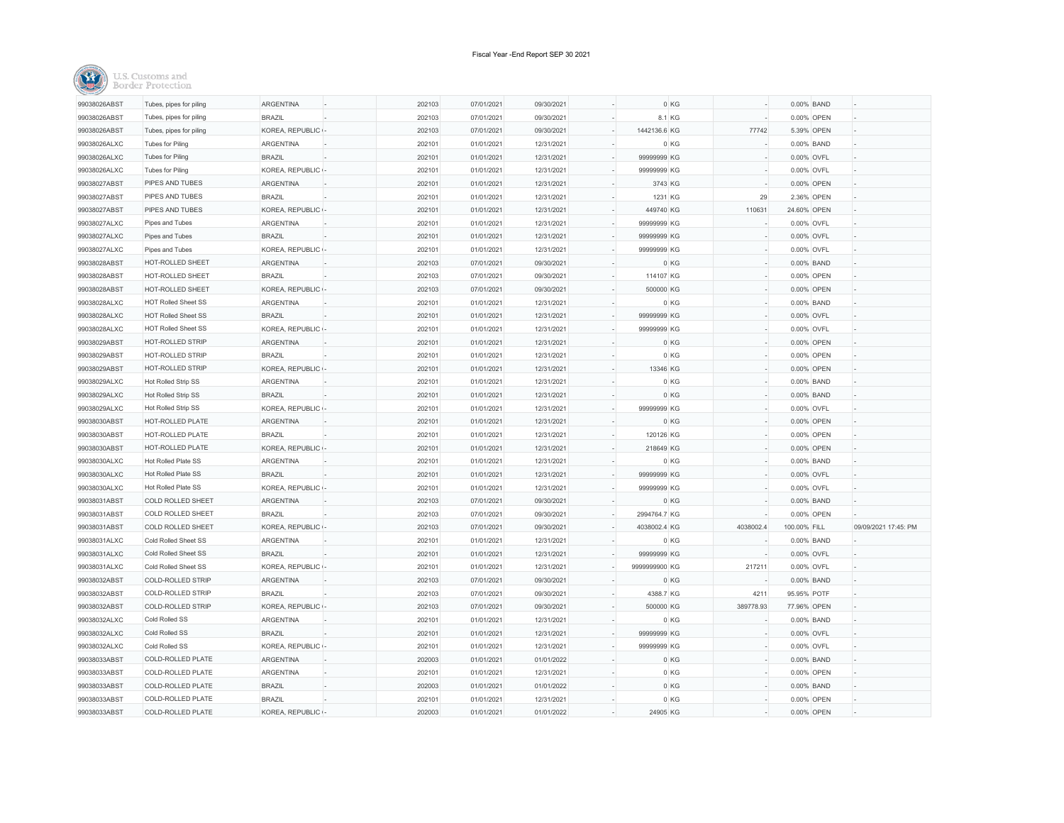| 99038026ABST | Tubes, pipes for piling    | <b>ARGENTINA</b>  | 202103 | 07/01/2021 | 09/30/2021 |               | 0 KG      | 0.00% BAND   |                      |
|--------------|----------------------------|-------------------|--------|------------|------------|---------------|-----------|--------------|----------------------|
| 99038026ABST | Tubes, pipes for piling    | <b>BRAZIL</b>     | 202103 | 07/01/2021 | 09/30/2021 |               | 8.1 KG    | 0.00% OPEN   |                      |
| 99038026ABST | Tubes, pipes for piling    | KOREA, REPUBLIC - | 202103 | 07/01/2021 | 09/30/2021 | 1442136.6 KG  | 77742     | 5.39% OPEN   |                      |
| 99038026ALXC | <b>Tubes for Piling</b>    | <b>ARGENTINA</b>  | 202101 | 01/01/2021 | 12/31/2021 |               | 0 KG      | 0.00% BAND   |                      |
| 99038026ALXC | <b>Tubes for Piling</b>    | <b>BRAZIL</b>     | 202101 | 01/01/2021 | 12/31/2021 | 99999999 KG   |           | 0.00% OVFL   |                      |
| 99038026ALXC | <b>Tubes for Piling</b>    | KOREA, REPUBLIC   | 202101 | 01/01/2021 | 12/31/2021 | 99999999 KG   |           | 0.00% OVFL   |                      |
| 99038027ABST | PIPES AND TUBES            | <b>ARGENTINA</b>  | 202101 | 01/01/2021 | 12/31/2021 | 3743 KG       |           | 0.00% OPEN   |                      |
| 99038027ABST | PIPES AND TUBES            | <b>BRAZIL</b>     | 202101 | 01/01/2021 | 12/31/2021 | 1231 KG       | 29        | 2.36% OPEN   |                      |
| 99038027ABST | PIPES AND TUBES            | KOREA, REPUBLIC   | 202101 | 01/01/2021 | 12/31/2021 | 449740 KG     | 110631    | 24.60% OPEN  |                      |
| 99038027ALXC | Pipes and Tubes            | <b>ARGENTINA</b>  | 202101 | 01/01/2021 | 12/31/2021 | 99999999 KG   |           | 0.00% OVFL   |                      |
| 99038027ALXC | Pipes and Tubes            | <b>BRAZIL</b>     | 202101 | 01/01/2021 | 12/31/2021 | 99999999 KG   |           | 0.00% OVFL   |                      |
| 99038027ALXC | Pipes and Tubes            | KOREA, REPUBLIC - | 202101 | 01/01/2021 | 12/31/2021 | 99999999 KG   |           | 0.00% OVFL   |                      |
| 99038028ABST | HOT-ROLLED SHEET           | ARGENTINA         | 202103 | 07/01/2021 | 09/30/2021 |               | 0 KG      | 0.00% BAND   |                      |
| 99038028ABST | HOT-ROLLED SHEET           | <b>BRAZIL</b>     | 202103 | 07/01/2021 | 09/30/2021 | 114107 KG     |           | 0.00% OPEN   |                      |
| 99038028ABST | HOT-ROLLED SHEET           | KOREA, REPUBLIC - | 202103 | 07/01/2021 | 09/30/2021 | 500000 KG     |           | 0.00% OPEN   |                      |
| 99038028ALXC | <b>HOT Rolled Sheet SS</b> | ARGENTINA         | 202101 | 01/01/2021 | 12/31/2021 |               | 0 KG      | 0.00% BAND   |                      |
| 99038028ALXC | <b>HOT Rolled Sheet SS</b> | <b>BRAZIL</b>     | 202101 | 01/01/2021 | 12/31/2021 | 99999999 KG   |           | 0.00% OVFL   |                      |
| 99038028ALXC | <b>HOT Rolled Sheet SS</b> | KOREA, REPUBLIC - | 202101 | 01/01/2021 | 12/31/2021 | 99999999 KG   |           | 0.00% OVFL   |                      |
| 99038029ABST | HOT-ROLLED STRIP           | <b>ARGENTINA</b>  | 202101 | 01/01/2021 | 12/31/2021 |               | 0 KG      | 0.00% OPEN   |                      |
| 99038029ABST | <b>HOT-ROLLED STRIP</b>    | <b>BRAZIL</b>     | 202101 | 01/01/2021 | 12/31/2021 |               | 0 KG      | 0.00% OPEN   |                      |
| 99038029ABST | HOT-ROLLED STRIP           | KOREA, REPUBLIC - | 202101 | 01/01/2021 | 12/31/2021 | 13346 KG      |           | 0.00% OPEN   |                      |
| 99038029ALXC | Hot Rolled Strip SS        | <b>ARGENTINA</b>  | 202101 | 01/01/2021 | 12/31/2021 |               | 0 KG      | 0.00% BAND   |                      |
| 99038029ALXC | Hot Rolled Strip SS        | <b>BRAZIL</b>     | 202101 | 01/01/2021 | 12/31/2021 |               | 0 KG      | 0.00% BAND   |                      |
| 99038029ALXC | Hot Rolled Strip SS        | KOREA, REPUBLIC - | 202101 | 01/01/2021 | 12/31/2021 | 99999999 KG   |           | 0.00% OVFL   |                      |
| 99038030ABST | HOT-ROLLED PLATE           | ARGENTINA         | 202101 | 01/01/2021 | 12/31/2021 |               | 0 KG      | 0.00% OPEN   |                      |
| 99038030ABST | HOT-ROLLED PLATE           | <b>BRAZIL</b>     | 202101 | 01/01/2021 | 12/31/2021 | 120126 KG     |           | 0.00% OPEN   |                      |
| 99038030ABST | HOT-ROLLED PLATE           | KOREA, REPUBLIC - | 202101 | 01/01/2021 | 12/31/2021 | 218649 KG     |           | 0.00% OPEN   |                      |
| 99038030ALXC | Hot Rolled Plate SS        | <b>ARGENTINA</b>  | 202101 | 01/01/2021 | 12/31/2021 |               | 0 KG      | 0.00% BAND   |                      |
| 99038030ALXC | Hot Rolled Plate SS        | <b>BRAZIL</b>     | 202101 | 01/01/2021 | 12/31/2021 | 99999999 KG   |           | 0.00% OVFL   |                      |
| 99038030ALXC | Hot Rolled Plate SS        | KOREA, REPUBLIC   | 202101 | 01/01/2021 | 12/31/2021 | 99999999 KG   |           | 0.00% OVFL   |                      |
| 99038031ABST | <b>COLD ROLLED SHEET</b>   | <b>ARGENTINA</b>  | 202103 | 07/01/2021 | 09/30/2021 |               | 0 KG      | 0.00% BAND   |                      |
| 99038031ABST | COLD ROLLED SHEET          | <b>BRAZIL</b>     | 202103 | 07/01/2021 | 09/30/2021 | 2994764.7 KG  |           | 0.00% OPEN   |                      |
| 99038031ABST | COLD ROLLED SHEET          | KOREA, REPUBLIC - | 202103 | 07/01/2021 | 09/30/2021 | 4038002.4 KG  | 4038002.4 | 100.00% FILL | 09/09/2021 17:45: PM |
| 99038031ALXC | Cold Rolled Sheet SS       | ARGENTINA         | 202101 | 01/01/2021 | 12/31/2021 |               | 0 KG      | 0.00% BAND   |                      |
| 99038031ALXC | Cold Rolled Sheet SS       | <b>BRAZIL</b>     | 202101 | 01/01/2021 | 12/31/2021 | 99999999 KG   |           | 0.00% OVFL   |                      |
| 99038031ALXC | Cold Rolled Sheet SS       | KOREA, REPUBLIC   | 202101 | 01/01/2021 | 12/31/2021 | 9999999900 KG | 217211    | 0.00% OVFL   |                      |
| 99038032ABST | COLD-ROLLED STRIP          | ARGENTINA         | 202103 | 07/01/2021 | 09/30/2021 |               | 0 KG      | 0.00% BAND   |                      |
| 99038032ABST | COLD-ROLLED STRIP          | <b>BRAZIL</b>     | 202103 | 07/01/2021 | 09/30/2021 | 4388.7 KG     | 4211      | 95.95% POTF  |                      |
| 99038032ABST | <b>COLD-ROLLED STRIP</b>   | KOREA, REPUBLIC   | 202103 | 07/01/2021 | 09/30/2021 | 500000 KG     | 389778.93 | 77.96% OPEN  |                      |
| 99038032ALXC | Cold Rolled SS             | <b>ARGENTINA</b>  | 202101 | 01/01/2021 | 12/31/2021 |               | 0 KG      | 0.00% BAND   |                      |
| 99038032ALXC | Cold Rolled SS             | <b>BRAZIL</b>     | 202101 | 01/01/2021 | 12/31/2021 | 99999999 KG   |           | 0.00% OVFL   |                      |
| 99038032ALXC | Cold Rolled SS             | KOREA, REPUBLIC - | 202101 | 01/01/2021 | 12/31/2021 | 99999999 KG   |           | 0.00% OVFL   |                      |
| 99038033ABST | COLD-ROLLED PLATE          | ARGENTINA         | 202003 | 01/01/2021 | 01/01/2022 |               | 0 KG      | 0.00% BAND   |                      |
| 99038033ABST | COLD-ROLLED PLATE          | <b>ARGENTINA</b>  | 202101 | 01/01/2021 | 12/31/2021 |               | 0 KG      | 0.00% OPEN   |                      |
| 99038033ABST | COLD-ROLLED PLATE          | <b>BRAZIL</b>     | 202003 | 01/01/2021 | 01/01/2022 |               | 0 KG      | 0.00% BAND   |                      |
| 99038033ABST | COLD-ROLLED PLATE          | <b>BRAZIL</b>     | 202101 | 01/01/2021 | 12/31/2021 |               | 0 KG      | 0.00% OPEN   |                      |
| 99038033ABST | <b>COLD-ROLLED PLATE</b>   | KOREA, REPUBLIC   | 202003 | 01/01/2021 | 01/01/2022 | 24905 KG      |           | 0.00% OPEN   |                      |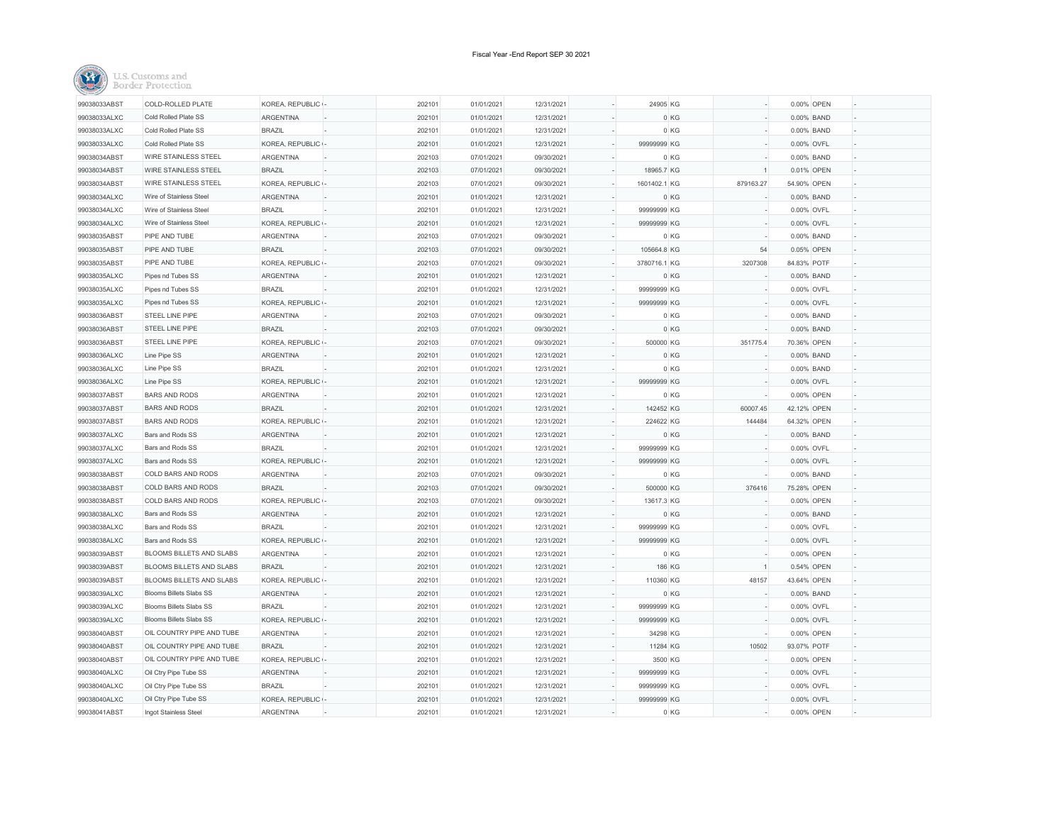| 99038033ABST | COLD-ROLLED PLATE               | KOREA, REPUBLIC - | 202101 | 01/01/2021 | 12/31/2021 | 24905 KG                      |           |                | 0.00% OPEN  |  |
|--------------|---------------------------------|-------------------|--------|------------|------------|-------------------------------|-----------|----------------|-------------|--|
| 99038033ALXC | Cold Rolled Plate SS            | <b>ARGENTINA</b>  | 202101 | 01/01/2021 | 12/31/2021 |                               | 0 KG      |                | 0.00% BAND  |  |
| 99038033ALXC | Cold Rolled Plate SS            | <b>BRAZIL</b>     | 202101 | 01/01/2021 | 12/31/2021 |                               | 0KG       |                | 0.00% BAND  |  |
| 99038033ALXC | Cold Rolled Plate SS            | KOREA, REPUBLIC - | 202101 | 01/01/2021 | 12/31/2021 | 99999999 KG                   |           |                | 0.00% OVFL  |  |
| 99038034ABST | <b>WIRE STAINLESS STEEL</b>     | <b>ARGENTINA</b>  | 202103 | 07/01/2021 | 09/30/2021 |                               | 0 KG      |                | 0.00% BAND  |  |
| 99038034ABST | <b>WIRE STAINLESS STEEL</b>     | <b>BRAZIL</b>     | 202103 | 07/01/2021 | 09/30/2021 | 18965.7 KG                    |           | $\overline{1}$ | 0.01% OPEN  |  |
| 99038034ABST | <b>WIRE STAINLESS STEEL</b>     | KOREA, REPUBLIC - | 202103 | 07/01/2021 | 09/30/2021 | 1601402.1 KG                  | 879163.27 |                | 54.90% OPEN |  |
| 99038034ALXC | Wire of Stainless Steel         | ARGENTINA         | 202101 | 01/01/2021 | 12/31/2021 |                               | 0 KG      |                | 0.00% BAND  |  |
| 99038034ALXC | Wire of Stainless Steel         | <b>BRAZIL</b>     | 202101 | 01/01/2021 | 12/31/2021 | 99999999 KG                   |           |                | 0.00% OVFL  |  |
| 99038034ALXC | Wire of Stainless Steel         | KOREA, REPUBLIC - | 202101 | 01/01/2021 | 12/31/2021 | 99999999 KG                   |           |                | 0.00% OVFL  |  |
| 99038035ABST | PIPE AND TUBE                   | <b>ARGENTINA</b>  | 202103 | 07/01/2021 | 09/30/2021 |                               | 0 KG      |                | 0.00% BAND  |  |
| 99038035ABST | PIPE AND TUBE                   | <b>BRAZIL</b>     | 202103 | 07/01/2021 | 09/30/2021 | 105664.8 KG                   |           | 54             | 0.05% OPEN  |  |
| 99038035ABST | PIPE AND TUBE                   | KOREA, REPUBLIC - | 202103 | 07/01/2021 | 09/30/2021 | 3780716.1 KG                  | 3207308   |                | 84.83% POTF |  |
| 99038035ALXC | Pipes nd Tubes SS               | <b>ARGENTINA</b>  | 202101 | 01/01/2021 | 12/31/2021 |                               | 0 KG      |                | 0.00% BAND  |  |
| 99038035ALXC | Pipes nd Tubes SS               | <b>BRAZIL</b>     | 202101 | 01/01/2021 | 12/31/2021 | $\overline{a}$<br>99999999 KG |           |                | 0.00% OVFL  |  |
| 99038035ALXC | Pipes nd Tubes SS               | KOREA, REPUBLIC   | 202101 | 01/01/2021 | 12/31/2021 | 99999999 KG                   |           |                | 0.00% OVFL  |  |
| 99038036ABST | STEEL LINE PIPE                 | <b>ARGENTINA</b>  | 202103 | 07/01/2021 | 09/30/2021 |                               | 0 KG      |                | 0.00% BAND  |  |
| 99038036ABST | STEEL LINE PIPE                 | <b>BRAZIL</b>     | 202103 | 07/01/2021 | 09/30/2021 |                               | 0 KG      |                | 0.00% BAND  |  |
| 99038036ABST | STEEL LINE PIPE                 | KOREA, REPUBLIC - | 202103 | 07/01/2021 | 09/30/2021 | 500000 KG                     | 351775.4  |                | 70.36% OPEN |  |
| 99038036ALXC | Line Pipe SS                    | <b>ARGENTINA</b>  | 202101 | 01/01/2021 | 12/31/2021 |                               | 0 KG      |                | 0.00% BAND  |  |
| 99038036ALXC | Line Pipe SS                    | <b>BRAZIL</b>     | 202101 | 01/01/2021 | 12/31/2021 |                               | 0 KG      |                | 0.00% BAND  |  |
| 99038036ALXC | Line Pipe SS                    | KOREA, REPUBLIC   | 202101 | 01/01/2021 | 12/31/2021 | 99999999 KG                   |           |                | 0.00% OVFL  |  |
| 99038037ABST | <b>BARS AND RODS</b>            | ARGENTINA         | 202101 | 01/01/2021 | 12/31/2021 |                               | 0 KG      |                | 0.00% OPEN  |  |
| 99038037ABST | <b>BARS AND RODS</b>            | <b>BRAZIL</b>     | 202101 | 01/01/2021 | 12/31/2021 | 142452 KG                     | 60007.45  |                | 42.12% OPEN |  |
| 99038037ABST | <b>BARS AND RODS</b>            | KOREA, REPUBLIC - | 202101 | 01/01/2021 | 12/31/2021 | 224622 KG                     | 144484    |                | 64.32% OPEN |  |
| 99038037ALXC | Bars and Rods SS                | ARGENTINA         | 202101 | 01/01/2021 | 12/31/2021 |                               | 0 KG      |                | 0.00% BAND  |  |
| 99038037ALXC | Bars and Rods SS                | <b>BRAZIL</b>     | 202101 | 01/01/2021 | 12/31/2021 | 99999999 KG                   |           |                | 0.00% OVFL  |  |
| 99038037ALXC | Bars and Rods SS                | KOREA, REPUBLIC - | 202101 | 01/01/2021 | 12/31/2021 | 99999999 KG                   |           |                | 0.00% OVFL  |  |
| 99038038ABST | COLD BARS AND RODS              | <b>ARGENTINA</b>  | 202103 | 07/01/2021 | 09/30/2021 |                               | 0 KG      |                | 0.00% BAND  |  |
| 99038038ABST | COLD BARS AND RODS              | <b>BRAZIL</b>     | 202103 | 07/01/2021 | 09/30/2021 | 500000 KG                     | 376416    |                | 75.28% OPEN |  |
| 99038038ABST | COLD BARS AND RODS              | KOREA, REPUBLIC - | 202103 | 07/01/2021 | 09/30/2021 | 13617.3 KG                    |           |                | 0.00% OPEN  |  |
| 99038038ALXC | Bars and Rods SS                | <b>ARGENTINA</b>  | 202101 | 01/01/2021 | 12/31/2021 |                               | 0 KG      |                | 0.00% BAND  |  |
| 99038038ALXC | Bars and Rods SS                | <b>BRAZIL</b>     | 202101 | 01/01/2021 | 12/31/2021 | 99999999 KG                   |           |                | 0.00% OVFL  |  |
| 99038038ALXC | Bars and Rods SS                | KOREA, REPUBLIC - | 202101 | 01/01/2021 | 12/31/2021 | 99999999 KG                   |           |                | 0.00% OVFL  |  |
| 99038039ABST | BLOOMS BILLETS AND SLABS        | ARGENTINA         | 202101 | 01/01/2021 | 12/31/2021 |                               | 0 KG      |                | 0.00% OPEN  |  |
| 99038039ABST | <b>BLOOMS BILLETS AND SLABS</b> | <b>BRAZIL</b>     | 202101 | 01/01/2021 | 12/31/2021 |                               | 186 KG    |                | 0.54% OPEN  |  |
| 99038039ABST | BLOOMS BILLETS AND SLABS        | KOREA, REPUBLIC - | 202101 | 01/01/2021 | 12/31/2021 | 110360 KG                     | 48157     |                | 43.64% OPEN |  |
| 99038039ALXC | <b>Blooms Billets Slabs SS</b>  | <b>ARGENTINA</b>  | 202101 | 01/01/2021 | 12/31/2021 |                               | 0 KG      |                | 0.00% BAND  |  |
| 99038039ALXC | <b>Blooms Billets Slabs SS</b>  | <b>BRAZIL</b>     | 202101 | 01/01/2021 | 12/31/2021 | 99999999 KG                   |           |                | 0.00% OVFL  |  |
| 99038039ALXC | Blooms Billets Slabs SS         | KOREA, REPUBLIC - | 202101 | 01/01/2021 | 12/31/2021 | 99999999 KG                   |           |                | 0.00% OVFL  |  |
| 99038040ABST | OIL COUNTRY PIPE AND TUBE       | <b>ARGENTINA</b>  | 202101 | 01/01/2021 | 12/31/2021 | 34298 KG                      |           |                | 0.00% OPEN  |  |
| 99038040ABST | OIL COUNTRY PIPE AND TUBE       | <b>BRAZIL</b>     | 202101 | 01/01/2021 | 12/31/2021 | 11284 KG                      | 10502     |                | 93.07% POTF |  |
| 99038040ABST | OIL COUNTRY PIPE AND TUBE       | KOREA, REPUBLIC - | 202101 | 01/01/2021 | 12/31/2021 | 3500 KG                       |           |                | 0.00% OPEN  |  |
| 99038040ALXC | Oil Ctry Pipe Tube SS           | <b>ARGENTINA</b>  | 202101 | 01/01/2021 | 12/31/2021 | 99999999 KG                   |           |                | 0.00% OVFL  |  |
| 99038040ALXC | Oil Ctry Pipe Tube SS           | <b>BRAZIL</b>     | 202101 | 01/01/2021 | 12/31/2021 | 99999999 KG                   |           |                | 0.00% OVFL  |  |
| 99038040ALXC | Oil Ctry Pipe Tube SS           | KOREA, REPUBLIC - | 202101 | 01/01/2021 | 12/31/2021 | 99999999 KG                   |           |                | 0.00% OVFL  |  |
| 99038041ABST | Ingot Stainless Steel           | <b>ARGENTINA</b>  | 202101 | 01/01/2021 | 12/31/2021 |                               | 0 KG      |                | 0.00% OPEN  |  |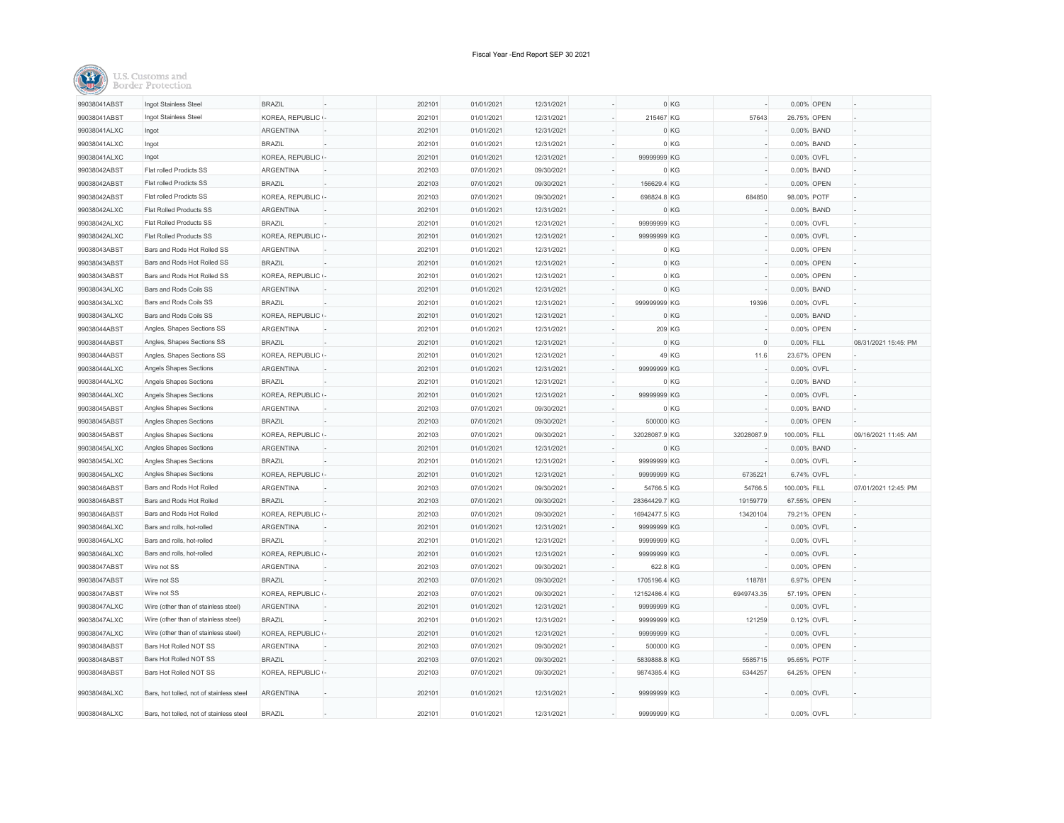| 99038041ABST | Ingot Stainless Steel                    | <b>BRAZIL</b>     | 202101 | 01/01/2021 | 12/31/2021 |               | 0 KG             | 0.00% OPEN   |                      |
|--------------|------------------------------------------|-------------------|--------|------------|------------|---------------|------------------|--------------|----------------------|
| 99038041ABST | Ingot Stainless Steel                    | KOREA, REPUBLIC - | 202101 | 01/01/2021 | 12/31/2021 | 215467 KG     | 57643            | 26.75% OPEN  |                      |
| 99038041ALXC | Ingot                                    | ARGENTINA         | 202101 | 01/01/2021 | 12/31/2021 |               | 0 KG             | 0.00% BAND   |                      |
| 99038041ALXC | Ingot                                    | <b>BRAZIL</b>     | 202101 | 01/01/2021 | 12/31/2021 |               | 0 KG             | 0.00% BAND   |                      |
| 99038041ALXC | Ingot                                    | KOREA, REPUBLIC   | 202101 | 01/01/2021 | 12/31/2021 | 99999999 KG   |                  | 0.00% OVFL   |                      |
| 99038042ABST | Flat rolled Prodicts SS                  | ARGENTINA         | 202103 | 07/01/2021 | 09/30/2021 |               | 0 KG             | 0.00% BAND   |                      |
| 99038042ABST | Flat rolled Prodicts SS                  | <b>BRAZIL</b>     | 202103 | 07/01/2021 | 09/30/2021 | 156629.4 KG   |                  | 0.00% OPEN   |                      |
| 99038042ABST | Flat rolled Prodicts SS                  | KOREA, REPUBLIC   | 202103 | 07/01/2021 | 09/30/2021 | 698824.8 KG   | 684850           | 98.00% POTF  |                      |
| 99038042ALXC | Flat Rolled Products SS                  | ARGENTINA         | 202101 | 01/01/2021 | 12/31/2021 |               | 0 KG             | 0.00% BAND   |                      |
| 99038042ALXC | Flat Rolled Products SS                  | <b>BRAZIL</b>     | 202101 | 01/01/2021 | 12/31/2021 | 99999999 KG   |                  | 0.00% OVFL   |                      |
| 99038042ALXC | <b>Flat Rolled Products SS</b>           | KOREA, REPUBLIC - | 202101 | 01/01/2021 | 12/31/2021 | 99999999 KG   |                  | 0.00% OVFL   |                      |
| 99038043ABST | Bars and Rods Hot Rolled SS              | ARGENTINA         | 202101 | 01/01/2021 | 12/31/2021 |               | 0 KG             | 0.00% OPEN   |                      |
| 99038043ABST | Bars and Rods Hot Rolled SS              | <b>BRAZIL</b>     | 202101 | 01/01/2021 | 12/31/2021 |               | 0 KG             | 0.00% OPEN   |                      |
| 99038043ABST | Bars and Rods Hot Rolled SS              | KOREA, REPUBLIC - | 202101 | 01/01/2021 | 12/31/2021 |               | 0 KG             | 0.00% OPEN   |                      |
| 99038043ALXC | Bars and Rods Coils SS                   | ARGENTINA         | 202101 | 01/01/2021 | 12/31/2021 |               | 0 KG             | 0.00% BAND   |                      |
| 99038043ALXC | Bars and Rods Coils SS                   | <b>BRAZIL</b>     | 202101 | 01/01/2021 | 12/31/2021 | 999999999 KG  | 19396            | 0.00% OVFL   |                      |
| 99038043ALXC | Bars and Rods Coils SS                   | KOREA, REPUBLIC - | 202101 | 01/01/2021 | 12/31/2021 |               | 0 KG             | 0.00% BAND   |                      |
| 99038044ABST | Angles, Shapes Sections SS               | ARGENTINA         | 202101 | 01/01/2021 | 12/31/2021 |               | 209 KG           | 0.00% OPEN   |                      |
| 99038044ABST | Angles, Shapes Sections SS               | <b>BRAZIL</b>     | 202101 | 01/01/2021 | 12/31/2021 |               | 0 KG<br>$\Omega$ | 0.00% FILL   | 08/31/2021 15:45: PM |
| 99038044ABST | Angles, Shapes Sections SS               | KOREA, REPUBLIC - | 202101 | 01/01/2021 | 12/31/2021 |               | 49 KG<br>11.6    | 23.67% OPEN  |                      |
| 99038044ALXC | Angels Shapes Sections                   | <b>ARGENTINA</b>  | 202101 | 01/01/2021 | 12/31/2021 | 99999999 KG   |                  | 0.00% OVFL   |                      |
| 99038044ALXC | Angels Shapes Sections                   | <b>BRAZIL</b>     | 202101 | 01/01/2021 | 12/31/2021 |               | 0 KG             | 0.00% BAND   |                      |
| 99038044ALXC | Angels Shapes Sections                   | KOREA, REPUBLIC - | 202101 | 01/01/2021 | 12/31/2021 | 99999999 KG   |                  | 0.00% OVFL   |                      |
| 99038045ABST | Angles Shapes Sections                   | <b>ARGENTINA</b>  | 202103 | 07/01/2021 | 09/30/2021 |               | 0 KG             | 0.00% BAND   |                      |
| 99038045ABST | Angles Shapes Sections                   | <b>BRAZIL</b>     | 202103 | 07/01/2021 | 09/30/2021 | 500000 KG     |                  | 0.00% OPEN   |                      |
| 99038045ABST | Angles Shapes Sections                   | KOREA, REPUBLIC - | 202103 | 07/01/2021 | 09/30/2021 | 32028087.9 KG | 32028087.9       | 100.00% FILL | 09/16/2021 11:45: AM |
| 99038045ALXC | Angles Shapes Sections                   | <b>ARGENTINA</b>  | 202101 | 01/01/2021 | 12/31/2021 |               | 0 KG             | 0.00% BAND   |                      |
| 99038045ALXC | Angles Shapes Sections                   | <b>BRAZIL</b>     | 202101 | 01/01/2021 | 12/31/2021 | 99999999 KG   |                  | 0.00% OVFL   |                      |
| 99038045ALXC | Angles Shapes Sections                   | KOREA, REPUBLIC   | 202101 | 01/01/2021 | 12/31/2021 | 99999999 KG   | 6735221          | 6.74% OVFL   |                      |
| 99038046ABST | Bars and Rods Hot Rolled                 | <b>ARGENTINA</b>  | 202103 | 07/01/2021 | 09/30/2021 | 54766.5 KG    | 54766.5          | 100.00% FILL | 07/01/2021 12:45: PM |
| 99038046ABST | Bars and Rods Hot Rolled                 | <b>BRAZIL</b>     | 202103 | 07/01/2021 | 09/30/2021 | 28364429.7 KG | 19159779         | 67.55% OPEN  |                      |
| 99038046ABST | Bars and Rods Hot Rolled                 | KOREA, REPUBLIC - | 202103 | 07/01/2021 | 09/30/2021 | 16942477.5 KG | 13420104         | 79.21% OPEN  |                      |
| 99038046ALXC | Bars and rolls, hot-rolled               | ARGENTINA         | 202101 | 01/01/2021 | 12/31/2021 | 99999999 KG   |                  | 0.00% OVFL   |                      |
| 99038046ALXC | Bars and rolls, hot-rolled               | <b>BRAZIL</b>     | 202101 | 01/01/2021 | 12/31/2021 | 99999999 KG   |                  | 0.00% OVFL   |                      |
| 99038046ALXC | Bars and rolls, hot-rolled               | KOREA, REPUBLIC - | 202101 | 01/01/2021 | 12/31/2021 | 99999999 KG   |                  | 0.00% OVFL   |                      |
| 99038047ABST | Wire not SS                              | <b>ARGENTINA</b>  | 202103 | 07/01/2021 | 09/30/2021 | 622.8 KG      |                  | 0.00% OPEN   |                      |
| 99038047ABST | Wire not SS                              | <b>BRAZIL</b>     | 202103 | 07/01/2021 | 09/30/2021 | 1705196.4 KG  | 118781           | 6.97% OPEN   |                      |
| 99038047ABST | Wire not SS                              | KOREA, REPUBLIC - | 202103 | 07/01/2021 | 09/30/2021 | 12152486.4 KG | 6949743.35       | 57.19% OPEN  |                      |
| 99038047ALXC | Wire (other than of stainless steel)     | ARGENTINA         | 202101 | 01/01/2021 | 12/31/2021 | 99999999 KG   |                  | 0.00% OVFL   |                      |
| 99038047ALXC | Wire (other than of stainless steel)     | <b>BRAZIL</b>     | 202101 | 01/01/2021 | 12/31/2021 | 99999999 KG   | 121259           | 0.12% OVFL   |                      |
| 99038047ALXC | Wire (other than of stainless steel)     | KOREA, REPUBLIC - | 202101 | 01/01/2021 | 12/31/2021 | 99999999 KG   |                  | 0.00% OVFL   |                      |
| 99038048ABST | Bars Hot Rolled NOT SS                   | <b>ARGENTINA</b>  | 202103 | 07/01/2021 | 09/30/2021 | 500000 KG     |                  | 0.00% OPEN   |                      |
| 99038048ABST | Bars Hot Rolled NOT SS                   | <b>BRAZIL</b>     | 202103 | 07/01/2021 | 09/30/2021 | 5839888.8 KG  | 5585715          | 95.65% POTF  |                      |
| 99038048ABST | Bars Hot Rolled NOT SS                   | KOREA, REPUBLIC - | 202103 | 07/01/2021 | 09/30/2021 | 9874385.4 KG  | 6344257          | 64.25% OPEN  |                      |
| 99038048ALXC | Bars, hot tolled, not of stainless steel | ARGENTINA         | 202101 | 01/01/2021 | 12/31/2021 | 99999999 KG   |                  | 0.00% OVFL   |                      |
| 99038048ALXC | Bars, hot tolled, not of stainless steel | <b>BRAZIL</b>     | 202101 | 01/01/2021 | 12/31/2021 | 99999999 KG   |                  | 0.00% OVFL   |                      |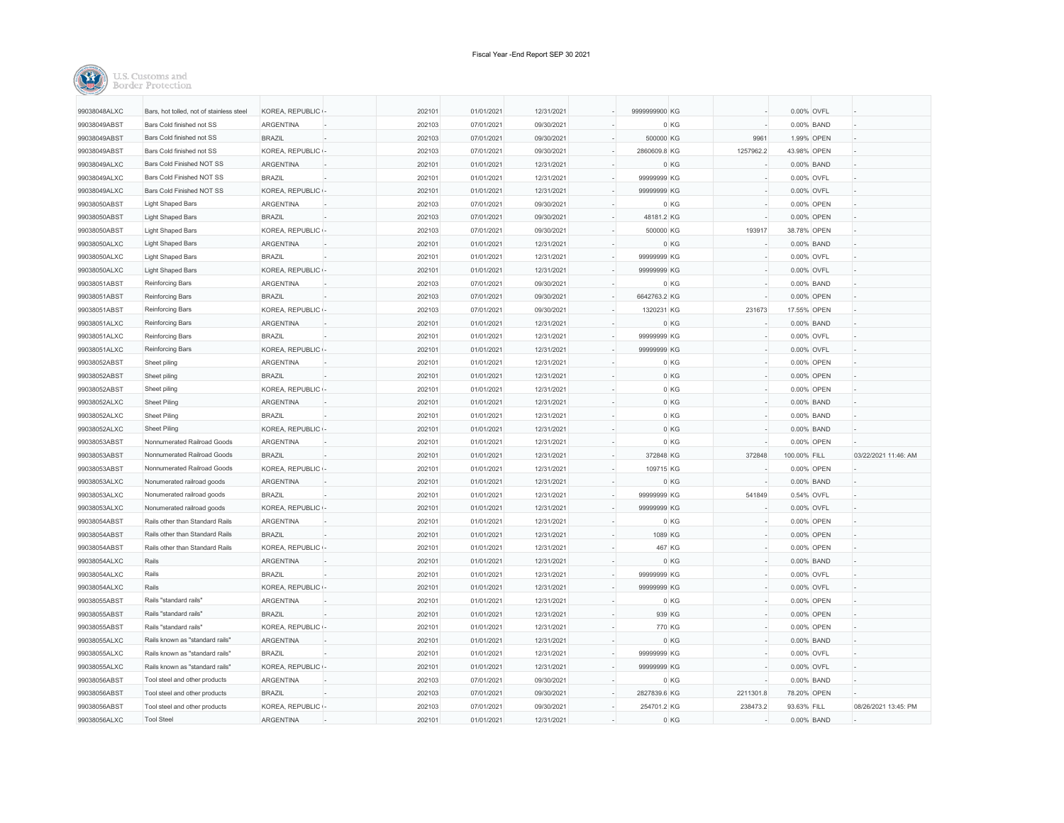| 99038048ALXC | Bars, hot tolled, not of stainless steel | KOREA, REPUBLIC  | 202101 | 01/01/2021 | 12/31/2021 | 9999999900 KG |           |                         | 0.00% OVFL  |                      |
|--------------|------------------------------------------|------------------|--------|------------|------------|---------------|-----------|-------------------------|-------------|----------------------|
| 99038049ABST | Bars Cold finished not SS                | <b>ARGENTINA</b> | 202103 | 07/01/2021 | 09/30/2021 |               | 0 KG      |                         | 0.00% BAND  |                      |
| 99038049ABST | Bars Cold finished not SS                | <b>BRAZIL</b>    | 202103 | 07/01/2021 | 09/30/2021 | 500000 KG     |           | 9961                    | 1.99% OPEN  |                      |
| 99038049ABST | Bars Cold finished not SS                | KOREA, REPUBLIC  | 202103 | 07/01/2021 | 09/30/2021 | 2860609.8 KG  | 1257962.2 |                         | 43.98% OPEN |                      |
| 99038049ALXC | Bars Cold Finished NOT SS                | <b>ARGENTINA</b> | 202101 | 01/01/2021 | 12/31/2021 |               | 0 KG      |                         | 0.00% BAND  |                      |
| 99038049ALXC | Bars Cold Finished NOT SS                | <b>BRAZIL</b>    | 202101 | 01/01/2021 | 12/31/2021 | 99999999 KG   |           |                         | 0.00% OVFL  |                      |
| 99038049ALXC | <b>Bars Cold Finished NOT SS</b>         | KOREA, REPUBLIC  | 202101 | 01/01/2021 | 12/31/2021 | 99999999 KG   |           |                         | 0.00% OVFL  |                      |
| 99038050ABST | <b>Light Shaped Bars</b>                 | <b>ARGENTINA</b> | 202103 | 07/01/2021 | 09/30/2021 |               | 0 KG      |                         | 0.00% OPEN  |                      |
| 99038050ABST | <b>Light Shaped Bars</b>                 | <b>BRAZIL</b>    | 202103 | 07/01/2021 | 09/30/2021 | 48181.2 KG    |           |                         | 0.00% OPEN  |                      |
| 99038050ABST | <b>Light Shaped Bars</b>                 | KOREA, REPUBLIC  | 202103 | 07/01/2021 | 09/30/2021 | 500000 KG     |           | 193917                  | 38.78% OPEN |                      |
| 99038050ALXC | <b>Light Shaped Bars</b>                 | <b>ARGENTINA</b> | 202101 | 01/01/2021 | 12/31/2021 |               | 0 KG      |                         | 0.00% BAND  |                      |
| 99038050ALXC | <b>Light Shaped Bars</b>                 | <b>BRAZIL</b>    | 202101 | 01/01/2021 | 12/31/2021 | 99999999 KG   |           |                         | 0.00% OVFL  |                      |
| 99038050ALXC | <b>Light Shaped Bars</b>                 | KOREA, REPUBLIC  | 202101 | 01/01/2021 | 12/31/2021 | 99999999 KG   |           |                         | 0.00% OVFL  |                      |
| 99038051ABST | Reinforcing Bars                         | <b>ARGENTINA</b> | 202103 | 07/01/2021 | 09/30/2021 |               | 0 KG      |                         | 0.00% BAND  |                      |
| 99038051ABST | Reinforcing Bars                         | <b>BRAZIL</b>    | 202103 | 07/01/2021 | 09/30/2021 | 6642763.2 KG  |           |                         | 0.00% OPEN  |                      |
| 99038051ABST | Reinforcing Bars                         | KOREA, REPUBLIC  | 202103 | 07/01/2021 | 09/30/2021 | 1320231 KG    |           | 231673                  | 17.55% OPEN |                      |
| 99038051ALXC | Reinforcing Bars                         | <b>ARGENTINA</b> | 202101 | 01/01/2021 | 12/31/2021 |               | 0 KG      |                         | 0.00% BAND  |                      |
| 99038051ALXC | Reinforcing Bars                         | <b>BRAZIL</b>    | 202101 | 01/01/2021 | 12/31/2021 | 99999999 KG   |           |                         | 0.00% OVFL  |                      |
| 99038051ALXC | Reinforcing Bars                         | KOREA, REPUBLIC  | 202101 | 01/01/2021 | 12/31/2021 | 99999999 KG   |           |                         | 0.00% OVFL  |                      |
| 99038052ABST | Sheet piling                             | <b>ARGENTINA</b> | 202101 | 01/01/2021 | 12/31/2021 |               | 0 KG      |                         | 0.00% OPEN  |                      |
| 99038052ABST | Sheet piling                             | <b>BRAZIL</b>    | 202101 | 01/01/2021 | 12/31/2021 |               | 0 KG      |                         | 0.00% OPEN  |                      |
| 99038052ABST | Sheet piling                             | KOREA, REPUBLIC  | 202101 | 01/01/2021 | 12/31/2021 |               | 0 KG      |                         | 0.00% OPEN  |                      |
| 99038052ALXC | <b>Sheet Piling</b>                      | <b>ARGENTINA</b> | 202101 | 01/01/2021 | 12/31/2021 |               | 0 KG      |                         | 0.00% BAND  |                      |
| 99038052ALXC | <b>Sheet Piling</b>                      | <b>BRAZIL</b>    | 202101 | 01/01/2021 | 12/31/2021 |               | 0 KG      |                         | 0.00% BAND  |                      |
| 99038052ALXC | <b>Sheet Piling</b>                      | KOREA, REPUBLIC  | 202101 | 01/01/2021 | 12/31/2021 |               | 0 KG      |                         | 0.00% BAND  |                      |
| 99038053ABST | Nonnumerated Railroad Goods              | <b>ARGENTINA</b> | 202101 | 01/01/2021 | 12/31/2021 |               | 0 KG      |                         | 0.00% OPEN  |                      |
| 99038053ABST | Nonnumerated Railroad Goods              | <b>BRAZIL</b>    | 202101 | 01/01/2021 | 12/31/2021 | 372848 KG     |           | 372848<br>100.00% FILL  |             | 03/22/2021 11:46: AM |
| 99038053ABST | Nonnumerated Railroad Goods              | KOREA, REPUBLIC  | 202101 | 01/01/2021 | 12/31/2021 | 109715 KG     |           |                         | 0.00% OPEN  |                      |
| 99038053ALXC | Nonumerated railroad goods               | <b>ARGENTINA</b> | 202101 | 01/01/2021 | 12/31/2021 |               | 0 KG      |                         | 0.00% BAND  |                      |
| 99038053ALXC | Nonumerated railroad goods               | <b>BRAZIL</b>    | 202101 | 01/01/2021 | 12/31/2021 | 99999999 KG   |           | 541849                  | 0.54% OVFL  |                      |
| 99038053ALXC | Nonumerated railroad goods               | KOREA, REPUBLIC  | 202101 | 01/01/2021 | 12/31/2021 | 99999999 KG   |           |                         | 0.00% OVFL  |                      |
| 99038054ABST | Rails other than Standard Rails          | ARGENTINA        | 202101 | 01/01/2021 | 12/31/2021 |               | 0 KG      |                         | 0.00% OPEN  |                      |
| 99038054ABST | Rails other than Standard Rails          | <b>BRAZIL</b>    | 202101 | 01/01/2021 | 12/31/2021 |               | 1089 KG   |                         | 0.00% OPEN  |                      |
| 99038054ABST | Rails other than Standard Rails          | KOREA, REPUBLIC  | 202101 | 01/01/2021 | 12/31/2021 |               | 467 KG    |                         | 0.00% OPEN  |                      |
| 99038054ALXC | Rails                                    | ARGENTINA        | 202101 | 01/01/2021 | 12/31/2021 |               | 0 KG      |                         | 0.00% BAND  |                      |
| 99038054ALXC | Rails                                    | <b>BRAZIL</b>    | 202101 | 01/01/2021 | 12/31/2021 | 99999999 KG   |           |                         | 0.00% OVFL  |                      |
| 99038054ALXC | Rails                                    | KOREA, REPUBLIC  | 202101 | 01/01/2021 | 12/31/2021 | 99999999 KG   |           |                         | 0.00% OVFL  |                      |
| 99038055ABST | Rails "standard rails"                   | <b>ARGENTINA</b> | 202101 | 01/01/2021 | 12/31/2021 |               | 0 KG      |                         | 0.00% OPEN  |                      |
| 99038055ABST | Rails "standard rails"                   | <b>BRAZIL</b>    | 202101 | 01/01/2021 | 12/31/2021 |               | 939 KG    |                         | 0.00% OPEN  |                      |
| 99038055ABST | Rails "standard rails"                   | KOREA, REPUBLIC  | 202101 | 01/01/2021 | 12/31/2021 |               | 770 KG    |                         | 0.00% OPEN  |                      |
| 99038055ALXC | Rails known as "standard rails"          | <b>ARGENTINA</b> | 202101 | 01/01/2021 | 12/31/2021 |               | 0 KG      |                         | 0.00% BAND  |                      |
| 99038055ALXC | Rails known as "standard rails'          | <b>BRAZIL</b>    | 202101 | 01/01/2021 | 12/31/2021 | 99999999 KG   |           |                         | 0.00% OVFL  |                      |
| 99038055ALXC | Rails known as "standard rails'          | KOREA, REPUBLIC  | 202101 | 01/01/2021 | 12/31/2021 | 99999999 KG   |           |                         | 0.00% OVFL  |                      |
| 99038056ABST | Tool steel and other products            | <b>ARGENTINA</b> | 202103 | 07/01/2021 | 09/30/2021 |               | 0 KG      |                         | 0.00% BAND  |                      |
| 99038056ABST | Tool steel and other products            | <b>BRAZIL</b>    | 202103 | 07/01/2021 | 09/30/2021 | 2827839.6 KG  | 2211301.8 |                         | 78.20% OPEN |                      |
| 99038056ABST | Tool steel and other products            | KOREA, REPUBLIC  | 202103 | 07/01/2021 | 09/30/2021 | 254701.2 KG   |           | 238473.2<br>93.63% FILL |             | 08/26/2021 13:45: PM |
| 99038056ALXC | <b>Tool Steel</b>                        | <b>ARGENTINA</b> | 202101 | 01/01/2021 | 12/31/2021 |               | 0 KG      |                         | 0.00% BAND  |                      |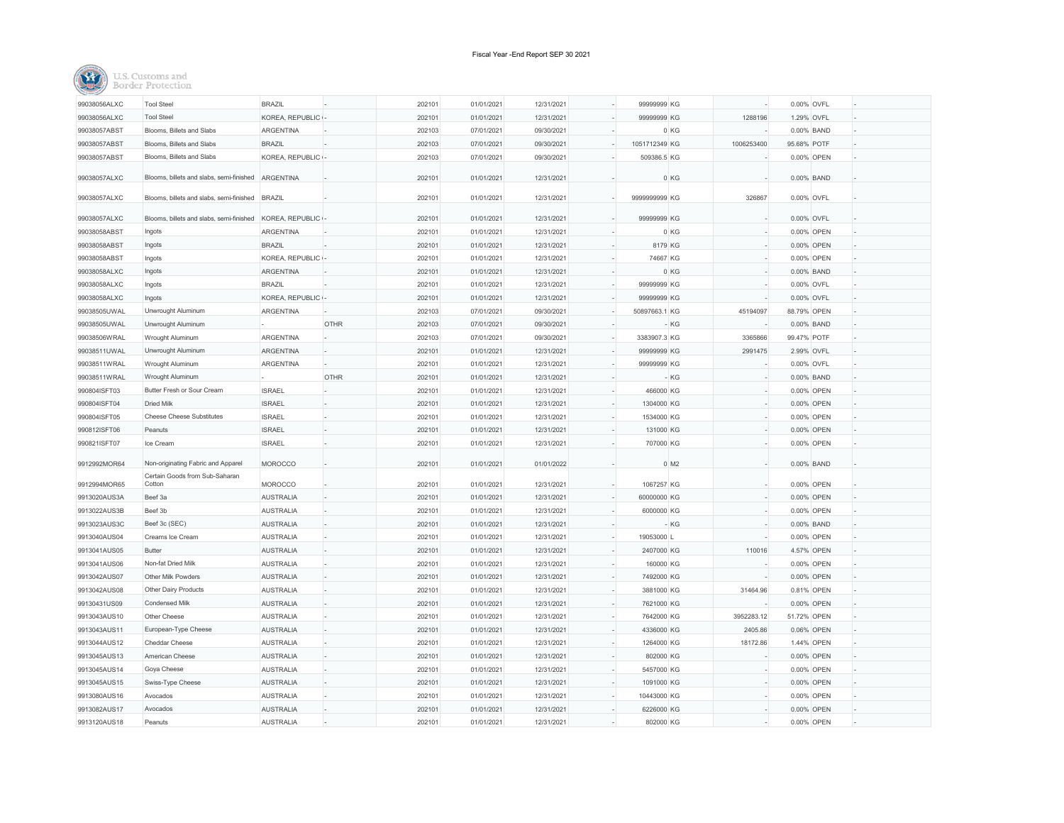

| 99038056ALXC | <b>Tool Steel</b>                        | <b>BRAZIL</b>     |             | 202101 | 01/01/2021 | 12/31/2021 | 99999999 KG   |                    | 0.00% OVFL  |  |
|--------------|------------------------------------------|-------------------|-------------|--------|------------|------------|---------------|--------------------|-------------|--|
| 99038056ALXC | <b>Tool Steel</b>                        | KOREA, REPUBLIC - |             | 202101 | 01/01/2021 | 12/31/2021 | 99999999 KG   | 1288196            | 1.29% OVFL  |  |
| 99038057ABST | Blooms, Billets and Slabs                | <b>ARGENTINA</b>  |             | 202103 | 07/01/2021 | 09/30/2021 |               | 0 KG               | 0.00% BAND  |  |
| 99038057ABST | Blooms, Billets and Slabs                | <b>BRAZIL</b>     |             | 202103 | 07/01/2021 | 09/30/2021 | 1051712349 KG | 1006253400         | 95.68% POTF |  |
| 99038057ABST | Blooms, Billets and Slabs                | KOREA, REPUBLIC   |             | 202103 | 07/01/2021 | 09/30/2021 | 509386.5 KG   |                    | 0.00% OPEN  |  |
| 99038057ALXC | Blooms, billets and slabs, semi-finished | ARGENTINA         |             | 202101 | 01/01/2021 | 12/31/2021 |               | 0 KG               | 0.00% BAND  |  |
| 99038057ALXC | Blooms, billets and slabs, semi-finished | <b>BRAZIL</b>     |             | 202101 | 01/01/2021 | 12/31/2021 | 9999999999 KG | 326867             | 0.00% OVFL  |  |
| 99038057ALXC | Blooms, billets and slabs, semi-finished | KOREA, REPUBLIC - |             | 202101 | 01/01/2021 | 12/31/2021 | 99999999 KG   |                    | 0.00% OVFL  |  |
| 99038058ABST | Ingots                                   | ARGENTINA         |             | 202101 | 01/01/2021 | 12/31/2021 |               | 0 KG               | 0.00% OPEN  |  |
| 99038058ABST | Ingots                                   | <b>BRAZIL</b>     |             | 202101 | 01/01/2021 | 12/31/2021 | 8179 KG       |                    | 0.00% OPEN  |  |
| 99038058ABST | Ingots                                   | KOREA, REPUBLIC - |             | 202101 | 01/01/2021 | 12/31/2021 | 74667 KG      |                    | 0.00% OPEN  |  |
| 99038058ALXC | Ingots                                   | ARGENTINA         |             | 202101 | 01/01/2021 | 12/31/2021 |               | 0 KG               | 0.00% BAND  |  |
| 99038058ALXC | Ingots                                   | <b>BRAZIL</b>     |             | 202101 | 01/01/2021 | 12/31/2021 | 99999999 KG   |                    | 0.00% OVFL  |  |
| 99038058ALXC | Ingots                                   | KOREA, REPUBLIC - |             | 202101 | 01/01/2021 | 12/31/2021 | 99999999 KG   |                    | 0.00% OVFL  |  |
| 99038505UWAL | Unwrought Aluminum                       | <b>ARGENTINA</b>  |             | 202103 | 07/01/2021 | 09/30/2021 | 50897663.1 KG | 45194097           | 88.79% OPEN |  |
| 99038505UWAL | Unwrought Aluminum                       |                   | <b>OTHR</b> | 202103 | 07/01/2021 | 09/30/2021 |               | $-KG$              | 0.00% BAND  |  |
| 99038506WRAL | Wrought Aluminum                         | ARGENTINA         |             | 202103 | 07/01/2021 | 09/30/2021 | 3383907.3 KG  | 3365866            | 99.47% POTF |  |
| 99038511UWAL | Unwrought Aluminum                       | ARGENTINA         |             | 202101 | 01/01/2021 | 12/31/2021 | 99999999 KG   | 2991475            | 2.99% OVFL  |  |
| 99038511WRAL | Wrought Aluminum                         | ARGENTINA         |             | 202101 | 01/01/2021 | 12/31/2021 | 99999999 KG   |                    | 0.00% OVFL  |  |
| 99038511WRAL | Wrought Aluminum                         |                   | <b>OTHR</b> | 202101 | 01/01/2021 | 12/31/2021 |               | $-KG$              | 0.00% BAND  |  |
| 990804ISFT03 | Butter Fresh or Sour Cream               | <b>ISRAEL</b>     |             | 202101 | 01/01/2021 | 12/31/2021 | 466000 KG     |                    | 0.00% OPEN  |  |
| 990804ISFT04 | <b>Dried Milk</b>                        | <b>ISRAEL</b>     |             | 202101 | 01/01/2021 | 12/31/2021 | 1304000 KG    |                    | 0.00% OPEN  |  |
| 990804ISFT05 | <b>Cheese Cheese Substitutes</b>         | <b>ISRAEL</b>     |             | 202101 | 01/01/2021 | 12/31/2021 | 1534000 KG    |                    | 0.00% OPEN  |  |
| 990812ISFT06 | Peanuts                                  | <b>ISRAEL</b>     |             | 202101 | 01/01/2021 | 12/31/2021 | 131000 KG     |                    | 0.00% OPEN  |  |
| 990821ISFT07 | Ice Cream                                | <b>ISRAEL</b>     |             | 202101 | 01/01/2021 | 12/31/2021 | 707000 KG     |                    | 0.00% OPEN  |  |
| 9912992MOR64 | Non-originating Fabric and Apparel       | <b>MOROCCO</b>    |             | 202101 | 01/01/2021 | 01/01/2022 |               | $0$ M <sub>2</sub> | 0.00% BAND  |  |
|              | Certain Goods from Sub-Saharan           |                   |             |        |            |            |               |                    |             |  |
| 9912994MOR65 | Cotton                                   | MOROCCO           |             | 202101 | 01/01/2021 | 12/31/2021 | 1067257 KG    |                    | 0.00% OPEN  |  |
| 9913020AUS3A | Beef 3a                                  | <b>AUSTRALIA</b>  |             | 202101 | 01/01/2021 | 12/31/2021 | 60000000 KG   |                    | 0.00% OPEN  |  |
| 9913022AUS3B | Beef 3b                                  | <b>AUSTRALIA</b>  |             | 202101 | 01/01/2021 | 12/31/2021 | 6000000 KG    |                    | 0.00% OPEN  |  |
| 9913023AUS3C | Beef 3c (SEC)                            | <b>AUSTRALIA</b>  | ı.          | 202101 | 01/01/2021 | 12/31/2021 |               | $-KG$              | 0.00% BAND  |  |
| 9913040AUS04 | Creams Ice Cream                         | <b>AUSTRALIA</b>  |             | 202101 | 01/01/2021 | 12/31/2021 | 19053000 L    |                    | 0.00% OPEN  |  |
| 9913041AUS05 | <b>Butter</b>                            | <b>AUSTRALIA</b>  |             | 202101 | 01/01/2021 | 12/31/2021 | 2407000 KG    | 110016             | 4.57% OPEN  |  |
| 9913041AUS06 | Non-fat Dried Milk                       | <b>AUSTRALIA</b>  |             | 202101 | 01/01/2021 | 12/31/2021 | 160000 KG     |                    | 0.00% OPEN  |  |
| 9913042AUS07 | <b>Other Milk Powders</b>                | <b>AUSTRALIA</b>  |             | 202101 | 01/01/2021 | 12/31/2021 | 7492000 KG    |                    | 0.00% OPEN  |  |
| 9913042AUS08 | Other Dairy Products                     | <b>AUSTRALIA</b>  |             | 202101 | 01/01/2021 | 12/31/2021 | 3881000 KG    | 31464.96           | 0.81% OPEN  |  |
| 99130431US09 | Condensed Milk                           | <b>AUSTRALIA</b>  |             | 202101 | 01/01/2021 | 12/31/2021 | 7621000 KG    |                    | 0.00% OPEN  |  |
| 9913043AUS10 | Other Cheese                             | <b>AUSTRALIA</b>  |             | 202101 | 01/01/2021 | 12/31/2021 | 7642000 KG    | 3952283.12         | 51.72% OPEN |  |
| 9913043AUS11 | European-Type Cheese                     | <b>AUSTRALIA</b>  |             | 202101 | 01/01/2021 | 12/31/2021 | 4336000 KG    | 2405.86            | 0.06% OPEN  |  |
| 9913044AUS12 | <b>Cheddar Cheese</b>                    | <b>AUSTRALIA</b>  |             | 202101 | 01/01/2021 | 12/31/2021 | 1264000 KG    | 18172.86           | 1.44% OPEN  |  |
| 9913045AUS13 | American Cheese                          | <b>AUSTRALIA</b>  |             | 202101 | 01/01/2021 | 12/31/2021 | 802000 KG     |                    | 0.00% OPEN  |  |
| 9913045AUS14 | Goya Cheese                              | <b>AUSTRALIA</b>  |             | 202101 | 01/01/2021 | 12/31/2021 | 5457000 KG    |                    | 0.00% OPEN  |  |
| 9913045AUS15 | Swiss-Type Cheese                        | <b>AUSTRALIA</b>  |             | 202101 | 01/01/2021 | 12/31/2021 | 1091000 KG    |                    | 0.00% OPEN  |  |
| 9913080AUS16 | Avocados                                 | <b>AUSTRALIA</b>  |             | 202101 | 01/01/2021 | 12/31/2021 | 10443000 KG   |                    | 0.00% OPEN  |  |
| 9913082AUS17 | Avocados                                 | <b>AUSTRALIA</b>  |             | 202101 | 01/01/2021 | 12/31/2021 | 6226000 KG    |                    | 0.00% OPEN  |  |
| 9913120AUS18 | Peanuts                                  | <b>AUSTRALIA</b>  |             | 202101 | 01/01/2021 | 12/31/2021 | 802000 KG     |                    | 0.00% OPEN  |  |
|              |                                          |                   |             |        |            |            |               |                    |             |  |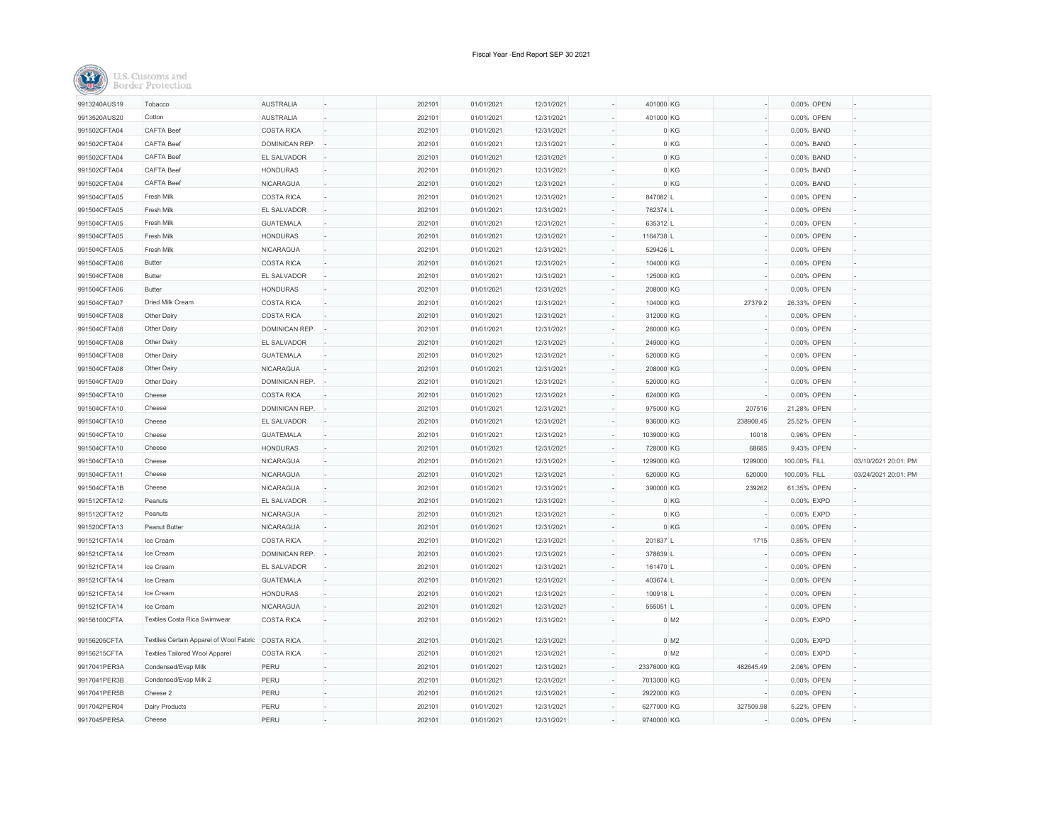| 9913240AUS19 | Tobacco                                 | <b>AUSTRALIA</b>   | 202101 | 01/01/2021 | 12/31/2021 | 401000 KG   |                    |              | 0.00% OPEN |                      |
|--------------|-----------------------------------------|--------------------|--------|------------|------------|-------------|--------------------|--------------|------------|----------------------|
| 9913520AUS20 | Cotton                                  | <b>AUSTRALIA</b>   | 202101 | 01/01/2021 | 12/31/2021 | 401000 KG   |                    |              | 0.00% OPEN |                      |
| 991502CFTA04 | <b>CAFTA Beef</b>                       | <b>COSTA RICA</b>  | 202101 | 01/01/2021 | 12/31/2021 |             | 0 KG               |              | 0.00% BAND |                      |
| 991502CFTA04 | <b>CAFTA Beef</b>                       | DOMINICAN REP.     | 202101 | 01/01/2021 | 12/31/2021 |             | 0 KG               |              | 0.00% BAND |                      |
| 991502CFTA04 | CAFTA Beef                              | <b>EL SALVADOR</b> | 202101 | 01/01/2021 | 12/31/2021 |             | 0 KG               |              | 0.00% BAND |                      |
| 991502CFTA04 | <b>CAFTA Beef</b>                       | <b>HONDURAS</b>    | 202101 | 01/01/2021 | 12/31/2021 |             | 0 KG               |              | 0.00% BAND |                      |
| 991502CFTA04 | <b>CAFTA Beef</b>                       | <b>NICARAGUA</b>   | 202101 | 01/01/2021 | 12/31/2021 |             | 0 KG               |              | 0.00% BAND |                      |
| 991504CFTA05 | Fresh Milk                              | <b>COSTA RICA</b>  | 202101 | 01/01/2021 | 12/31/2021 | 847082 L    |                    |              | 0.00% OPEN |                      |
| 991504CFTA05 | Fresh Milk                              | EL SALVADOR        | 202101 | 01/01/2021 | 12/31/2021 | 762374 L    |                    |              | 0.00% OPEN |                      |
| 991504CFTA05 | Fresh Milk                              | <b>GUATEMALA</b>   | 202101 | 01/01/2021 | 12/31/2021 | 635312 L    |                    |              | 0.00% OPEN |                      |
| 991504CFTA05 | Fresh Milk                              | <b>HONDURAS</b>    | 202101 | 01/01/2021 | 12/31/2021 | 1164738 L   |                    |              | 0.00% OPEN |                      |
| 991504CFTA05 | Fresh Milk                              | NICARAGUA          | 202101 | 01/01/2021 | 12/31/2021 | 529426 L    |                    |              | 0.00% OPEN |                      |
| 991504CFTA06 | <b>Butter</b>                           | <b>COSTA RICA</b>  | 202101 | 01/01/2021 | 12/31/2021 | 104000 KG   |                    |              | 0.00% OPEN |                      |
| 991504CFTA06 | <b>Butter</b>                           | <b>EL SALVADOR</b> | 202101 | 01/01/2021 | 12/31/2021 | 125000 KG   |                    |              | 0.00% OPEN |                      |
| 991504CFTA06 | <b>Butter</b>                           | <b>HONDURAS</b>    | 202101 | 01/01/2021 | 12/31/2021 | 208000 KG   |                    |              | 0.00% OPEN |                      |
| 991504CFTA07 | Dried Milk Cream                        | <b>COSTA RICA</b>  | 202101 | 01/01/2021 | 12/31/2021 | 104000 KG   | 27379.2            | 26.33% OPEN  |            |                      |
| 991504CFTA08 | Other Dairy                             | <b>COSTA RICA</b>  | 202101 | 01/01/2021 | 12/31/2021 | 312000 KG   |                    |              | 0.00% OPEN |                      |
| 991504CFTA08 | Other Dairy                             | DOMINICAN REP.     | 202101 | 01/01/2021 | 12/31/2021 | 260000 KG   |                    |              | 0.00% OPEN |                      |
| 991504CFTA08 | Other Dairy                             | <b>EL SALVADOR</b> | 202101 | 01/01/2021 | 12/31/2021 | 249000 KG   |                    |              | 0.00% OPEN |                      |
| 991504CFTA08 | Other Dairy                             | <b>GUATEMALA</b>   | 202101 | 01/01/2021 | 12/31/2021 | 520000 KG   |                    |              | 0.00% OPEN |                      |
| 991504CFTA08 | Other Dairy                             | NICARAGUA          | 202101 | 01/01/2021 | 12/31/2021 | 208000 KG   |                    |              | 0.00% OPEN |                      |
| 991504CFTA09 | Other Dairy                             | DOMINICAN REP.     | 202101 | 01/01/2021 | 12/31/2021 | 520000 KG   |                    |              | 0.00% OPEN |                      |
| 991504CFTA10 | Cheese                                  | <b>COSTA RICA</b>  | 202101 | 01/01/2021 | 12/31/2021 | 624000 KG   |                    |              | 0.00% OPEN |                      |
| 991504CFTA10 | Cheese                                  | DOMINICAN REP.     | 202101 | 01/01/2021 | 12/31/2021 | 975000 KG   | 207516             | 21.28% OPEN  |            |                      |
| 991504CFTA10 | Cheese                                  | EL SALVADOR        | 202101 | 01/01/2021 | 12/31/2021 | 936000 KG   | 238908.45          | 25.52% OPEN  |            |                      |
| 991504CFTA10 | Cheese                                  | <b>GUATEMALA</b>   | 202101 | 01/01/2021 | 12/31/2021 | 1039000 KG  | 10018              | 0.96% OPEN   |            |                      |
| 991504CFTA10 | Cheese                                  | <b>HONDURAS</b>    | 202101 | 01/01/2021 | 12/31/2021 | 728000 KG   | 68685              | 9.43% OPEN   |            |                      |
| 991504CFTA10 | Cheese                                  | <b>NICARAGUA</b>   | 202101 | 01/01/2021 | 12/31/2021 | 1299000 KG  | 1299000            | 100.00% FILL |            | 03/10/2021 20:01: PM |
| 991504CFTA11 | Cheese                                  | <b>NICARAGUA</b>   | 202101 | 01/01/2021 | 12/31/2021 | 520000 KG   | 520000             | 100.00% FILL |            | 03/24/2021 20:01: PM |
| 991504CFTA1B | Cheese                                  | <b>NICARAGUA</b>   | 202101 | 01/01/2021 | 12/31/2021 | 390000 KG   | 239262             | 61.35% OPEN  |            |                      |
| 991512CFTA12 | Peanuts                                 | EL SALVADOR<br>ı.  | 202101 | 01/01/2021 | 12/31/2021 |             | 0 KG               |              | 0.00% EXPD |                      |
| 991512CFTA12 | Peanuts                                 | <b>NICARAGUA</b>   | 202101 | 01/01/2021 | 12/31/2021 |             | 0 KG               |              | 0.00% EXPD |                      |
| 991520CFTA13 | Peanut Butter                           | NICARAGUA          | 202101 | 01/01/2021 | 12/31/2021 |             | 0 KG               |              | 0.00% OPEN |                      |
| 991521CFTA14 | Ice Cream                               | <b>COSTA RICA</b>  | 202101 | 01/01/2021 | 12/31/2021 | 201837 L    | 1715               |              | 0.85% OPEN |                      |
| 991521CFTA14 | Ice Cream                               | DOMINICAN REP.     | 202101 | 01/01/2021 | 12/31/2021 | 378639 L    |                    |              | 0.00% OPEN |                      |
| 991521CFTA14 | Ice Cream                               | <b>EL SALVADOR</b> | 202101 | 01/01/2021 | 12/31/2021 | 161470 L    |                    |              | 0.00% OPEN |                      |
| 991521CFTA14 | Ice Cream                               | <b>GUATEMALA</b>   | 202101 | 01/01/2021 | 12/31/2021 | 403674 L    |                    |              | 0.00% OPEN |                      |
| 991521CFTA14 | Ice Cream                               | <b>HONDURAS</b>    | 202101 | 01/01/2021 | 12/31/2021 | 100918 L    |                    |              | 0.00% OPEN |                      |
| 991521CFTA14 | Ice Cream                               | NICARAGUA          | 202101 | 01/01/2021 | 12/31/2021 | 555051L     |                    |              | 0.00% OPEN |                      |
| 99156100CFTA | Textiles Costa Rica Swimwear            | <b>COSTA RICA</b>  | 202101 | 01/01/2021 | 12/31/2021 |             | $0$ M <sub>2</sub> |              | 0.00% EXPD |                      |
| 99156205CFTA | Textiles Certain Apparel of Wool Fabric | <b>COSTA RICA</b>  | 202101 | 01/01/2021 | 12/31/2021 |             | $0$ M <sub>2</sub> |              | 0.00% EXPD |                      |
| 99156215CFTA | <b>Textiles Tailored Wool Apparel</b>   | <b>COSTA RICA</b>  | 202101 | 01/01/2021 | 12/31/2021 |             | $0$ M <sub>2</sub> |              | 0.00% EXPD |                      |
| 9917041PER3A | Condensed/Evap Milk                     | PERU               | 202101 | 01/01/2021 | 12/31/2021 | 23376000 KG | 482645.49          |              | 2.06% OPEN |                      |
| 9917041PER3B | Condensed/Evap Milk 2                   | PERU               | 202101 | 01/01/2021 | 12/31/2021 | 7013000 KG  |                    |              | 0.00% OPEN |                      |
| 9917041PER5B | Cheese 2                                | PERU               | 202101 | 01/01/2021 | 12/31/2021 | 2922000 KG  |                    |              | 0.00% OPEN |                      |
| 9917042PER04 | Dairy Products                          | PERU               | 202101 | 01/01/2021 | 12/31/2021 | 6277000 KG  | 327509.98          |              | 5.22% OPEN |                      |
| 9917045PER5A | Cheese                                  | PERU               | 202101 | 01/01/2021 | 12/31/2021 | 9740000 KG  |                    |              | 0.00% OPEN |                      |
|              |                                         |                    |        |            |            |             |                    |              |            |                      |